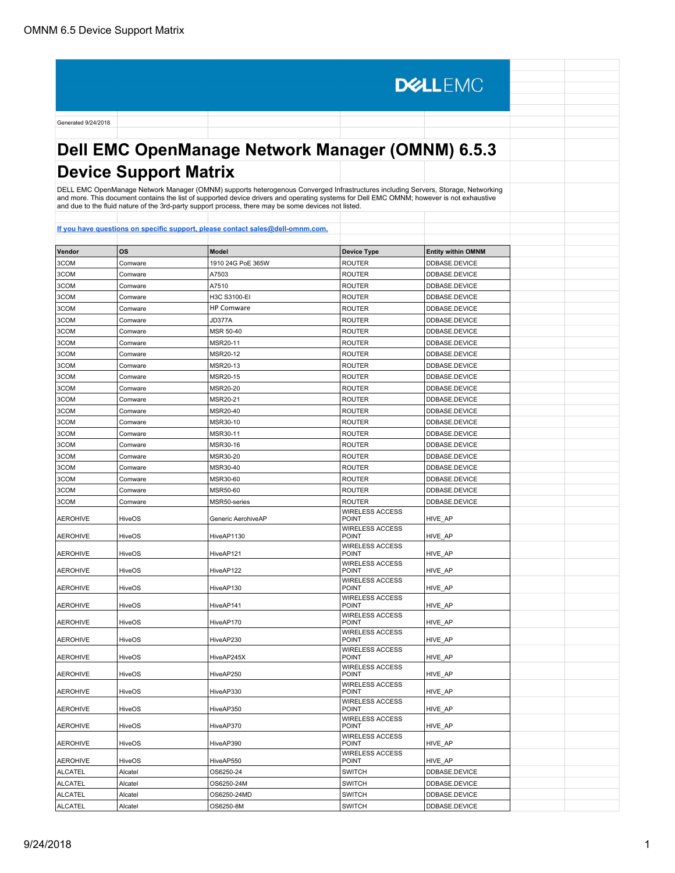**DELLEMC** Generated 9/24/2018 **Dell EMC OpenManage Network Manager (OMNM) 6.5.3 Device Support Matrix** DELL EMC OpenManage Network Manager (OMNM) supports heterogenous Converged Infrastructures including Servers, Storage, Networking<br>and more. This document contains the list of supported device drivers and operating systems

| Vendor          | OS            | <b>Model</b>       | <b>Device Type</b>                     | <b>Entity within OMNM</b> |  |
|-----------------|---------------|--------------------|----------------------------------------|---------------------------|--|
| 3COM            | Comware       | 1910 24G PoE 365W  | <b>ROUTER</b>                          | DDBASE.DEVICE             |  |
| 3COM            | Comware       | A7503              | <b>ROUTER</b>                          | DDBASE.DEVICE             |  |
| 3COM            | Comware       | A7510              | <b>ROUTER</b>                          | DDBASE.DEVICE             |  |
| 3COM            | Comware       | H3C S3100-EI       | <b>ROUTER</b>                          | DDBASE.DEVICE             |  |
| 3COM            | Comware       | <b>HP Comware</b>  | <b>ROUTER</b>                          | DDBASE.DEVICE             |  |
| 3COM            | Comware       | JD377A             | <b>ROUTER</b>                          | DDBASE.DEVICE             |  |
| 3COM            | Comware       | MSR 50-40          | <b>ROUTER</b>                          | DDBASE.DEVICE             |  |
| 3COM            | Comware       | MSR20-11           | <b>ROUTER</b>                          | DDBASE.DEVICE             |  |
| 3COM            | Comware       | MSR20-12           | <b>ROUTER</b>                          | DDBASE.DEVICE             |  |
| 3COM            | Comware       | MSR20-13           | <b>ROUTER</b>                          | DDBASE.DEVICE             |  |
| 3COM            | Comware       | MSR20-15           | <b>ROUTER</b>                          | DDBASE.DEVICE             |  |
| 3COM            | Comware       | MSR20-20           | <b>ROUTER</b>                          | DDBASE.DEVICE             |  |
| 3COM            | Comware       | MSR20-21           | <b>ROUTER</b>                          | DDBASE.DEVICE             |  |
| 3COM            | Comware       | MSR20-40           | <b>ROUTER</b>                          | DDBASE.DEVICE             |  |
| 3COM            | Comware       | MSR30-10           | <b>ROUTER</b>                          | DDBASE.DEVICE             |  |
| 3COM            | Comware       | MSR30-11           | <b>ROUTER</b>                          | DDBASE.DEVICE             |  |
| 3COM            | Comware       | MSR30-16           | <b>ROUTER</b>                          | DDBASE.DEVICE             |  |
| 3COM            | Comware       | MSR30-20           | <b>ROUTER</b>                          | DDBASE.DEVICE             |  |
| 3COM            | Comware       | MSR30-40           | <b>ROUTER</b>                          | DDBASE.DEVICE             |  |
| 3COM            | Comware       | MSR30-60           | <b>ROUTER</b>                          | DDBASE.DEVICE             |  |
| 3COM            | Comware       | MSR50-60           | <b>ROUTER</b>                          | DDBASE.DEVICE             |  |
| 3COM            | Comware       | MSR50-series       | <b>ROUTER</b>                          | DDBASE.DEVICE             |  |
| <b>AEROHIVE</b> | <b>HiveOS</b> | Generic AerohiveAP | <b>WIRELESS ACCESS</b><br><b>POINT</b> | HIVE_AP                   |  |
| <b>AEROHIVE</b> | <b>HiveOS</b> | HiveAP1130         | <b>WIRELESS ACCESS</b><br><b>POINT</b> | HIVE AP                   |  |
| <b>AEROHIVE</b> | <b>HiveOS</b> | HiveAP121          | <b>WIRELESS ACCESS</b><br><b>POINT</b> | HIVE_AP                   |  |
| <b>AEROHIVE</b> | <b>HiveOS</b> | HiveAP122          | <b>WIRELESS ACCESS</b><br><b>POINT</b> | HIVE AP                   |  |
| <b>AEROHIVE</b> | <b>HiveOS</b> | HiveAP130          | <b>WIRELESS ACCESS</b><br>POINT        | HIVE AP                   |  |
| <b>AEROHIVE</b> | <b>HiveOS</b> | HiveAP141          | <b>WIRELESS ACCESS</b><br><b>POINT</b> | HIVE AP                   |  |
| <b>AEROHIVE</b> | <b>HiveOS</b> | HiveAP170          | <b>WIRELESS ACCESS</b><br><b>POINT</b> | HIVE AP                   |  |
| <b>AEROHIVE</b> | <b>HiveOS</b> | HiveAP230          | <b>WIRELESS ACCESS</b><br><b>POINT</b> | HIVE AP                   |  |
| AEROHIVE        | HiveOS        | HiveAP245X         | <b>WIRELESS ACCESS</b><br>POINT        | HIVE AP                   |  |
| <b>AEROHIVE</b> | HiveOS        | HiveAP250          | <b>WIRELESS ACCESS</b><br><b>POINT</b> | HIVE AP                   |  |
| <b>AEROHIVE</b> | <b>HiveOS</b> | HiveAP330          | <b>WIRELESS ACCESS</b><br><b>POINT</b> | HIVE_AP                   |  |
| <b>AEROHIVE</b> | <b>HiveOS</b> | HiveAP350          | <b>WIRELESS ACCESS</b><br><b>POINT</b> | HIVE AP                   |  |
| <b>AEROHIVE</b> | <b>HiveOS</b> | HiveAP370          | <b>WIRELESS ACCESS</b><br><b>POINT</b> | HIVE AP                   |  |
| <b>AEROHIVE</b> | HiveOS        | HiveAP390          | <b>WIRELESS ACCESS</b><br><b>POINT</b> | HIVE AP                   |  |
| <b>AEROHIVE</b> | HiveOS        | HiveAP550          | <b>WIRELESS ACCESS</b><br><b>POINT</b> | HIVE AP                   |  |
| <b>ALCATEL</b>  | Alcatel       | OS6250-24          | <b>SWITCH</b>                          | DDBASE.DEVICE             |  |
| <b>ALCATEL</b>  | Alcatel       | OS6250-24M         | <b>SWITCH</b>                          | DDBASE.DEVICE             |  |
| <b>ALCATEL</b>  | Alcatel       | OS6250-24MD        | <b>SWITCH</b>                          | DDBASE.DEVICE             |  |
| ALCATEL         | Alcatel       | OS6250-8M          | <b>SWITCH</b>                          | DDBASE.DEVICE             |  |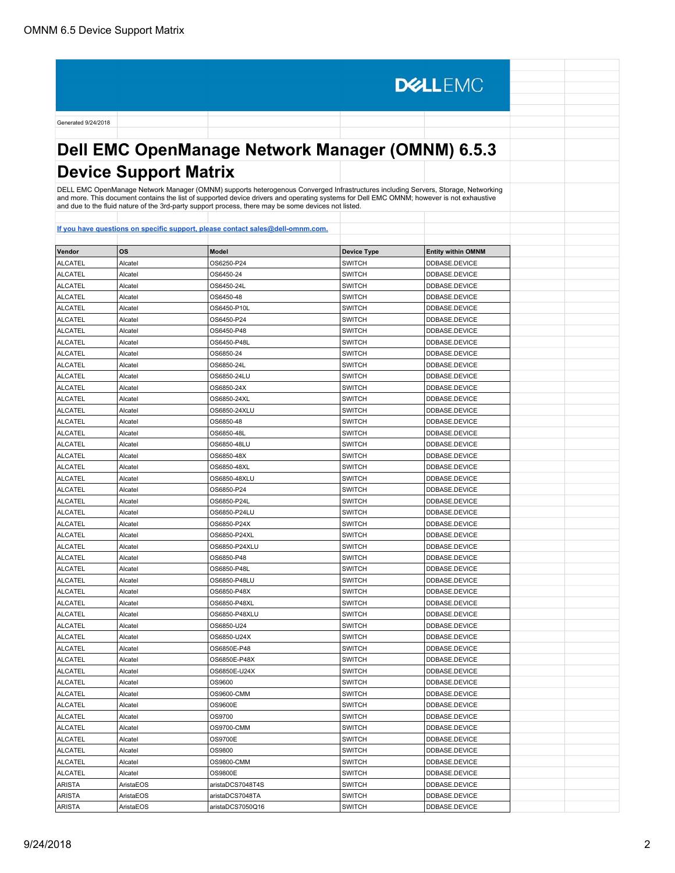**DELLEMC** Generated 9/24/2018 **Dell EMC OpenManage Network Manager (OMNM) 6.5.3 Device Support Matrix** DELL EMC OpenManage Network Manager (OMNM) supports heterogenous Converged Infrastructures including Servers, Storage, Networking and more. This document contains the list of supported device drivers and operating systems for Dell EMC OMNM; however is not exhaustive and due to the fluid nature of the 3rd-party support process, there may be some devices not listed. **[If you have questions on specific support, please contact sales@dell-omnm.com.](mailto:SALES@DELL-OMNM.COM) Vendor OS Model Device Type Entity within OMNM** ALCATEL Alcatel OS6250-P24 SWITCH DDBASE.DEVICE ALCATEL Alcatel OS6450-24 SWITCH DDBASE.DEVICE ALCATEL Alcatel OS6450-24L SWITCH DDBASE.DEVICE ALCATEL Alcatel OS6450-48 SWITCH DDBASE.DEVICE ALCATEL Alcatel OS6450-P10L SWITCH DDBASE.DEVICE ALCATEL Alcatel OS6450-P24 SWITCH DDBASE.DEVICE ALCATEL Alcatel OS6450-P48 SWITCH DDBASE.DEVICE ALCATEL Alcatel OS6450-P48L SWITCH DDBASE.DEVICE ALCATEL Alcatel OS6850-24 SWITCH DDBASE.DEVICE ALCATEL Alcatel **Alcatel OS6850-24L** SWITCH **DDBASE.DEVICE** ALCATEL Alcatel **Alcatel OS6850-24LU** SWITCH **DDBASE.DEVICE** ALCATEL Alcatel OS6850-24X SWITCH DDBASE.DEVICE ALCATEL Alcatel OS6850-24XL SWITCH DDBASE.DEVICE ALCATEL Alcatel Alcatel **OS6850-24XLU** SWITCH **DIDBASE.DEVICE** ALCATEL ALcatel Alcatel **Alcatel** OS6850-48 SWITCH **DDBASE.DEVICE** ALCATEL Alcatel **Alcatel COS6850-48L** ALCATEL **ALCATEL DEBASE.DEVICE** ALCATEL Alcatel OS6850-48LU SWITCH DDBASE.DEVICE ALCATEL Alcatel OS6850-48X SWITCH DDBASE.DEVICE ALCATEL Alcatel OS6850-48XL SWITCH DDBASE.DEVICE ALCATEL Alcatel OS6850-48XLU SWITCH DDBASE.DEVICE ALCATEL Alcatel Alcatel CS6850-P24 SWITCH SWITCH DDBASE.DEVICE ALCATEL Alcatel And Alcatel **OS6850-P24L** SWITCH **DDBASE.DEVICE** ALCATEL Alcatel Academy And Alcatel Alcatel Alcatel Alcatel Alcatel Alcatel Alcatel Alcatel Alcatel Alcatel Alcatel Alcatel Alcatel Alcatel Alcatel Alcatel Alcatel Alcatel Alcatel Alcatel Alcatel Alcatel Alcatel Alcatel Al ALCATEL Alcatel OS6850-P24X SWITCH DDBASE.DEVICE ALCATEL Alcatel OS6850-P24XL SWITCH DDBASE.DEVICE ALCATEL Alcatel OS6850-P24XLU SWITCH DDBASE.DEVICE ALCATEL Alcatel OS6850-P48 SWITCH DDBASE.DEVICE ALCATEL Alcatel OS6850-P48L SWITCH DDBASE.DEVICE ALCATEL Alcatel OS6850-P48LU SWITCH DDBASE.DEVICE ALCATEL Alcatel OS6850-P48X SWITCH DDBASE.DEVICE ALCATEL Alcatel Alcatel **DRIGHT ALCATEL ALCATEL** ALCATEL ALCATEL ALCATEL ALCATEL ALCATEL ALCATEL ALCATE ALCATE ALCATEL Alcatel Alcatel **OS6850-P48XLU** SWITCH SWITCH **DDBASE.DEVICE** ALCATEL Alcatel Alcatel **OS6850-U24** SWITCH **DDBASE.DEVICE** ALCATEL Alcatel Alcatel **OS6850-U24X** SWITCH **DDBASE.DEVICE** ALCATEL Alcatel Alcatel **OS6850E-P48** SWITCH BUCATEL **DDBASE.DEVICE** ALCATEL Alcatel Alcatel **OS6850E-P48X** SWITCH **DDBASE.DEVICE** ALCATEL Alcatel **Alcatel** Alcatel **Alcatel** OS6850E-U24X SWITCH SWITCH **DDBASE.DEVICE** ALCATEL Alcatel OS9600 SWITCH DDBASE.DEVICE ALCATEL Alcatel OS9600-CMM SWITCH DDBASE.DEVICE ALCATEL Alcatel OS9600E SWITCH DDBASE.DEVICE ALCATEL Alcatel OS9700 SWITCH DDBASE.DEVICE ALCATEL Alcatel Alcatel **OS9700-CMM** SWITCH **SWITCH DDBASE.DEVICE** ALCATEL Alcatel OS9700E SWITCH DDBASE.DEVICE ALCATEL Alcatel OS9800 SWITCH DDBASE.DEVICE ALCATEL Alcatel OS9800-CMM SWITCH DDBASE.DEVICE ALCATEL Alcatel OS9800E SWITCH DDBASE.DEVICE

ARISTA AristaEOS aristaDCS7048T4S SWITCH DDBASE.DEVICE ARISTA AristaEOS aristaDCS7048TA SWITCH DDBASE.DEVICE ARISTA AristaEOS aristaDCS7050Q16 SWITCH DDBASE.DEVICE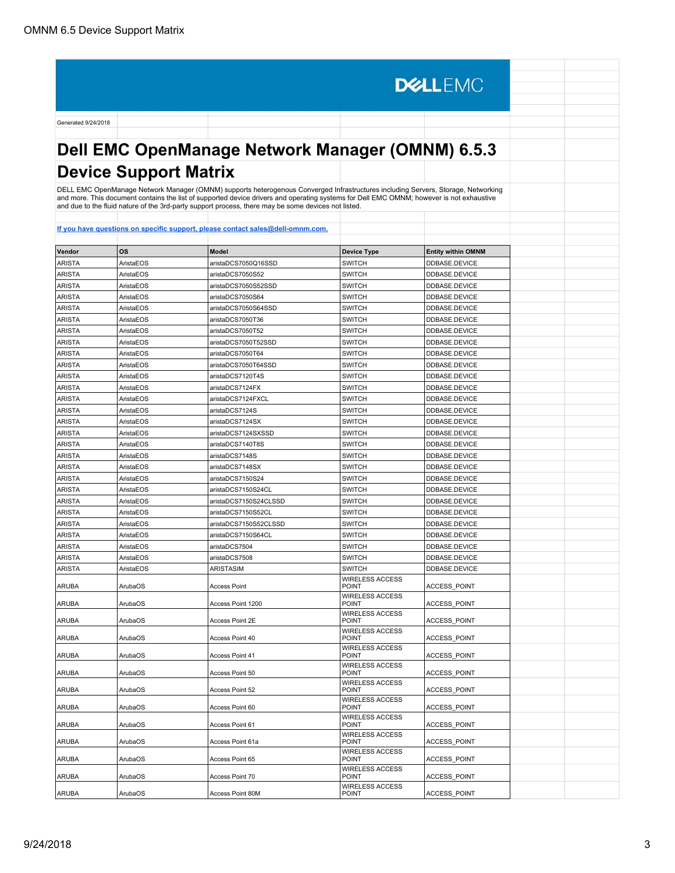**DELLEMC** Generated 9/24/2018 **Dell EMC OpenManage Network Manager (OMNM) 6.5.3 Device Support Matrix** DELL EMC OpenManage Network Manager (OMNM) supports heterogenous Converged Infrastructures including Servers, Storage, Networking and more. This document contains the list of supported device drivers and operating systems for Dell EMC OMNM; however is not exhaustive and due to the fluid nature of the 3rd-party support process, there may be some devices not listed. **[If you have questions on specific support, please contact sales@dell-omnm.com.](mailto:SALES@DELL-OMNM.COM) Vendor OS Model Device Type Entity within OMNM** ARISTA AristaEOS aristaDCS7050Q16SSD SWITCH DDBASE.DEVICE ARISTA AristaEOS aristaDCS7050S52 SWITCH DDBASE.DEVICE ARISTA AristaEOS aristaDCS7050S52SSD SWITCH DDBASE.DEVICE ARISTA AristaEOS aristaDCS7050S64 SWITCH DDBASE.DEVICE ARISTA AristaEOS aristaDCS7050S64SSD SWITCH DDBASE.DEVICE ARISTA AristaEOS aristaDCS7050T36 SWITCH DDBASE.DEVICE ARISTA AristaEOS aristaDCS7050T52 SWITCH DDBASE.DEVICE ARISTA AristaEOS aristaDCS7050T52SSD SWITCH DDBASE.DEVICE ARISTA AristaEOS aristaDCS7050T64 SWITCH DDBASE.DEVICE ARISTA AristaEOS aristaDCS7050T64SSD SWITCH DDBASE.DEVICE ARISTA AristaEOS aristaDCS7120T4S SWITCH DDBASE.DEVICE ARISTA AristaEOS aristaDCS7124FX SWITCH DDBASE.DEVICE ARISTA AristaEOS aristaDCS7124FXCL SWITCH DDBASE.DEVICE ARISTA AristaEOS aristaDCS7124S SWITCH DDBASE.DEVICE ARISTA AristaEOS aristaDCS7124SX SWITCH DDBASE.DEVICE ARISTA AristaEOS aristaDCS7124SXSSD SWITCH DDBASE.DEVICE ARISTA AristaEOS aristaDCS7140T8S SWITCH DDBASE.DEVICE ARISTA AristaEOS aristaDCS7148S SWITCH DDBASE.DEVICE ARISTA AristaEOS aristaDCS7148SX SWITCH DDBASE.DEVICE ARISTA AristaEOS aristaDCS7150S24 SWITCH DDBASE.DEVICE ARISTA AristaEOS aristaDCS7150S24CL SWITCH DDBASE.DEVICE ARISTA AristaEOS aristaDCS7150S24CLSSD SWITCH DDBASE.DEVICE ARISTA AristaEOS aristaDCS7150S52CL SWITCH DDBASE.DEVICE ARISTA AristaEOS aristaDCS7150S52CLSSD SWITCH DDBASE.DEVICE ARISTA AristaEOS aristaDCS7150S64CL SWITCH DDBASE.DEVICE ARISTA AristaEOS aristaDCS7504 SWITCH DDBASE.DEVICE ARISTA AristaEOS aristaDCS7508 SWITCH DDBASE.DEVICE ARISTA | AristaEOS | ARISTASIM | SWITCH | DDBASE.DEVICE WIRELESS ACCESS ARUBA ArubaOS Access Point POINT ACCESS\_POINT WIRELESS ACCESS<br>POINT ARUBA ArubaOS ARUBA ACCESS Point 1200 ACCESS\_POINT WIRELESS ACCESS ARUBA ArubaOS ARUBA Access Point 2E POINT **ACCESS** POINT WIRELESS ACCESS ARUBA | ArubaOS | Access Point 40 POINT RESERVE ACCESS POINT WIRELESS ACCESS ARUBA | ArubaOS | Access Point 41 POINT RESERVE ACCESS POINT WIRELESS ACCESS<br>POINT ARUBA | ArubaOS | Access Point 50 ACCESS\_POINT WIRELESS ACCESS<br>POINT ARUBA | ArubaOS | Access Point 52 ACCESS\_POINT WIRELESS ACCESS<br>POINT ARUBA | ArubaOS | Access Point 60 ACCESS\_POINT WIRELESS ACCESS ARUBA | ArubaOS | Access Point 61 ACCESS\_POINT WIRELESS ACCESS<br>POINT ARUBA | ArubaOS | Access Point 61a ACCESS\_POINT WIRELESS ACCESS<br>POINT ARUBA | ArubaOS | Access Point 65 ACCESS\_POINT WIRELESS ACCESS<br>POINT ARUBA | ArubaOS | Access Point 70 ACCESS\_POINT

WIRELESS ACCESS<br>POINT

ACCESS\_POINT

ARUBA | ArubaOS | Access Point 80M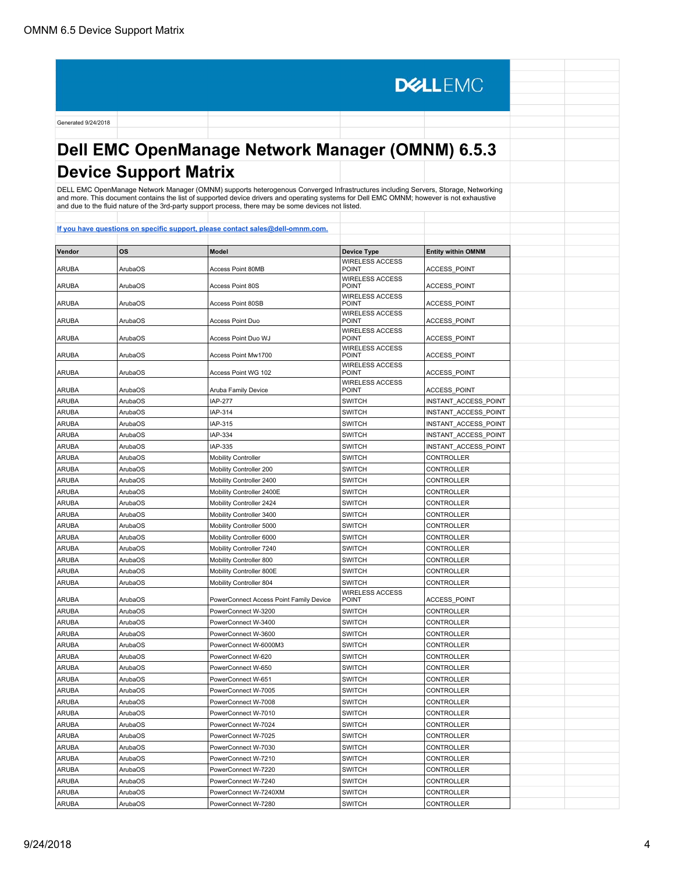**DELLEMC** Generated 9/24/2018 **Dell EMC OpenManage Network Manager (OMNM) 6.5.3 Device Support Matrix** DELL EMC OpenManage Network Manager (OMNM) supports heterogenous Converged Infrastructures including Servers, Storage, Networking and more. This document contains the list of supported device drivers and operating systems for Dell EMC OMNM; however is not exhaustive and due to the fluid nature of the 3rd-party support process, there may be some devices not listed. **[If you have questions on specific support, please contact sales@dell-omnm.com.](mailto:SALES@DELL-OMNM.COM) Vendor OS Model Device Type Entity within OMNM** WIRELESS ACCESS<br>POINT ARUBA | ArubaOS | Access Point 80MB POINT ACCESS\_POINT WIRELESS ACCESS<br>POINT ARUBA | ArubaOS | Access Point 80S ACCESS\_POINT WIRELESS ACCESS ARUBA | ArubaOS | Access Point 80SB POINT **ACCESS** POINT WIRELESS ACCESS<br>POINT ARUBA | ArubaOS | Access Point Duo ACCESS\_POINT WIRELESS ACCESS<br>POINT ARUBA | ArubaOS | Access Point Duo WJ ACCESS\_POINT WIRELESS ACCESS ARUBA | ArubaOS | Access Point Mw1700 ACCESS\_POINT WIRELESS ACCESS ARUBA | ArubaOS | Access Point WG 102 ACCESS\_POINT WIRELESS ACCESS<br>POINT ARUBA | ArubaOS | Aruba Family Device ACCESS\_POINT ARUBA ArubaOS | IAP-277 SWITCH | INSTANT\_ACCESS\_POINT ARUBA ArubaOS IAP-314 SWITCH INSTANT\_ACCESS\_POINT ARUBA |ArubaOS | |AP-315 | |AP-315 | |SWITCH |INSTANT\_ACCESS\_POINT ARUBA ArubaOS | ArubaOS | ARP-334 | ARP-334 | SWITCH | INSTANT ACCESS\_POINT ARUBA ArubaOS IAP-335 SWITCH INSTANT\_ACCESS\_POINT ARUBA | ArubaOS | Mobility Controller SWITCH Norman | SWITCH | CONTROLLER ARUBA ARUBA ArubaOS Mobility Controller 200 SWITCH CONTROLLER ARUBA ArubaOS Mobility Controller 2400 SWITCH CONTROLLER ARUBA ArubaOS Mobility Controller 2400E SWITCH CONTROLLER ARUBA ArubaOS Mobility Controller 2424 SWITCH CONTROLLER ARUBA ArubaOS Mobility Controller 3400 SWITCH CONTROLLER ARUBA ArubaOS Mobility Controller 5000 SWITCH CONTROLLER ARUBA ArubaOS Mobility Controller 6000 SWITCH CONTROLLER ARUBA ArubaOS Mobility Controller 7240 SWITCH CONTROLLER ARUBA ArubaOS Mobility Controller 800 SWITCH CONTROLLER ARUBA ArubaOS Mobility Controller 800E SWITCH CONTROLLER ARUBA ArubaOS Mobility Controller 804 SWITCH CONTROLLER WIRELESS ACCESS ARUBA ArubaOS PowerConnect Access Point Family Device POINT |<br>POINT |<br>ACCESS\_POINT ARUBA ArubaOS PowerConnect W-3200 SWITCH CONTROLLER ARUBA ArubaOS PowerConnect W-3400 SWITCH CONTROLLER ARUBA ArubaOS PowerConnect W-3600 SWITCH CONTROLLER ARUBA ArubaOS PowerConnect W-6000M3 SWITCH CONTROLLER ARUBA ArubaOS PowerConnect W-620 SWITCH CONTROLLER ARUBA ArubaOS PowerConnect W-650 SWITCH CONTROLLER

ARUBA ArubaOS PowerConnect W-651 SWITCH CONTROLLER ARUBA ArubaOS PowerConnect W-7005 SWITCH CONTROLLER ARUBA ArubaOS PowerConnect W-7008 SWITCH CONTROLLER ARUBA ARUBA ARUBA ARUBA ARUBA ARUBA ARUBA ARUBA ARUBA ARUBA ARUBA ARUBA ARUBA ARUBA ARUBA ARUBA ARUBA ARUBA AR ARUBA ARUBA ARUBA ARUBA ARUBA ARUBA ARUBA ARUBA ARUBA ARUBA ARUBA ARUBA ARUBA ARUBA ARUBA ARUBA ARUBA ARUBA A ARUBA ARUBA ARUBA ARUBA ARUBA ARUBA ARUBA ARUBA ARUBA ARUBA ARUBA ARUBA ARUBA ARUBA ARUBA ARUBA ARUBA ARUBA A ARUBA ArubaOS PowerConnect W-7030 SWITCH CONTROLLER ARUBA ArubaOS PowerConnect W-7210 SWITCH CONTROLLER ARUBA ArubaOS PowerConnect W-7220 SWITCH CONTROLLER ARUBA ArubaOS PowerConnect W-7240 SWITCH CONTROLLER ARUBA ArubaOS PowerConnect W-7240XM SWITCH CONTROLLER ARUBA ArubaOS PowerConnect W-7280 SWITCH CONTROLLER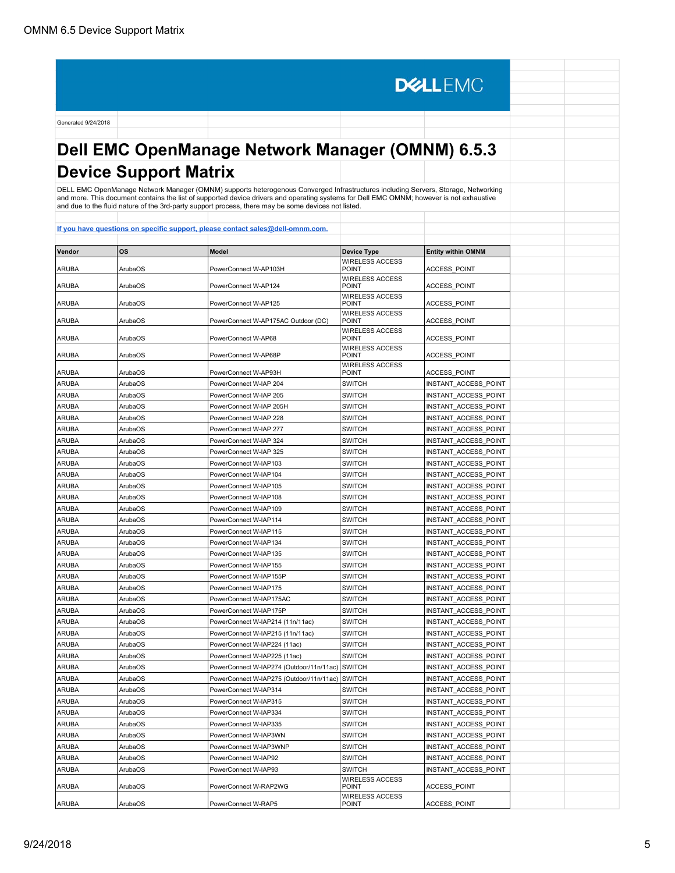# **Dell EMC OpenManage Network Manager (OMNM) 6.5.3 Device Support Matrix**

**DELLEMC** 

DELL EMC OpenManage Network Manager (OMNM) supports heterogenous Converged Infrastructures including Servers, Storage, Networking<br>and more. This document contains the list of supported device drivers and operating systems

| Vendor       | <b>OS</b>      | Model                                    | <b>Device Type</b>                     | <b>Entity within OMNM</b>   |  |
|--------------|----------------|------------------------------------------|----------------------------------------|-----------------------------|--|
| <b>ARUBA</b> | ArubaOS        | PowerConnect W-AP103H                    | <b>WIRELESS ACCESS</b><br>POINT        | ACCESS POINT                |  |
| <b>ARUBA</b> | ArubaOS        | PowerConnect W-AP124                     | <b>WIRELESS ACCESS</b><br><b>POINT</b> | <b>ACCESS POINT</b>         |  |
| <b>ARUBA</b> | ArubaOS        | PowerConnect W-AP125                     | <b>WIRELESS ACCESS</b><br><b>POINT</b> | <b>ACCESS POINT</b>         |  |
|              |                |                                          | <b>WIRELESS ACCESS</b>                 |                             |  |
| <b>ARUBA</b> | ArubaOS        | PowerConnect W-AP175AC Outdoor (DC)      | POINT                                  | ACCESS POINT                |  |
| <b>ARUBA</b> | ArubaOS        | PowerConnect W-AP68                      | <b>WIRELESS ACCESS</b><br><b>POINT</b> | <b>ACCESS POINT</b>         |  |
| ARUBA        | ArubaOS        | PowerConnect W-AP68P                     | <b>WIRELESS ACCESS</b><br><b>POINT</b> | <b>ACCESS POINT</b>         |  |
| <b>ARUBA</b> | ArubaOS        | PowerConnect W-AP93H                     | <b>WIRELESS ACCESS</b><br><b>POINT</b> | <b>ACCESS POINT</b>         |  |
| <b>ARUBA</b> | ArubaOS        | PowerConnect W-IAP 204                   | <b>SWITCH</b>                          | INSTANT ACCESS POINT        |  |
| <b>ARUBA</b> | ArubaOS        | PowerConnect W-IAP 205                   | <b>SWITCH</b>                          | INSTANT ACCESS POINT        |  |
| <b>ARUBA</b> | ArubaOS        | PowerConnect W-IAP 205H                  | <b>SWITCH</b>                          | INSTANT ACCESS POINT        |  |
| <b>ARUBA</b> | ArubaOS        | PowerConnect W-IAP 228                   | <b>SWITCH</b>                          | INSTANT ACCESS POINT        |  |
| <b>ARUBA</b> | ArubaOS        | PowerConnect W-IAP 277                   | <b>SWITCH</b>                          | INSTANT ACCESS POINT        |  |
| <b>ARUBA</b> | ArubaOS        | PowerConnect W-IAP 324                   | <b>SWITCH</b>                          | INSTANT ACCESS POINT        |  |
| <b>ARUBA</b> | ArubaOS        | PowerConnect W-IAP 325                   | <b>SWITCH</b>                          | INSTANT ACCESS POINT        |  |
| <b>ARUBA</b> | ArubaOS        | PowerConnect W-IAP103                    | <b>SWITCH</b>                          | INSTANT ACCESS POINT        |  |
| <b>ARUBA</b> | ArubaOS        | PowerConnect W-IAP104                    | <b>SWITCH</b>                          | INSTANT ACCESS POINT        |  |
| <b>ARUBA</b> | ArubaOS        | PowerConnect W-IAP105                    | <b>SWITCH</b>                          | INSTANT ACCESS POINT        |  |
| <b>ARUBA</b> | ArubaOS        | PowerConnect W-IAP108                    | <b>SWITCH</b>                          | INSTANT ACCESS POINT        |  |
| ARUBA        | ArubaOS        | PowerConnect W-IAP109                    | <b>SWITCH</b>                          | <b>INSTANT ACCESS POINT</b> |  |
| ARUBA        | ArubaOS        | PowerConnect W-IAP114                    | <b>SWITCH</b>                          | <b>INSTANT ACCESS POINT</b> |  |
| ARUBA        | ArubaOS        | PowerConnect W-IAP115                    | <b>SWITCH</b>                          | INSTANT ACCESS POINT        |  |
| <b>ARUBA</b> | ArubaOS        | PowerConnect W-IAP134                    | <b>SWITCH</b>                          | INSTANT ACCESS POINT        |  |
| <b>ARUBA</b> | ArubaOS        | PowerConnect W-IAP135                    | <b>SWITCH</b>                          | INSTANT ACCESS POINT        |  |
| <b>ARUBA</b> | ArubaOS        | PowerConnect W-IAP155                    | <b>SWITCH</b>                          | INSTANT ACCESS POINT        |  |
| <b>ARUBA</b> | ArubaOS        | PowerConnect W-IAP155P                   | <b>SWITCH</b>                          | INSTANT ACCESS POINT        |  |
| <b>ARUBA</b> | ArubaOS        | PowerConnect W-IAP175                    | <b>SWITCH</b>                          | INSTANT ACCESS POINT        |  |
| <b>ARUBA</b> | ArubaOS        | PowerConnect W-IAP175AC                  | <b>SWITCH</b>                          | INSTANT_ACCESS_POINT        |  |
| <b>ARUBA</b> | ArubaOS        | PowerConnect W-IAP175P                   | <b>SWITCH</b>                          | INSTANT ACCESS POINT        |  |
| <b>ARUBA</b> | ArubaOS        | PowerConnect W-IAP214 (11n/11ac)         | <b>SWITCH</b>                          | INSTANT ACCESS POINT        |  |
| <b>ARUBA</b> | ArubaOS        | PowerConnect W-IAP215 (11n/11ac)         | <b>SWITCH</b>                          | INSTANT_ACCESS_POINT        |  |
| <b>ARUBA</b> | ArubaOS        | PowerConnect W-IAP224 (11ac)             | <b>SWITCH</b>                          | INSTANT ACCESS POINT        |  |
| <b>ARUBA</b> | ArubaOS        | PowerConnect W-IAP225 (11ac)             | <b>SWITCH</b>                          | INSTANT ACCESS POINT        |  |
| <b>ARUBA</b> | ArubaOS        | PowerConnect W-IAP274 (Outdoor/11n/11ac) | <b>SWITCH</b>                          | INSTANT ACCESS POINT        |  |
| <b>ARUBA</b> | ArubaOS        | PowerConnect W-IAP275 (Outdoor/11n/11ac) | <b>SWITCH</b>                          | INSTANT ACCESS POINT        |  |
| <b>ARUBA</b> | ArubaOS        | PowerConnect W-IAP314                    | <b>SWITCH</b>                          | INSTANT ACCESS POINT        |  |
| <b>ARUBA</b> | ArubaOS        | PowerConnect W-IAP315                    | <b>SWITCH</b>                          | INSTANT ACCESS POINT        |  |
| <b>ARUBA</b> | ArubaOS        | PowerConnect W-IAP334                    | <b>SWITCH</b>                          | INSTANT ACCESS POINT        |  |
| <b>ARUBA</b> | ArubaOS        | PowerConnect W-IAP335                    | <b>SWITCH</b>                          | INSTANT ACCESS POINT        |  |
| <b>ARUBA</b> | ArubaOS        | PowerConnect W-IAP3WN                    | <b>SWITCH</b>                          | INSTANT ACCESS POINT        |  |
| <b>ARUBA</b> | ArubaOS        | PowerConnect W-IAP3WNP                   | <b>SWITCH</b>                          | INSTANT ACCESS POINT        |  |
| <b>ARUBA</b> | ArubaOS        | PowerConnect W-IAP92                     | <b>SWITCH</b>                          | INSTANT ACCESS POINT        |  |
| ARUBA        | ArubaOS        | PowerConnect W-IAP93                     | <b>SWITCH</b>                          | INSTANT ACCESS POINT        |  |
| <b>ARUBA</b> | <b>ArubaOS</b> | PowerConnect W-RAP2WG                    | <b>WIRELESS ACCESS</b><br><b>POINT</b> | <b>ACCESS POINT</b>         |  |
| ARUBA        | ArubaOS        | PowerConnect W-RAP5                      | <b>WIRELESS ACCESS</b><br><b>POINT</b> | <b>ACCESS POINT</b>         |  |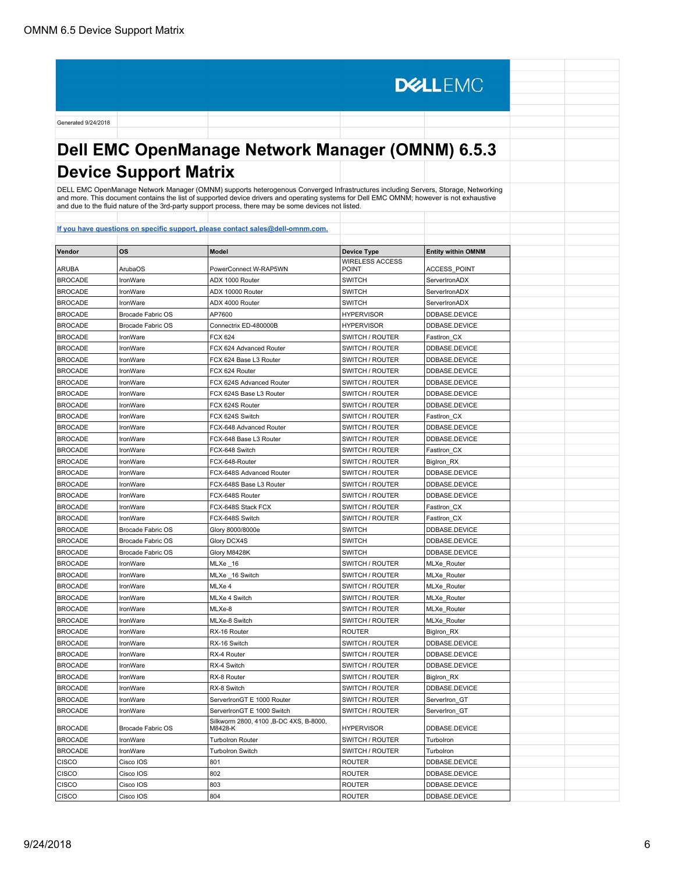# **Dell EMC OpenManage Network Manager (OMNM) 6.5.3 Device Support Matrix**

**DELLEMC** 

DELL EMC OpenManage Network Manager (OMNM) supports heterogenous Converged Infrastructures including Servers, Storage, Networking<br>and more. This document contains the list of supported device drivers and operating systems

| Vendor         | <b>OS</b>                | <b>Model</b>                                      | <b>Device Type</b><br><b>WIRELESS ACCESS</b> | <b>Entity within OMNM</b> |  |
|----------------|--------------------------|---------------------------------------------------|----------------------------------------------|---------------------------|--|
| <b>ARUBA</b>   | ArubaOS                  | PowerConnect W-RAP5WN                             | <b>POINT</b>                                 | <b>ACCESS POINT</b>       |  |
| <b>BROCADE</b> | IronWare                 | ADX 1000 Router                                   | <b>SWITCH</b>                                | ServerIronADX             |  |
| <b>BROCADE</b> | IronWare                 | ADX 10000 Router                                  | <b>SWITCH</b>                                | ServerIronADX             |  |
| <b>BROCADE</b> | IronWare                 | ADX 4000 Router                                   | <b>SWITCH</b>                                | ServerIronADX             |  |
| <b>BROCADE</b> | Brocade Fabric OS        | AP7600                                            | <b>HYPERVISOR</b>                            | DDBASE.DEVICE             |  |
| <b>BROCADE</b> | Brocade Fabric OS        | Connectrix ED-480000B                             | <b>HYPERVISOR</b>                            | DDBASE.DEVICE             |  |
| <b>BROCADE</b> | IronWare                 | <b>FCX 624</b>                                    | SWITCH / ROUTER                              | FastIron_CX               |  |
| <b>BROCADE</b> | IronWare                 | FCX 624 Advanced Router                           | SWITCH / ROUTER                              | DDBASE.DEVICE             |  |
| <b>BROCADE</b> | IronWare                 | FCX 624 Base L3 Router                            | SWITCH / ROUTER                              | DDBASE.DEVICE             |  |
| <b>BROCADE</b> | IronWare                 | FCX 624 Router                                    | SWITCH / ROUTER                              | DDBASE.DEVICE             |  |
| <b>BROCADE</b> | IronWare                 | FCX 624S Advanced Router                          | SWITCH / ROUTER                              | DDBASE.DEVICE             |  |
| <b>BROCADE</b> | IronWare                 | FCX 624S Base L3 Router                           | SWITCH / ROUTER                              | DDBASE.DEVICE             |  |
| <b>BROCADE</b> | IronWare                 | FCX 624S Router                                   | SWITCH / ROUTER                              | <b>DDBASE.DEVICE</b>      |  |
| <b>BROCADE</b> | IronWare                 | FCX 624S Switch                                   | SWITCH / ROUTER                              | FastIron CX               |  |
| <b>BROCADE</b> | IronWare                 | FCX-648 Advanced Router                           | SWITCH / ROUTER                              | DDBASE.DEVICE             |  |
| <b>BROCADE</b> | IronWare                 | FCX-648 Base L3 Router                            | SWITCH / ROUTER                              | DDBASE.DEVICE             |  |
| <b>BROCADE</b> | IronWare                 | FCX-648 Switch                                    | SWITCH / ROUTER                              | FastIron CX               |  |
| <b>BROCADE</b> | IronWare                 | FCX-648-Router                                    | SWITCH / ROUTER                              | BigIron_RX                |  |
| <b>BROCADE</b> | IronWare                 | FCX-648S Advanced Router                          | SWITCH / ROUTER                              | DDBASE.DEVICE             |  |
| <b>BROCADE</b> | IronWare                 | FCX-648S Base L3 Router                           | SWITCH / ROUTER                              | DDBASE.DEVICE             |  |
| <b>BROCADE</b> | IronWare                 | FCX-648S Router                                   | SWITCH / ROUTER                              | DDBASE.DEVICE             |  |
| <b>BROCADE</b> | IronWare                 | FCX-648S Stack FCX                                | SWITCH / ROUTER                              | FastIron CX               |  |
| <b>BROCADE</b> | IronWare                 | FCX-648S Switch                                   | SWITCH / ROUTER                              | FastIron_CX               |  |
| <b>BROCADE</b> | Brocade Fabric OS        | Glory 8000/8000e                                  | <b>SWITCH</b>                                | DDBASE.DEVICE             |  |
| <b>BROCADE</b> | <b>Brocade Fabric OS</b> | Glory DCX4S                                       | <b>SWITCH</b>                                | DDBASE.DEVICE             |  |
| <b>BROCADE</b> | Brocade Fabric OS        | Glory M8428K                                      | <b>SWITCH</b>                                | DDBASE.DEVICE             |  |
| <b>BROCADE</b> | IronWare                 | MLXe _16                                          | SWITCH / ROUTER                              | MLXe Router               |  |
| <b>BROCADE</b> | IronWare                 | MLXe _16 Switch                                   | SWITCH / ROUTER                              | MLXe_Router               |  |
| <b>BROCADE</b> | IronWare                 | MLXe 4                                            | SWITCH / ROUTER                              | MLXe_Router               |  |
| <b>BROCADE</b> | IronWare                 | MLXe 4 Switch                                     | SWITCH / ROUTER                              | MLXe_Router               |  |
| <b>BROCADE</b> | IronWare                 | MLXe-8                                            | SWITCH / ROUTER                              | MLXe_Router               |  |
| <b>BROCADE</b> | IronWare                 | MLXe-8 Switch                                     | SWITCH / ROUTER                              | MLXe_Router               |  |
| <b>BROCADE</b> | IronWare                 | RX-16 Router                                      | <b>ROUTER</b>                                | BigIron_RX                |  |
| <b>BROCADE</b> | IronWare                 | RX-16 Switch                                      | SWITCH / ROUTER                              | DDBASE.DEVICE             |  |
| <b>BROCADE</b> | IronWare                 | RX-4 Router                                       | SWITCH / ROUTER                              | DDBASE.DEVICE             |  |
| <b>BROCADE</b> | IronWare                 | RX-4 Switch                                       | SWITCH / ROUTER                              | DDBASE.DEVICE             |  |
| <b>BROCADE</b> | IronWare                 | RX-8 Router                                       | SWITCH / ROUTER                              | BigIron RX                |  |
| <b>BROCADE</b> | IronWare                 | RX-8 Switch                                       | SWITCH / ROUTER                              | DDBASE.DEVICE             |  |
| <b>BROCADE</b> | IronWare                 | ServerIronGT E 1000 Router                        | SWITCH / ROUTER                              | ServerIron GT             |  |
| <b>BROCADE</b> | IronWare                 | ServerIronGT E 1000 Switch                        | SWITCH / ROUTER                              | ServerIron_GT             |  |
| <b>BROCADE</b> | Brocade Fabric OS        | Silkworm 2800, 4100 ,B-DC 4XS, B-8000,<br>M8428-K | <b>HYPERVISOR</b>                            | DDBASE.DEVICE             |  |
| <b>BROCADE</b> | IronWare                 | <b>Turbolron Router</b>                           | SWITCH / ROUTER                              | Turbolron                 |  |
| <b>BROCADE</b> | IronWare                 | <b>Turbolron Switch</b>                           | SWITCH / ROUTER                              | Turbolron                 |  |
| <b>CISCO</b>   | Cisco IOS                | 801                                               | <b>ROUTER</b>                                | DDBASE.DEVICE             |  |
| <b>CISCO</b>   | Cisco IOS                | 802                                               | <b>ROUTER</b>                                | DDBASE.DEVICE             |  |
| CISCO          | Cisco IOS                | 803                                               | <b>ROUTER</b>                                | DDBASE.DEVICE             |  |
| <b>CISCO</b>   | Cisco IOS                | 804                                               | <b>ROUTER</b>                                | DDBASE.DEVICE             |  |
|                |                          |                                                   |                                              |                           |  |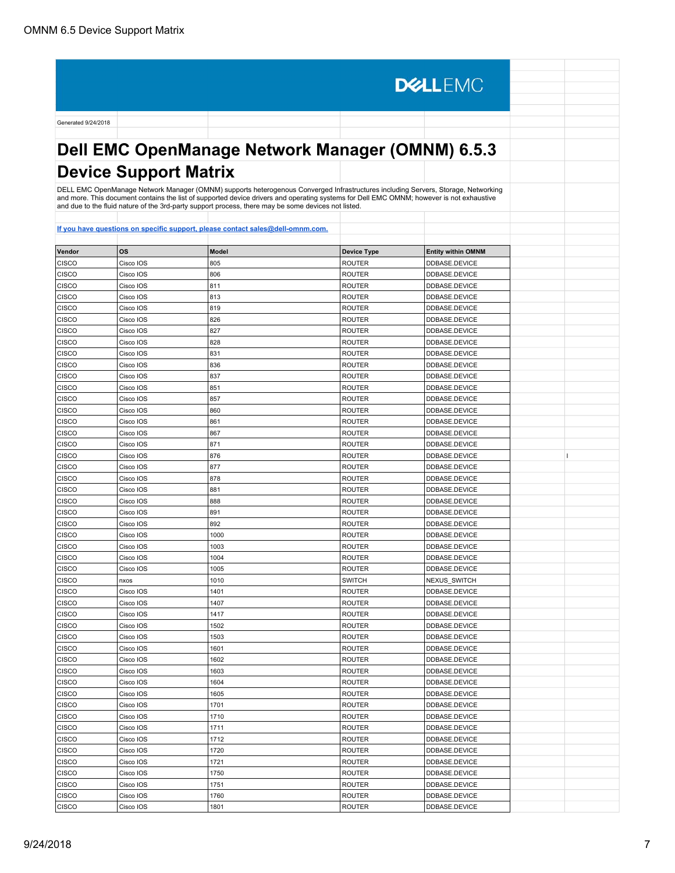**DELLEMC** Generated 9/24/2018 **Dell EMC OpenManage Network Manager (OMNM) 6.5.3 Device Support Matrix** DELL EMC OpenManage Network Manager (OMNM) supports heterogenous Converged Infrastructures including Servers, Storage, Networking and more. This document contains the list of supported device drivers and operating systems for Dell EMC OMNM; however is not exhaustive and due to the fluid nature of the 3rd-party support process, there may be some devices not listed. **[If you have questions on specific support, please contact sales@dell-omnm.com.](mailto:SALES@DELL-OMNM.COM) Vendor OS Model Device Type Entity within OMNM** CISCO |Cisco IOS |805 |ROUTER |DDBASE.DEVICE CISCO | Cisco IOS | 806 | ROUTER | DIDBASE.DEVICE CISCO |Cisco IOS |811 |ROUTER |DDBASE.DEVICE CISCO CISCO IOS 813 ROUTER DDBASE.DEVICE CISCO |Cisco IOS |819 |ROUTER |DDBASE.DEVICE CISCO |Cisco IOS |826 |ROUTER |DDBASE.DEVICE CISCO | Cisco IOS | 827 | ROUTER | DIDBASE.DEVICE CISCO |Cisco IOS |828 |ROUTER |DDBASE.DEVICE CISCO Cisco IOS 831 ROUTER DDBASE.DEVICE CISCO Cisco IOS 836 836 ROUTER DDBASE.DEVICE CISCO Cisco IOS 837 ROUTER DDBASE.DEVICE CISCO | Cisco IOS | 851 | 851 | ROUTER | DIDBASE.DEVICE CISCO |Cisco IOS |857 |ROUTER |DDBASE.DEVICE CISCO CISCO IOS 860 ROUTER DDBASE.DEVICE CISCO CISCO CISCO IOS 861 861 ROUTER DEVICE DEVICE CISCO Cisco IOS 867 867 ROUTER DDBASE.DEVICE CISCO |Cisco IOS |871 |ROUTER |DDBASE.DEVICE CISCO |Cisco IOS |876 |ROUTER |DDBASE.DEVICE | |I CISCO | Cisco IOS | 877 | ROUTER | DIDBASE.DEVICE CISCO |Cisco IOS |878 |ROUTER |DDBASE.DEVICE CISCO Cisco IOS 881 881 ROUTER DDBASE.DEVICE CISCO CIsco IOS 888 886 ROUTER DDBASE.DEVICE CISCO CIsco IOS 891 891 ROUTER DDBASE.DEVICE CISCO |Cisco IOS |892 |ROUTER |DDBASE.DEVICE CISCO Cisco IOS 1000 ROUTER DDBASE.DEVICE CISCO | Cisco IOS | 1003 | ROUTER | DDBASE.DEVICE CISCO Cisco IOS 1004 ROUTER DDBASE.DEVICE CISCO | Cisco IOS | 1005 | 2005 | ROUTER | DIDBASE.DEVICE CISCO | |nxos |1010 |SWITCH |NEXUS\_SWITCH CISCO Cisco IOS 1401 ROUTER DDBASE.DEVICE CISCO CISCO IOS 1407 ROUTER DEVICE DEVICE CISCO Cisco IOS 1417 1417 ROUTER DDBASE.DEVICE CISCO Cisco IOS 1502 ROUTER DDBASE.DEVICE CISCO CISCO IOS 1503 ROUTER DDBASE.DEVICE CISCO CISCO CISCO CISCO CISCO CISCO CISCO CISCO CISCO CISCO CISCO CISCO CISCO CISCO CISCO CISCO CISCO CISCO CISCO CISCO CISCO CISCO CISCO CISCO CISCO CISCO CISCO CISCO CISCO CISCO CISCO CISCO CISCO CISCO CISCO CISCO CISCO CISCO Cisco IOS 1602 ROUTER DDBASE.DEVICE CISCO CISCO IOS 1603 ROUTER DDBASE.DEVICE CISCO | Cisco IOS | 1604 | 2000 | ROUTER | DIDBASE.DEVICE CISCO |Cisco IOS |1605 |ROUTER |DDBASE.DEVICE CISCO | Cisco IOS | 1701 | 2001 | ROUTER | DINASE.DEVICE CISCO Cisco IOS 1710 ROUTER DDBASE.DEVICE CISCO CISCO IOS 1711 ROUTER DDBASE.DEVICE CISCO Cisco IOS 1712 ROUTER DDBASE.DEVICE CISCO |Cisco IOS |1720 |ROUTER |DDBASE.DEVICE CISCO Cisco IOS 1721 ROUTER DDBASE.DEVICE

CISCO Cisco IOS 1750 ROUTER DDBASE.DEVICE CISCO | Cisco IOS | 1751 | 2000 | 2000 | ROUTER | DINASE.DEVICE CISCO Cisco IOS 1760 ROUTER DDBASE.DEVICE CISCO Cisco IOS 1801 1901 ROUTER DDBASE.DEVICE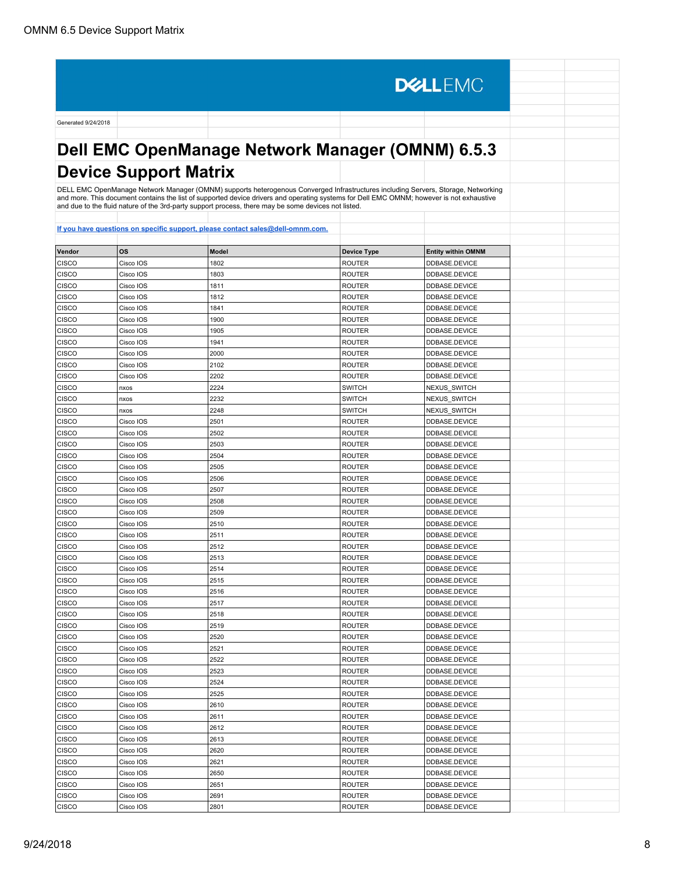**DELLEMC** Generated 9/24/2018 **Dell EMC OpenManage Network Manager (OMNM) 6.5.3 Device Support Matrix** DELL EMC OpenManage Network Manager (OMNM) supports heterogenous Converged Infrastructures including Servers, Storage, Networking and more. This document contains the list of supported device drivers and operating systems for Dell EMC OMNM; however is not exhaustive and due to the fluid nature of the 3rd-party support process, there may be some devices not listed. **[If you have questions on specific support, please contact sales@dell-omnm.com.](mailto:SALES@DELL-OMNM.COM) Vendor OS Model Device Type Entity within OMNM** CISCO |Cisco IOS |1802 |ROUTER |DDBASE.DEVICE CISCO | Cisco IOS | 1803 | 2003 | ROUTER | DIDBASE.DEVICE CISCO Cisco IOS 1811 ROUTER DDBASE.DEVICE CISCO CISCO IOS 1812 ROUTER DDBASE.DEVICE CISCO |Cisco IOS |1841 |ROUTER |DDBASE.DEVICE CISCO Cisco IOS 1900 ROUTER DDBASE.DEVICE CISCO | Cisco IOS | 1905 | 2005 | ROUTER | DIDBASE.DEVICE CISCO Cisco IOS 1941 ROUTER DDBASE.DEVICE CISCO Cisco IOS 2000 ROUTER DDBASE.DEVICE CISCO Cisco IOS 2102 ROUTER DDBASE.DEVICE CISCO Cisco IOS 2202 202 ROUTER DDBASE.DEVICE CISCO nxos 2224 SWITCH NEXUS\_SWITCH CISCO | |nxos |2232 |SWITCH |NEXUS\_SWITCH CISCO | <sub>I</sub>nxos | 2248 | 2248 | SWITCH | NEXUS SWITCH CISCO CISCO CISCO IOS 2501 2501 ROUTER DEVICE CISCO Cisco IOS 2502 ROUTER DDBASE.DEVICE CISCO |Cisco IOS |2503 |ROUTER |DDBASE.DEVICE CISCO Cisco IOS 2504 ROUTER DDBASE.DEVICE CISCO | Cisco IOS | 2505 | 2505 | ROUTER | DIDBASE.DEVICE CISCO |Cisco IOS |2506 |ROUTER |DDBASE.DEVICE CISCO Cisco IOS 2507 2507 ROUTER DDBASE.DEVICE CISCO CIsco IOS 2508 ROUTER DDBASE.DEVICE CISCO Cisco IOS 2509 2509 ROUTER DDBASE.DEVICE CISCO Cisco IOS 2510 ROUTER DDBASE.DEVICE CISCO Cisco IOS 2511 ROUTER DDBASE.DEVICE CISCO | Cisco IOS | 2512 | 2512 | ROUTER | DIDBASE.DEVICE CISCO Cisco IOS 2513 ROUTER DDBASE.DEVICE CISCO | Cisco IOS | 2514 | 2514 | ROUTER | DIDBASE.DEVICE CISCO Cisco IOS 2515 ROUTER DDBASE.DEVICE CISCO Cisco IOS 2516 ROUTER DDBASE.DEVICE CISCO CISCO IOS 2517 ROUTER DDBASE.DEVICE CISCO Cisco IOS 2518 ROUTER DDBASE.DEVICE CISCO Cisco IOS 2519 2519 ROUTER DDBASE.DEVICE CISCO CISCO IOS 2520 ROUTER DDBASE.DEVICE CISCO CISCO CISCO CISCO CISCO CISCO CISCO CISCO CISCO CISCO CISCO CISCO CISCO CISCO CISCO CISCO CISCO CISCO CISCO CISCO CISCO CISCO CISCO CISCO CISCO CISCO CISCO CISCO CISCO CISCO CISCO CISCO CISCO CISCO CISCO CISCO CISCO CISCO Cisco IOS 2522 ROUTER DDBASE.DEVICE CISCO CISCO IOS 2523 ROUTER DDBASE.DEVICE CISCO | Cisco IOS | 2524 | 2524 | ROUTER | DIDBASE.DEVICE CISCO Cisco IOS 2525 ROUTER DDBASE.DEVICE CISCO | Cisco IOS | 2610 | 2610 | ROUTER | DDBASE.DEVICE CISCO Cisco IOS 2611 ROUTER DDBASE.DEVICE CISCO CISCO IOS 2612 ROUTER DDBASE.DEVICE CISCO Cisco IOS 2613 ROUTER DDBASE.DEVICE CISCO |Cisco IOS |2620 |ROUTER |DDBASE.DEVICE

CISCO | Cisco IOS | 2621 | 2621 | ROUTER | DDBASE.DEVICE CISCO Cisco IOS 2650 ROUTER DDBASE.DEVICE CISCO | Cisco IOS | 2651 | 2651 | ROUTER | DIDBASE.DEVICE CISCO Cisco IOS 2691 ROUTER DDBASE.DEVICE CISCO Cisco IOS 2801 2801 ROUTER DDBASE.DEVICE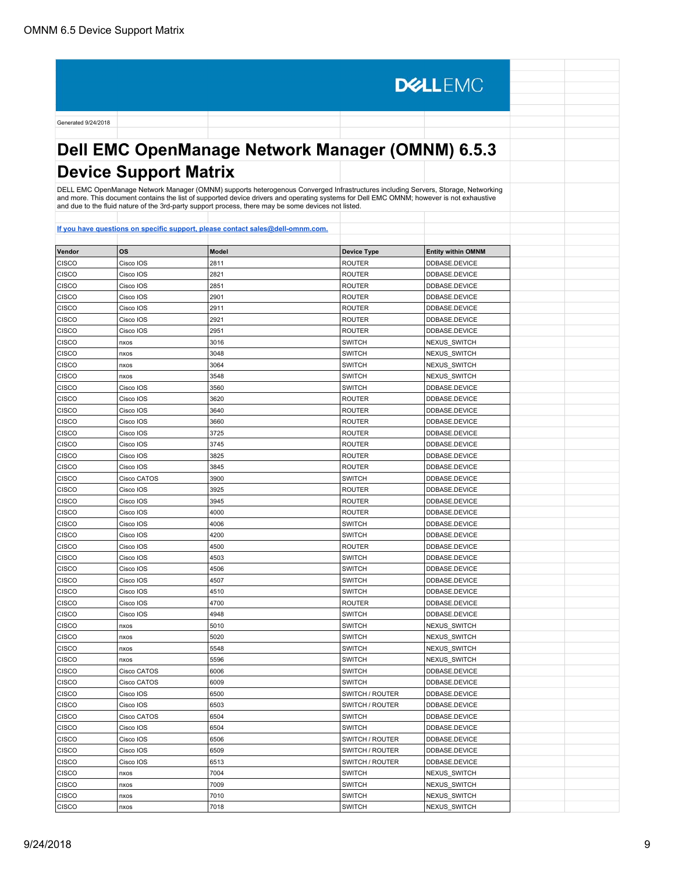**DELLEMC** Generated 9/24/2018 **Dell EMC OpenManage Network Manager (OMNM) 6.5.3 Device Support Matrix** DELL EMC OpenManage Network Manager (OMNM) supports heterogenous Converged Infrastructures including Servers, Storage, Networking and more. This document contains the list of supported device drivers and operating systems for Dell EMC OMNM; however is not exhaustive and due to the fluid nature of the 3rd-party support process, there may be some devices not listed. **[If you have questions on specific support, please contact sales@dell-omnm.com.](mailto:SALES@DELL-OMNM.COM) Vendor OS Model Device Type Entity within OMNM** CISCO CISCO IOS 2811 2811 ROUTER DDBASE.DEVICE CISCO | Cisco IOS | 2821 | 2821 | ROUTER | DDBASE.DEVICE CISCO Cisco IOS 2851 ROUTER DDBASE.DEVICE CISCO Cisco IOS 2901 ROUTER DDBASE.DEVICE CISCO Cisco IOS 2911 ROUTER DDBASE.DEVICE CISCO Cisco IOS 2921 ROUTER DDBASE.DEVICE CISCO | Cisco IOS | 2951 | 2951 | ROUTER | DIDBASE.DEVICE CISCO | |nxos |3016 |SWITCH |NEXUS\_SWITCH CISCO nxos 3048 SWITCH NEXUS\_SWITCH CISCO nxos 3064 3064 SWITCH NEXUS SWITCH CISCO | |nxos |3548 |SWITCH |NEXUS\_SWITCH CISCO CISCO IOS 3560 SWITCH DDBASE.DEVICE CISCO |Cisco IOS |3620 |ROUTER |DDBASE.DEVICE CISCO Cisco IOS 3640 ROUTER DDBASE.DEVICE CISCO CISCO CISCO IOS 3660 ROUTER DEVICE DEVICE CISCO Cisco IOS 3725 ROUTER DDBASE.DEVICE CISCO Cisco IOS 3745 ROUTER DDBASE.DEVICE CISCO Cisco IOS 3825 ROUTER DDBASE.DEVICE CISCO | Cisco IOS | 3845 | 3845 | 2001 | ROUTER | DIDBASE.DEVICE CISCO |Cisco CATOS |3900 |SWITCH |DDBASE.DEVICE CISCO Cisco IOS 3925 ROUTER DDBASE.DEVICE CISCO CIsco IOS 3945 ROUTER DDBASE.DEVICE CISCO Cisco IOS 4000 4000 ROUTER DDBASE.DEVICE CISCO |Cisco IOS |4006 |SWITCH |DDBASE.DEVICE CISCO |Cisco IOS |4200 |SWITCH |DDBASE.DEVICE CISCO | Cisco IOS | 4500 | 4500 | ROUTER | DIDBASE.DEVICE CISCO |Cisco IOS |4503 |SWITCH |DDBASE.DEVICE CISCO | Cisco IOS | 4506 | Annual DISCO | SWITCH | DISASE.DEVICE CISCO Cisco IOS 4507 SWITCH DDBASE.DEVICE CISCO |Cisco IOS |4510 |SWITCH |DDBASE.DEVICE CISCO CISCO IOS 4700 ROUTER DDBASE.DEVICE CISCO Cisco IOS 4948 SWITCH DDBASE.DEVICE CISCO | nxos | 5010 | SWITCH | NEXUS\_SWITCH CISCO | nxos | 5020 | SWITCH | NEXUS\_SWITCH CISCO | <sub>I</sub>nxos | 5548 | SWITCH | NEXUS\_SWITCH CISCO | nxos | 5596 | SWITCH NEXUS\_SWITCH CISCO CATOS 6006 6006 CISCO DDBASE.DEVICE CISCO Cisco CATOS 6009 SWITCH DDBASE.DEVICE CISCO Cisco IOS 6500 6500 SWITCH / ROUTER DDBASE.DEVICE CISCO Cisco IOS 6503 SWITCH / ROUTER DDBASE.DEVICE CISCO |Cisco CATOS |6504 |SWITCH |DDBASE.DEVICE CISCO CISCO IOS 6504 6504 SWITCH DDBASE.DEVICE CISCO CISCO IOS 6506 SWITCH / ROUTER DDBASE.DEVICE CISCO Cisco IOS 6509 SWITCH / ROUTER DE ASSE.DEVICE CISCO Cisco IOS 6513 SWITCH / ROUTER DDBASE.DEVICE

CISCO | |nxos |7004 |SWITCH |NEXUS\_SWITCH CISCO nxos 7009 SWITCH NEXUS\_SWITCH CISCO | |nxos |7010 |SWITCH |NEXUS\_SWITCH CISCO | <sub>INXOS</sub> | 7018 | 7018 | SWITCH NEXUS\_SWITCH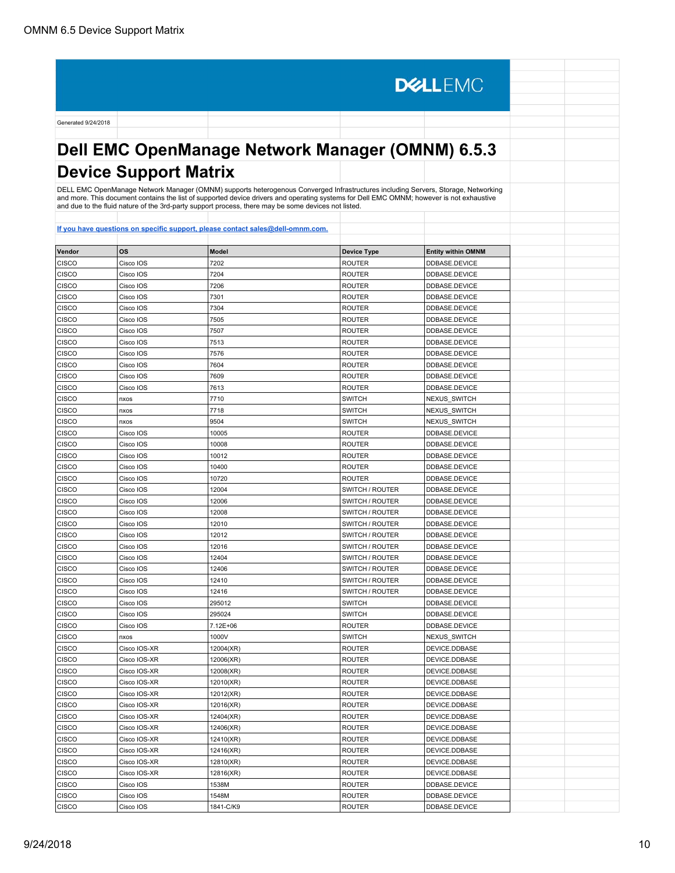**DELLEMC** Generated 9/24/2018 **Dell EMC OpenManage Network Manager (OMNM) 6.5.3 Device Support Matrix** DELL EMC OpenManage Network Manager (OMNM) supports heterogenous Converged Infrastructures including Servers, Storage, Networking<br>and more. This document contains the list of supported device drivers and operating systems **[If you have questions on specific support, please contact sales@dell-omnm.com.](mailto:SALES@DELL-OMNM.COM) Vendor OS Model Device Type Entity within OMNM** CISCO Cisco IOS 7202 ROUTER DDBASE.DEVICE CISCO Cisco IOS 7204 ROUTER DDBASE.DEVICE CISCO Cisco IOS 7206 ROUTER DDBASE.DEVICE CISCO |Cisco IOS |7301 |ROUTER |DDBASE.DEVICE CISCO |Cisco IOS |7304 |ROUTER |DDBASE.DEVICE

| CISCO        | Cisco IOS    | 7301      | <b>ROUTER</b>   | DDBASE.DEVICE |  |
|--------------|--------------|-----------|-----------------|---------------|--|
| CISCO        | Cisco IOS    | 7304      | <b>ROUTER</b>   | DDBASE.DEVICE |  |
| CISCO        | Cisco IOS    | 7505      | <b>ROUTER</b>   | DDBASE.DEVICE |  |
| CISCO        | Cisco IOS    | 7507      | <b>ROUTER</b>   | DDBASE.DEVICE |  |
| CISCO        | Cisco IOS    | 7513      | <b>ROUTER</b>   | DDBASE.DEVICE |  |
| CISCO        | Cisco IOS    | 7576      | <b>ROUTER</b>   | DDBASE.DEVICE |  |
| CISCO        | Cisco IOS    | 7604      | <b>ROUTER</b>   | DDBASE.DEVICE |  |
| CISCO        | Cisco IOS    | 7609      | <b>ROUTER</b>   | DDBASE.DEVICE |  |
| CISCO        | Cisco IOS    | 7613      | <b>ROUTER</b>   | DDBASE.DEVICE |  |
| CISCO        | nxos         | 7710      | <b>SWITCH</b>   | NEXUS_SWITCH  |  |
| CISCO        | nxos         | 7718      | <b>SWITCH</b>   | NEXUS_SWITCH  |  |
| CISCO        | nxos         | 9504      | <b>SWITCH</b>   | NEXUS SWITCH  |  |
| CISCO        | Cisco IOS    | 10005     | <b>ROUTER</b>   | DDBASE.DEVICE |  |
| CISCO        | Cisco IOS    | 10008     | <b>ROUTER</b>   | DDBASE.DEVICE |  |
| CISCO        | Cisco IOS    | 10012     | <b>ROUTER</b>   | DDBASE.DEVICE |  |
| CISCO        | Cisco IOS    | 10400     | <b>ROUTER</b>   | DDBASE.DEVICE |  |
| CISCO        | Cisco IOS    | 10720     | <b>ROUTER</b>   | DDBASE.DEVICE |  |
| CISCO        | Cisco IOS    | 12004     | SWITCH / ROUTER | DDBASE.DEVICE |  |
| CISCO        | Cisco IOS    | 12006     | SWITCH / ROUTER | DDBASE.DEVICE |  |
| CISCO        | Cisco IOS    | 12008     | SWITCH / ROUTER | DDBASE.DEVICE |  |
| CISCO        | Cisco IOS    | 12010     | SWITCH / ROUTER | DDBASE.DEVICE |  |
| CISCO        | Cisco IOS    | 12012     | SWITCH / ROUTER | DDBASE.DEVICE |  |
| CISCO        | Cisco IOS    | 12016     | SWITCH / ROUTER | DDBASE.DEVICE |  |
| CISCO        | Cisco IOS    | 12404     | SWITCH / ROUTER | DDBASE.DEVICE |  |
| CISCO        | Cisco IOS    | 12406     | SWITCH / ROUTER | DDBASE.DEVICE |  |
| CISCO        | Cisco IOS    | 12410     | SWITCH / ROUTER | DDBASE.DEVICE |  |
| CISCO        | Cisco IOS    | 12416     | SWITCH / ROUTER | DDBASE.DEVICE |  |
| CISCO        | Cisco IOS    | 295012    | <b>SWITCH</b>   | DDBASE.DEVICE |  |
| CISCO        | Cisco IOS    | 295024    | <b>SWITCH</b>   | DDBASE.DEVICE |  |
| CISCO        | Cisco IOS    | 7.12E+06  | <b>ROUTER</b>   | DDBASE.DEVICE |  |
| CISCO        | nxos         | 1000V     | <b>SWITCH</b>   | NEXUS_SWITCH  |  |
| CISCO        | Cisco IOS-XR | 12004(XR) | <b>ROUTER</b>   | DEVICE.DDBASE |  |
| CISCO        | Cisco IOS-XR | 12006(XR) | <b>ROUTER</b>   | DEVICE.DDBASE |  |
| CISCO        | Cisco IOS-XR | 12008(XR) | <b>ROUTER</b>   | DEVICE.DDBASE |  |
| CISCO        | Cisco IOS-XR | 12010(XR) | <b>ROUTER</b>   | DEVICE.DDBASE |  |
| CISCO        | Cisco IOS-XR | 12012(XR) | <b>ROUTER</b>   | DEVICE.DDBASE |  |
| CISCO        | Cisco IOS-XR | 12016(XR) | <b>ROUTER</b>   | DEVICE.DDBASE |  |
| CISCO        | Cisco IOS-XR | 12404(XR) | <b>ROUTER</b>   | DEVICE.DDBASE |  |
| CISCO        | Cisco IOS-XR | 12406(XR) | <b>ROUTER</b>   | DEVICE.DDBASE |  |
| CISCO        | Cisco IOS-XR | 12410(XR) | <b>ROUTER</b>   | DEVICE.DDBASE |  |
| CISCO        | Cisco IOS-XR | 12416(XR) | <b>ROUTER</b>   | DEVICE.DDBASE |  |
| CISCO        | Cisco IOS-XR | 12810(XR) | <b>ROUTER</b>   | DEVICE.DDBASE |  |
| CISCO        | Cisco IOS-XR | 12816(XR) | <b>ROUTER</b>   | DEVICE.DDBASE |  |
| CISCO        | Cisco IOS    | 1538M     | <b>ROUTER</b>   | DDBASE.DEVICE |  |
| CISCO        | Cisco IOS    | 1548M     | <b>ROUTER</b>   | DDBASE.DEVICE |  |
| <b>CISCO</b> | Cisco IOS    | 1841-C/K9 | <b>ROUTER</b>   | DDBASE.DEVICE |  |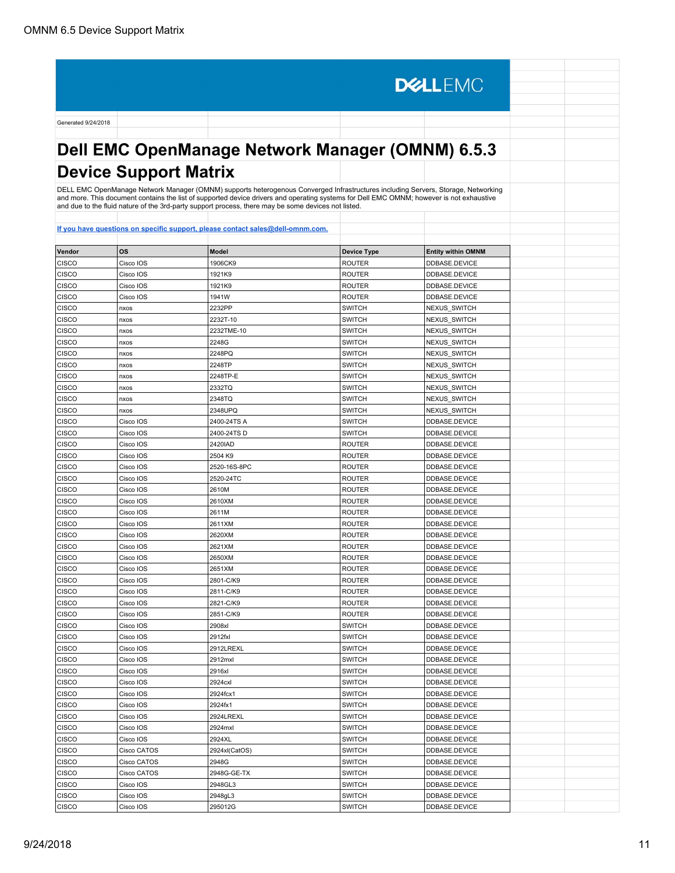Generated 9/24/2018 **Dell EMC OpenManage Network Manager (OMNM) 6.5.3 Device Support Matrix** DELL EMC OpenManage Network Manager (OMNM) supports heterogenous Converged Infrastructures including Servers, Storage, Networking<br>and more. This document contains the list of supported device drivers and operating systems

**DELLEMC** 

| Vendor       | OS          | <b>Model</b>  | <b>Device Type</b> | <b>Entity within OMNM</b> |
|--------------|-------------|---------------|--------------------|---------------------------|
| CISCO        | Cisco IOS   | 1906CK9       | <b>ROUTER</b>      | DDBASE.DEVICE             |
| CISCO        | Cisco IOS   | 1921K9        | <b>ROUTER</b>      | DDBASE.DEVICE             |
| CISCO        | Cisco IOS   | 1921K9        | <b>ROUTER</b>      | DDBASE.DEVICE             |
| CISCO        | Cisco IOS   | 1941W         | <b>ROUTER</b>      | DDBASE.DEVICE             |
| CISCO        | nxos        | 2232PP        | <b>SWITCH</b>      | NEXUS SWITCH              |
| CISCO        | nxos        | 2232T-10      | <b>SWITCH</b>      | <b>NEXUS SWITCH</b>       |
| <b>CISCO</b> | nxos        | 2232TME-10    | <b>SWITCH</b>      | NEXUS SWITCH              |
| CISCO        | nxos        | 2248G         | <b>SWITCH</b>      | NEXUS_SWITCH              |
| CISCO        | nxos        | 2248PQ        | <b>SWITCH</b>      | NEXUS SWITCH              |
| CISCO        | nxos        | 2248TP        | <b>SWITCH</b>      | NEXUS_SWITCH              |
| CISCO        | nxos        | 2248TP-E      | <b>SWITCH</b>      | <b>NEXUS SWITCH</b>       |
| CISCO        | nxos        | 2332TQ        | <b>SWITCH</b>      | <b>NEXUS SWITCH</b>       |
| <b>CISCO</b> | nxos        | 2348TQ        | <b>SWITCH</b>      | <b>NEXUS SWITCH</b>       |
| CISCO        | nxos        | 2348UPQ       | <b>SWITCH</b>      | <b>NEXUS SWITCH</b>       |
| <b>CISCO</b> | Cisco IOS   | 2400-24TS A   | <b>SWITCH</b>      | DDBASE.DEVICE             |
| <b>CISCO</b> | Cisco IOS   | 2400-24TS D   | <b>SWITCH</b>      | DDBASE.DEVICE             |
| <b>CISCO</b> | Cisco IOS   | 2420IAD       | <b>ROUTER</b>      | DDBASE.DEVICE             |
| <b>CISCO</b> | Cisco IOS   | 2504 K9       | <b>ROUTER</b>      | DDBASE.DEVICE             |
| CISCO        | Cisco IOS   | 2520-16S-8PC  | <b>ROUTER</b>      | DDBASE.DEVICE             |
| CISCO        | Cisco IOS   | 2520-24TC     | <b>ROUTER</b>      | DDBASE.DEVICE             |
| CISCO        | Cisco IOS   | 2610M         | <b>ROUTER</b>      | DDBASE.DEVICE             |
| CISCO        | Cisco IOS   | 2610XM        | <b>ROUTER</b>      | DDBASE.DEVICE             |
| CISCO        | Cisco IOS   | 2611M         | <b>ROUTER</b>      | DDBASE.DEVICE             |
| <b>CISCO</b> | Cisco IOS   | 2611XM        | <b>ROUTER</b>      | DDBASE.DEVICE             |
| CISCO        | Cisco IOS   | 2620XM        | <b>ROUTER</b>      | DDBASE.DEVICE             |
| <b>CISCO</b> | Cisco IOS   | 2621XM        | <b>ROUTER</b>      | DDBASE.DEVICE             |
| CISCO        | Cisco IOS   | 2650XM        | <b>ROUTER</b>      | DDBASE.DEVICE             |
| CISCO        | Cisco IOS   | 2651XM        | <b>ROUTER</b>      | DDBASE.DEVICE             |
| CISCO        | Cisco IOS   | 2801-C/K9     | <b>ROUTER</b>      | DDBASE.DEVICE             |
| <b>CISCO</b> | Cisco IOS   | 2811-C/K9     | <b>ROUTER</b>      | DDBASE.DEVICE             |
| CISCO        | Cisco IOS   | 2821-C/K9     | ROUTER             | DDBASE.DEVICE             |
| <b>CISCO</b> | Cisco IOS   | 2851-C/K9     | <b>ROUTER</b>      | DDBASE.DEVICE             |
| <b>CISCO</b> | Cisco IOS   | 2908xl        | <b>SWITCH</b>      | DDBASE.DEVICE             |
| <b>CISCO</b> | Cisco IOS   | 2912fxl       | <b>SWITCH</b>      | DDBASE.DEVICE             |
| <b>CISCO</b> | Cisco IOS   | 2912LREXL     | <b>SWITCH</b>      | DDBASE.DEVICE             |
| CISCO        | Cisco IOS   | 2912mxl       | <b>SWITCH</b>      | DDBASE.DEVICE             |
| CISCO        | Cisco IOS   | 2916xl        | <b>SWITCH</b>      | DDBASE.DEVICE             |
| CISCO        | Cisco IOS   | 2924cxl       | <b>SWITCH</b>      | DDBASE.DEVICE             |
| CISCO        | Cisco IOS   | 2924fcx1      | <b>SWITCH</b>      | DDBASE.DEVICE             |
| CISCO        | Cisco IOS   | 2924fx1       | <b>SWITCH</b>      | DDBASE.DEVICE             |
| <b>CISCO</b> | Cisco IOS   | 2924LREXL     | <b>SWITCH</b>      | DDBASE.DEVICE             |
| CISCO        | Cisco IOS   | 2924mxl       | SWITCH             | DDBASE.DEVICE             |
| CISCO        | Cisco IOS   | 2924XL        | <b>SWITCH</b>      | DDBASE.DEVICE             |
| CISCO        | Cisco CATOS | 2924xl(CatOS) | <b>SWITCH</b>      | DDBASE.DEVICE             |
| CISCO        | Cisco CATOS | 2948G         | <b>SWITCH</b>      | DDBASE.DEVICE             |
| CISCO        | Cisco CATOS | 2948G-GE-TX   | <b>SWITCH</b>      | DDBASE.DEVICE             |
| <b>CISCO</b> | Cisco IOS   | 2948GL3       | <b>SWITCH</b>      | DDBASE.DEVICE             |
| <b>CISCO</b> | Cisco IOS   | 2948gL3       | <b>SWITCH</b>      | DDBASE.DEVICE             |
| <b>CISCO</b> | Cisco IOS   | 295012G       | <b>SWITCH</b>      | DDBASE.DEVICE             |
|              |             |               |                    |                           |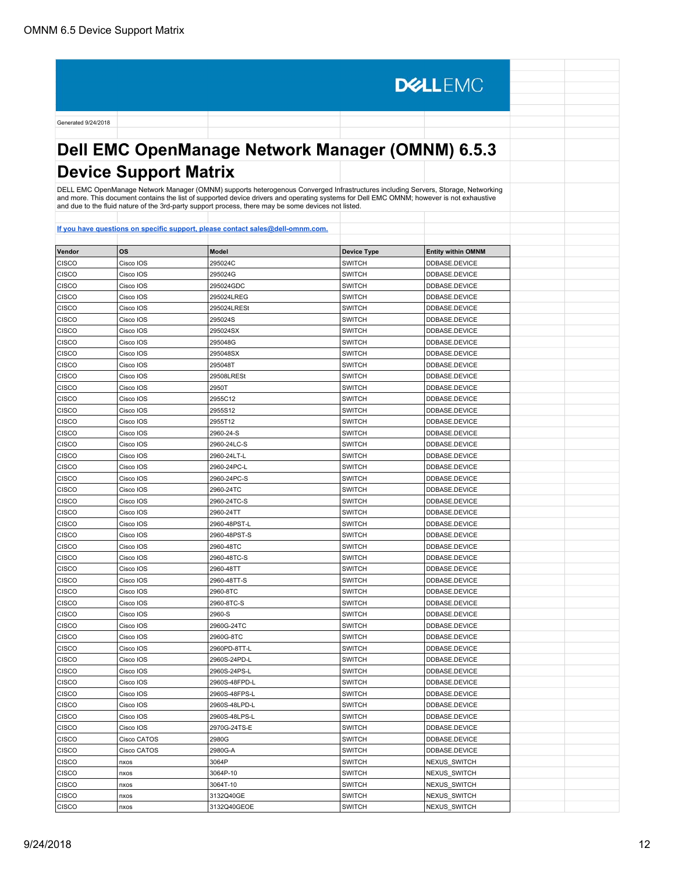**DELLEMC** Generated 9/24/2018 **Dell EMC OpenManage Network Manager (OMNM) 6.5.3 Device Support Matrix** DELL EMC OpenManage Network Manager (OMNM) supports heterogenous Converged Infrastructures including Servers, Storage, Networking<br>and more. This document contains the list of supported device drivers and operating systems and due to the fluid nature of the 3rd-party support process, there may be some devices not listed. **[If you have questions on specific support, please contact sales@dell-omnm.com.](mailto:SALES@DELL-OMNM.COM) Vendor OS Model Device Type Entity within OMNM** CISCO CISCO IOS 295024C SWITCH DDBASE.DEVICE CISCO | Cisco IOS | 295024G | 2000 | 2000 | 2000 | 2000 | 2000 | 2000 | 2000 | 2000 | 2000 | 2000 | 2000 | 20 CISCO CISCO IOS 295024GDC SWITCH DIDBASE.DEVICE CISCO CISCO IOS 295024LREG SWITCH DDBASE.DEVICE CISCO CISCO IOS 295024LRESt SWITCH DDBASE.DEVICE CISCO CISCO IOS 295024S SWITCH DDBASE.DEVICE CISCO | Cisco IOS | 295024SX | SWITCH | DDBASE.DEVICE CISCO Cisco IOS 295048G SWITCH DDBASE.DEVICE CISCO Cisco IOS 295048SX SWITCH DDBASE.DEVICE CISCO Cisco IOS 295048T CISCO CISCO CISCO 2005 295048T CISCO Cisco IOS 29508LRESt SWITCH DDBASE.DEVICE CISCO CISCO IOS 2950T 200 CISCO CISCO CISCO CISCO CISCO CISCO 2010 2950T CISCO |Cisco IOS |2955C12 |SWITCH |DDBASE.DEVICE CISCO Cisco IOS 2955S12 SWITCH DDBASE.DEVICE CISCO CISCO CISCO CISCO CISCO CISCO CISCO CISCO CISCO CISCO CISCO CISCO CISCO CISCO CISCO CISCO CISCO CISCO CISCO CISCO CISCO CISCO CISCO CISCO CISCO CISCO CISCO CISCO CISCO CISCO CISCO CISCO CISCO CISCO CISCO CISCO CISCO CISCO CISCO IOS 2960-24-S SWITCH DDBASE.DEVICE CISCO |Cisco IOS |2960-24LC-S |SWITCH |DDBASE.DEVICE CISCO |Cisco IOS |2960-24LT-L |SWITCH |DDBASE.DEVICE CISCO | Cisco IOS | 2960-24PC-L | NORT | SWITCH | DDBASE.DEVICE CISCO |Cisco IOS |2960-24PC-S |SWITCH |DDBASE.DEVICE CISCO CISCO IOS 2960-24TC SWITCH DDBASE.DEVICE CISCO CISCO CISCO CISCO CONS 2960-24TC-S SWITCH DEVICE DEVICE CISCO CISco IOS 2960-24TT SWITCH DESCO DESCO CISCO CISCO CISCO DE LOS ENTERTS DEVICE CISCO CISCO IOS 2960-48PST-L SWITCH SWITCH DDBASE.DEVICE CISCO Cisco IOS 2960-48PST-S SWITCH DDBASE.DEVICE CISCO | Cisco IOS | 2960-48TC | SWITCH | DDBASE.DEVICE CISCO CISCO IOS 2960-48TC-S SWITCH DDBASE.DEVICE CISCO | Cisco IOS | 2960-48TT | SWITCH | DDBASE.DEVICE CISCO |Cisco IOS |2960-48TT-S |SWITCH |DDBASE.DEVICE

| <b>CISCO</b> | Cisco IOS   | 2960-48TT     | <b>SWITCH</b> | DDBASE.DEVICE |  |
|--------------|-------------|---------------|---------------|---------------|--|
| <b>CISCO</b> | Cisco IOS   | 2960-48TT-S   | <b>SWITCH</b> | DDBASE.DEVICE |  |
| <b>CISCO</b> | Cisco IOS   | 2960-8TC      | <b>SWITCH</b> | DDBASE.DEVICE |  |
| <b>CISCO</b> | Cisco IOS   | 2960-8TC-S    | <b>SWITCH</b> | DDBASE.DEVICE |  |
| <b>CISCO</b> | Cisco IOS   | 2960-S        | <b>SWITCH</b> | DDBASE.DEVICE |  |
| <b>CISCO</b> | Cisco IOS   | 2960G-24TC    | <b>SWITCH</b> | DDBASE.DEVICE |  |
| <b>CISCO</b> | Cisco IOS   | 2960G-8TC     | <b>SWITCH</b> | DDBASE.DEVICE |  |
| <b>CISCO</b> | Cisco IOS   | 2960PD-8TT-L  | <b>SWITCH</b> | DDBASE.DEVICE |  |
| <b>CISCO</b> | Cisco IOS   | 2960S-24PD-L  | <b>SWITCH</b> | DDBASE.DEVICE |  |
| <b>CISCO</b> | Cisco IOS   | 2960S-24PS-L  | <b>SWITCH</b> | DDBASE.DEVICE |  |
| <b>CISCO</b> | Cisco IOS   | 2960S-48FPD-L | <b>SWITCH</b> | DDBASE.DEVICE |  |
| <b>CISCO</b> | Cisco IOS   | 2960S-48FPS-L | <b>SWITCH</b> | DDBASE.DEVICE |  |
| <b>CISCO</b> | Cisco IOS   | 2960S-48LPD-L | <b>SWITCH</b> | DDBASE.DEVICE |  |
| <b>CISCO</b> | Cisco IOS   | 2960S-48LPS-L | <b>SWITCH</b> | DDBASE.DEVICE |  |
| <b>CISCO</b> | Cisco IOS   | 2970G-24TS-E  | <b>SWITCH</b> | DDBASE.DEVICE |  |
| <b>CISCO</b> | Cisco CATOS | 2980G         | <b>SWITCH</b> | DDBASE.DEVICE |  |
| <b>CISCO</b> | Cisco CATOS | 2980G-A       | <b>SWITCH</b> | DDBASE.DEVICE |  |
| <b>CISCO</b> | nxos        | 3064P         | <b>SWITCH</b> | NEXUS_SWITCH  |  |
| <b>CISCO</b> | nxos        | 3064P-10      | <b>SWITCH</b> | NEXUS_SWITCH  |  |
| <b>CISCO</b> | nxos        | 3064T-10      | <b>SWITCH</b> | NEXUS_SWITCH  |  |
| <b>CISCO</b> | nxos        | 3132Q40GE     | <b>SWITCH</b> | NEXUS_SWITCH  |  |
| <b>CISCO</b> | nxos        | 3132Q40GEOE   | <b>SWITCH</b> | NEXUS SWITCH  |  |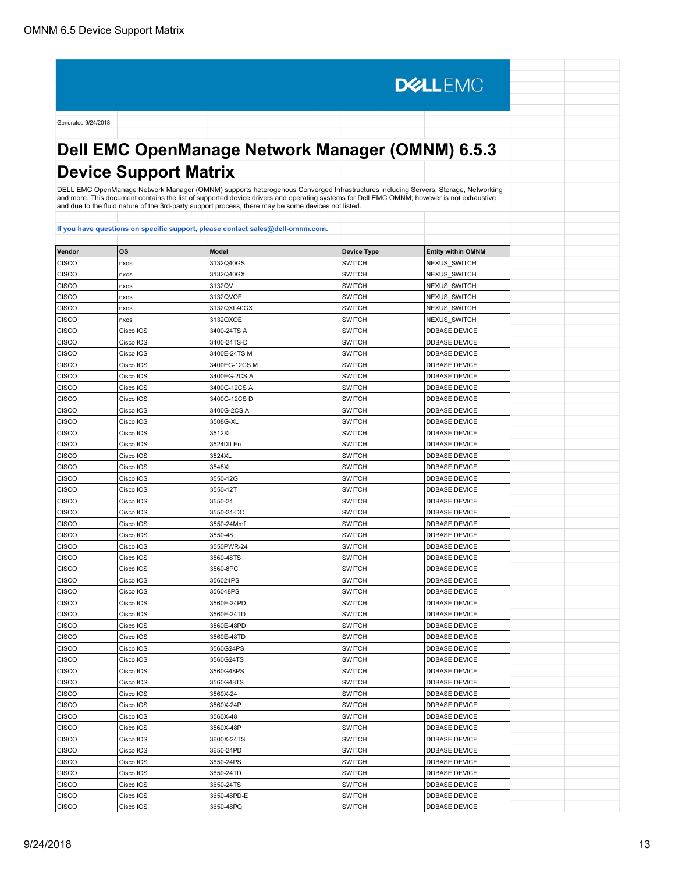**DELLEMC** Generated 9/24/2018 **Dell EMC OpenManage Network Manager (OMNM) 6.5.3 Device Support Matrix** DELL EMC OpenManage Network Manager (OMNM) supports heterogenous Converged Infrastructures including Servers, Storage, Networking and more. This document contains the list of supported device drivers and operating systems for Dell EMC OMNM; however is not exhaustive and due to the fluid nature of the 3rd-party support process, there may be some devices not listed. **[If you have questions on specific support, please contact sales@dell-omnm.com.](mailto:SALES@DELL-OMNM.COM) Vendor OS Model Device Type Entity within OMNM** CISCO | |nxos |3132Q40GS |SWITCH |NEXUS\_SWITCH CISCO nxos 3132Q40GX SWITCH NEXUS\_SWITCH CISCO | <sub>I</sub>nxos | 3132QV | SWITCH | NEXUS\_SWITCH CISCO | <sub>I</sub>nxos 3132QVOE | SWITCH | NEXUS\_SWITCH CISCO | <sub>I</sub>nxos | 3132QXL40GX | SWITCH | NEXUS\_SWITCH CISCO | |nxos |3132QXOE |SWITCH |NEXUS\_SWITCH CISCO | Cisco IOS | 3400-24TS A | SWITCH | DDBASE.DEVICE CISCO Cisco IOS 3400-24TS-D SWITCH DDBASE.DEVICE CISCO Cisco IOS 3400E-24TS M SWITCH DDBASE.DEVICE CISCO Cisco IOS 3400EG-12CS M SWITCH DDBASE.DEVICE CISCO CISCO IOS 3400EG-2CS A SWITCH DDBASE.DEVICE CISCO | Cisco IOS | 3400G-12CS A | SWITCH | DDBASE.DEVICE CISCO |Cisco IOS |3400G-12CS D |SWITCH |DDBASE.DEVICE CISCO CISCO IOS 3400G-2CS A SWITCH DDBASE.DEVICE CISCO CISCO CISCO CISCO CISCO CISCO CISCO CISCO CISCO CISCO CISCO CISCO CISCO CISCO CISCO CISCO CISCO CISCO CIS CISCO CISCO CISCO CISCO CISCO CISCO CISCO CISCO CISCO CISCO CISCO CISCO CISCO CISCO CISCO CISCO CISCO CISCO CISCO CISCO CISCO CISCO CISCO CISCO CISCO CISCO CISCO CISCO CISCO CISCO CISCO CISCO CISCO CISCO CISCO CISCO CISCO CISCO |Cisco IOS |3524tXLEn |SWITCH |DDBASE.DEVICE CISCO |Cisco IOS |3524XL |SWITCH |DDBASE.DEVICE CISCO | Cisco IOS | 3548XL | 3548XL | SWITCH | DDBASE.DEVICE CISCO |Cisco IOS |3550-12G |SWITCH |DDBASE.DEVICE CISCO CISCO IOS 3550-12T SWITCH DDBASE.DEVICE CISCO CISCO COS 3550-24 SWITCH DDBASE.DEVICE CISCO CISCO IOS 3550-24-DC SWITCH DEL SOLO DE SERVICE CISCO |Cisco IOS |3550-24Mmf |SWITCH |DDBASE.DEVICE CISCO |Cisco IOS |3550-48 |SWITCH |DDBASE.DEVICE CISCO | Cisco IOS | 3550PWR-24 | SWITCH | DDBASE.DEVICE CISCO |Cisco IOS |3560-48TS |SWITCH |DDBASE.DEVICE CISCO | Cisco IOS | 3560-8PC | SWITCH | DDBASE.DEVICE CISCO |Cisco IOS |356024PS |SWITCH |DDBASE.DEVICE CISCO |Cisco IOS |356048PS |SWITCH |DDBASE.DEVICE CISCO CISCO IOS 3560E-24PD SWITCH DESCRIPTION DESCRIPTION DESCRIPTION SWITCH CISCO CISCO CISCO CISCO CISCO CISCO CISCO CISCO CISCO CISCO CISCO CISCO CISCO CISCO CISCO CISCO CISCO CISCO CISCO CISCO CISCO CISCO CISCO CISCO CISCO CISCO CISCO CISCO CISCO CISCO CISCO CISCO CISCO CISCO CISCO CISCO CISCO CISCO CISCO CISCO CISCO CISCO CISCO CISCO CISCO CISCO CISCO CISCO CISCO CISCO CISCO CISCO CISCO CISCO CISCO CISCO CISCO CISCO CISCO CISCO CISCO CISCO CISCO CISCO CISCO CISCO CISCO CISCO CISCO CISCO CISCO CISCO CISCO CISCO CISCO CISCO IOS 3560E-48TD SWITCH SWITCH DDBASE.DEVICE CISCO CISCO IOS 3560G24PS SWITCH DDBASE.DEVICE CISCO CISCO CISCO CISCO CISCO CISCO CISCO CISCO CISCO CISCO CISCO CISCO CISCO CISCO CISCO CISCO CISCO CISCO CISCO CISCO CISCO CISCO CISCO CISCO CISCO CISCO CISCO CISCO CISCO CISCO CISCO CISCO CISCO CISCO CISCO CISCO CISCO CISCO CISCO CISCO IOS 3560G48PS SWITCH SWITCH DDBASE.DEVICE CISCO | Cisco IOS | 3560G48TS | SWITCH | DDBASE.DEVICE CISCO |Cisco IOS |3560X-24 |SWITCH |DDBASE.DEVICE CISCO | Cisco IOS | 3560X-24P | SWITCH | DDBASE.DEVICE CISCO |Cisco IOS |3560X-48 |SWITCH |DDBASE.DEVICE CISCO CISCO IOS 3560X-48P SWITCH SWITCH DDBASE.DEVICE CISCO |Cisco IOS |3600X-24TS |SWITCH |DDBASE.DEVICE CISCO |Cisco IOS |3650-24PD |SWITCH |DDBASE.DEVICE CISCO | Cisco IOS | 3650-24PS | SWITCH | DDBASE.DEVICE CISCO |Cisco IOS |3650-24TD |SWITCH |DDBASE.DEVICE

CISCO | Cisco IOS | 3650-24TS | SWITCH | DDBASE.DEVICE CISCO |Cisco IOS |3650-48PD-E |SWITCH |DDBASE.DEVICE CISCO CISCO IOS 3650-48PQ SWITCH DDBASE.DEVICE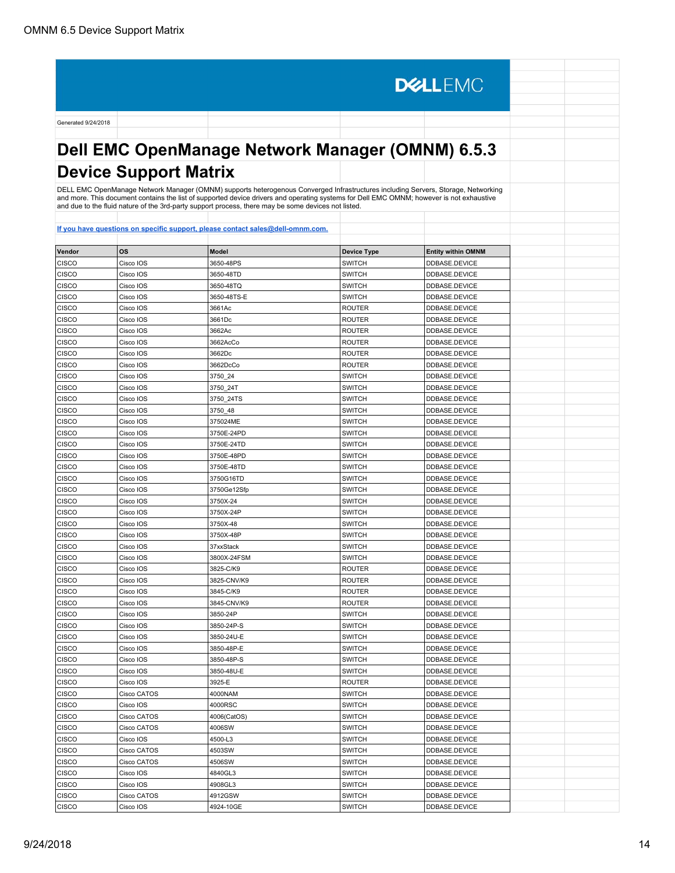**DELLEMC** Generated 9/24/2018 **Dell EMC OpenManage Network Manager (OMNM) 6.5.3 Device Support Matrix** DELL EMC OpenManage Network Manager (OMNM) supports heterogenous Converged Infrastructures including Servers, Storage, Networking<br>and more. This document contains the list of supported device drivers and operating systems **[If you have questions on specific support, please contact sales@dell-omnm.com.](mailto:SALES@DELL-OMNM.COM) Vendor OS Model Device Type Entity within OMNM** CISCO CISCO IOS 3650-48PS SWITCH DDBASE.DEVICE CISCO CISCO IOS 3650-48TD SWITCH SWITCH DDBASE.DEVICE CISCO CISCO IOS 3650-48TQ SWITCH DDBASE.DEVICE CISCO Cisco IOS 3650-48TS-E SWITCH DDBASE.DEVICE CISCO CISCO CISCO CISCO CISCO CISCO CISCO CISCO CISCO CISCO CISCO CISCO CISCO CISCO CISCO CISCO CISCO CISCO CISCO CISCO CISCO CISCO CISCO CISCO CISCO CISCO CISCO CISCO CISCO CISCO CISCO CISCO CISCO CISCO CISCO CISCO CISCO CISCO |Cisco IOS |3661Dc |ROUTER |DDBASE.DEVICE CISCO | Cisco IOS | 3662Ac | ROUTER | DDBASE.DEVICE CISCO |Cisco IOS |3662AcCo |ROUTER |DDBASE.DEVICE CISCO Cisco IOS 3662Dc ROUTER DDBASE.DEVICE CISCO |Cisco IOS |3662DcCo |ROUTER |DDBASE.DEVICE CISCO |Cisco IOS |3750\_24 |SWITCH |DDBASE.DEVICE CISCO | Cisco IOS | 3750\_24T | SWITCH | DDBASE.DEVICE

| <b>CISCO</b> | Cisco IOS   | 3662Ac      | <b>ROUTER</b> | DDBASE.DEVICE |  |
|--------------|-------------|-------------|---------------|---------------|--|
| CISCO        | Cisco IOS   | 3662AcCo    | ROUTER        | DDBASE.DEVICE |  |
| CISCO        | Cisco IOS   | 3662Dc      | <b>ROUTER</b> | DDBASE.DEVICE |  |
| CISCO        | Cisco IOS   | 3662DcCo    | <b>ROUTER</b> | DDBASE.DEVICE |  |
| CISCO        | Cisco IOS   | 3750_24     | <b>SWITCH</b> | DDBASE.DEVICE |  |
| CISCO        | Cisco IOS   | 3750 24T    | <b>SWITCH</b> | DDBASE.DEVICE |  |
| CISCO        | Cisco IOS   | 3750 24TS   | <b>SWITCH</b> | DDBASE.DEVICE |  |
| CISCO        | Cisco IOS   | 3750 48     | <b>SWITCH</b> | DDBASE.DEVICE |  |
| CISCO        | Cisco IOS   | 375024ME    | SWITCH        | DDBASE.DEVICE |  |
| <b>CISCO</b> | Cisco IOS   | 3750E-24PD  | <b>SWITCH</b> | DDBASE.DEVICE |  |
| CISCO        | Cisco IOS   | 3750E-24TD  | <b>SWITCH</b> | DDBASE.DEVICE |  |
| CISCO        | Cisco IOS   | 3750E-48PD  | <b>SWITCH</b> | DDBASE.DEVICE |  |
| CISCO        | Cisco IOS   | 3750E-48TD  | SWITCH        | DDBASE.DEVICE |  |
| CISCO        | Cisco IOS   | 3750G16TD   | <b>SWITCH</b> | DDBASE.DEVICE |  |
| CISCO        | Cisco IOS   | 3750Ge12Sfp | <b>SWITCH</b> | DDBASE.DEVICE |  |
| CISCO        | Cisco IOS   | 3750X-24    | <b>SWITCH</b> | DDBASE.DEVICE |  |
| CISCO        | Cisco IOS   | 3750X-24P   | <b>SWITCH</b> | DDBASE.DEVICE |  |
| CISCO        | Cisco IOS   | 3750X-48    | <b>SWITCH</b> | DDBASE.DEVICE |  |
| CISCO        | Cisco IOS   | 3750X-48P   | <b>SWITCH</b> | DDBASE.DEVICE |  |
| <b>CISCO</b> | Cisco IOS   | 37xxStack   | <b>SWITCH</b> | DDBASE.DEVICE |  |
| CISCO        | Cisco IOS   | 3800X-24FSM | <b>SWITCH</b> | DDBASE.DEVICE |  |
| CISCO        | Cisco IOS   | 3825-C/K9   | <b>ROUTER</b> | DDBASE.DEVICE |  |
| CISCO        | Cisco IOS   | 3825-CNV/K9 | ROUTER        | DDBASE.DEVICE |  |
| CISCO        | Cisco IOS   | 3845-C/K9   | <b>ROUTER</b> | DDBASE.DEVICE |  |
| CISCO        | Cisco IOS   | 3845-CNV/K9 | <b>ROUTER</b> | DDBASE.DEVICE |  |
| CISCO        | Cisco IOS   | 3850-24P    | <b>SWITCH</b> | DDBASE.DEVICE |  |
| CISCO        | Cisco IOS   | 3850-24P-S  | <b>SWITCH</b> | DDBASE.DEVICE |  |
| CISCO        | Cisco IOS   | 3850-24U-E  | SWITCH        | DDBASE.DEVICE |  |
| CISCO        | Cisco IOS   | 3850-48P-E  | SWITCH        | DDBASE.DEVICE |  |
| CISCO        | Cisco IOS   | 3850-48P-S  | <b>SWITCH</b> | DDBASE.DEVICE |  |
| CISCO        | Cisco IOS   | 3850-48U-E  | <b>SWITCH</b> | DDBASE.DEVICE |  |
| CISCO        | Cisco IOS   | 3925-E      | ROUTER        | DDBASE.DEVICE |  |
| CISCO        | Cisco CATOS | 4000NAM     | <b>SWITCH</b> | DDBASE.DEVICE |  |
| CISCO        | Cisco IOS   | 4000RSC     | <b>SWITCH</b> | DDBASE.DEVICE |  |
| CISCO        | Cisco CATOS | 4006(CatOS) | <b>SWITCH</b> | DDBASE.DEVICE |  |
| CISCO        | Cisco CATOS | 4006SW      | SWITCH        | DDBASE.DEVICE |  |
| <b>CISCO</b> | Cisco IOS   | 4500-L3     | <b>SWITCH</b> | DDBASE.DEVICE |  |
| CISCO        | Cisco CATOS | 4503SW      | <b>SWITCH</b> | DDBASE.DEVICE |  |
| <b>CISCO</b> | Cisco CATOS | 4506SW      | <b>SWITCH</b> | DDBASE.DEVICE |  |
| CISCO        | Cisco IOS   | 4840GL3     | <b>SWITCH</b> | DDBASE.DEVICE |  |
| CISCO        | Cisco IOS   | 4908GL3     | <b>SWITCH</b> | DDBASE.DEVICE |  |
| CISCO        | Cisco CATOS | 4912GSW     | <b>SWITCH</b> | DDBASE.DEVICE |  |
| CISCO        | Cisco IOS   | 4924-10GE   | <b>SWITCH</b> | DDBASE.DEVICE |  |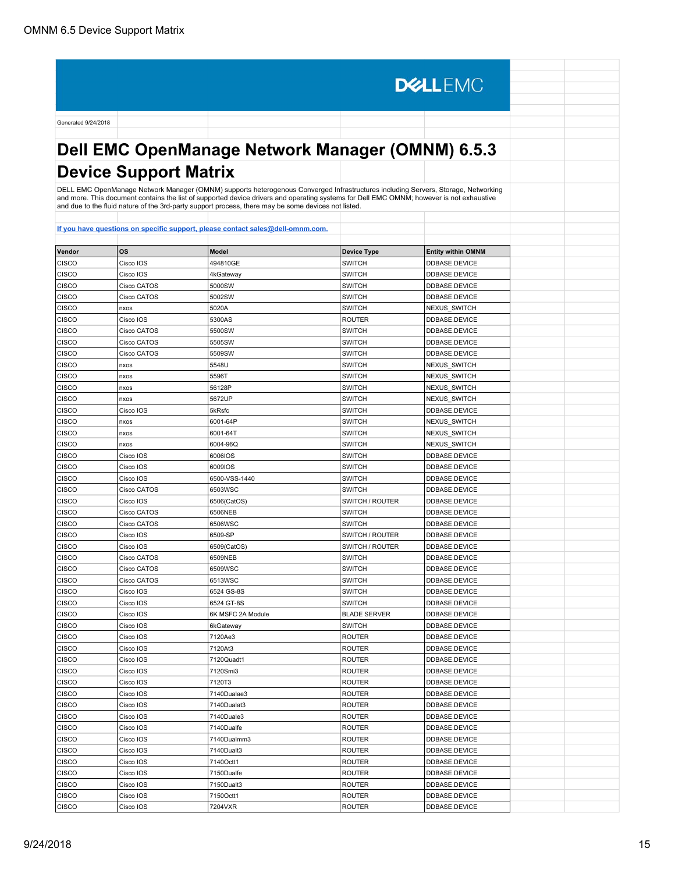**DELLEMC** Generated 9/24/2018 **Dell EMC OpenManage Network Manager (OMNM) 6.5.3 Device Support Matrix** DELL EMC OpenManage Network Manager (OMNM) supports heterogenous Converged Infrastructures including Servers, Storage, Networking<br>and more. This document contains the list of supported device drivers and operating systems and due to the fluid nature of the 3rd-party support process, there may be some devices not listed. **[If you have questions on specific support, please contact sales@dell-omnm.com.](mailto:SALES@DELL-OMNM.COM) Vendor OS Model Device Type Entity within OMNM** CISCO CISCO CISCO CISCO CISCO CISCO CISCO CISCO CISCO CISCO CISCO CISCO CISCO CISCO CISCO CISCO CISCO CISCO CISCO CISCO CISCO CISCO CISCO CISCO CISCO CISCO CISCO CISCO CISCO CISCO CISCO CISCO CISCO CISCO CISCO CISCO CISCO CISCO | Cisco IOS | 4kGateway | National Library | SWITCH | DDBASE.DEVICE CISCO |Cisco CATOS |5000SW |SWITCH |DDBASE.DEVICE CISCO CISCO CATOS 5002SW SWITCH DDBASE.DEVICE CISCO | <sub>I</sub>nxos | 5020A | SWITCH | NEXUS\_SWITCH CISCO CISCO CISCO CISCO COS 5300AS 5300AS ROUTER POUTER DEVICE CISCO Cisco CATOS 5500SW SWITCH DDBASE.DEVICE CISCO Cisco CATOS 5505SW SWITCH DDBASE.DEVICE CISCO Cisco CATOS 5509SW SWITCH DDBASE.DEVICE CISCO nxos 5548U SWITCH NEXUS SWITCH CISCO nxos 5596T SWITCH NEXUS\_SWITCH CISCO nxos 56128P SWITCH NEXUS\_SWITCH CISCO | nxos | 5672UP | SWITCH | NEXUS\_SWITCH CISCO Cisco IOS SKRsfc SWITCH DDBASE.DEVICE CISCO | nxos | 6001-64P | SWITCH | NEXUS\_SWITCH CISCO | nxos | 6001-64T | SWITCH | NEXUS\_SWITCH CISCO nxos 6004-96Q SWITCH NEXUS\_SWITCH CISCO |Cisco IOS |6006IOS |SWITCH |DDBASE.DEVICE CISCO | Cisco IOS | 6009IOS | SWITCH | DDBASE.DEVICE CISCO |Cisco IOS |6500-VSS-1440 |SWITCH |DDBASE.DEVICE CISCO CISCO CATOS 6503WSC SWITCH DDBASE.DEVICE CISCO Cisco IOS 6506(CatOS) 6506(CatOS) SWITCH / ROUTER DDBASE.DEVICE CISCO CATOS 6506NEB SWITCH DDBASE.DEVICE CISCO CATOS 6506WSC SWITCH DDBASE.DEVICE CISCO Cisco IOS 6509-SP SWITCH / ROUTER DDBASE.DEVICE CISCO CISCO IOS 6509-SP SWITCH / ROUTER DDBASE.DEVICE<br>CISCO CISCO CISCO CISCO CON 6509(CatOS) SWITCH / ROUTER DDBASE.DEVICE CISCO |Cisco CATOS |6509NEB |SWITCH |DDBASE.DEVICE CISCO Cisco CATOS 6509WSC SWITCH DDBASE.DEVICE CISCO |Cisco CATOS |6513WSC |SWITCH |DDBASE.DEVICE CISCO Cisco IOS 6524 GS-8S SWITCH DDBASE.DEVICE CISCO Cisco IOS 6524 GT-8S SWITCH DDBASE.DEVICE CISCO Cisco IOS 6K MSFC 2A Module BLADE SERVER DDBASE.DEVICE

| טשפוט        | UISCU IUJ | 00-10 200         | $30011$ Cm          | DUDASE.UEVIUE |  |
|--------------|-----------|-------------------|---------------------|---------------|--|
| <b>CISCO</b> | Cisco IOS | 6K MSFC 2A Module | <b>BLADE SERVER</b> | DDBASE.DEVICE |  |
| <b>CISCO</b> | Cisco IOS | 6kGateway         | <b>SWITCH</b>       | DDBASE.DEVICE |  |
| CISCO        | Cisco IOS | 7120Ae3           | <b>ROUTER</b>       | DDBASE.DEVICE |  |
| <b>CISCO</b> | Cisco IOS | 7120At3           | <b>ROUTER</b>       | DDBASE.DEVICE |  |
| <b>CISCO</b> | Cisco IOS | 7120Quadt1        | <b>ROUTER</b>       | DDBASE.DEVICE |  |
| <b>CISCO</b> | Cisco IOS | 7120Smi3          | <b>ROUTER</b>       | DDBASE.DEVICE |  |
| <b>CISCO</b> | Cisco IOS | 7120T3            | <b>ROUTER</b>       | DDBASE.DEVICE |  |
| <b>CISCO</b> | Cisco IOS | 7140Dualae3       | <b>ROUTER</b>       | DDBASE.DEVICE |  |
| <b>CISCO</b> | Cisco IOS | 7140Dualat3       | <b>ROUTER</b>       | DDBASE.DEVICE |  |
| <b>CISCO</b> | Cisco IOS | 7140Duale3        | <b>ROUTER</b>       | DDBASE.DEVICE |  |
| <b>CISCO</b> | Cisco IOS | 7140Dualfe        | <b>ROUTER</b>       | DDBASE.DEVICE |  |
| <b>CISCO</b> | Cisco IOS | 7140Dualmm3       | <b>ROUTER</b>       | DDBASE.DEVICE |  |
| <b>CISCO</b> | Cisco IOS | 7140Dualt3        | <b>ROUTER</b>       | DDBASE.DEVICE |  |
| <b>CISCO</b> | Cisco IOS | 7140Octt1         | <b>ROUTER</b>       | DDBASE.DEVICE |  |
| CISCO        | Cisco IOS | 7150Dualfe        | <b>ROUTER</b>       | DDBASE.DEVICE |  |
| <b>CISCO</b> | Cisco IOS | 7150Dualt3        | <b>ROUTER</b>       | DDBASE.DEVICE |  |
| <b>CISCO</b> | Cisco IOS | 7150Octt1         | <b>ROUTER</b>       | DDBASE.DEVICE |  |
| <b>CISCO</b> | Cisco IOS | 7204VXR           | <b>ROUTER</b>       | DDBASE.DEVICE |  |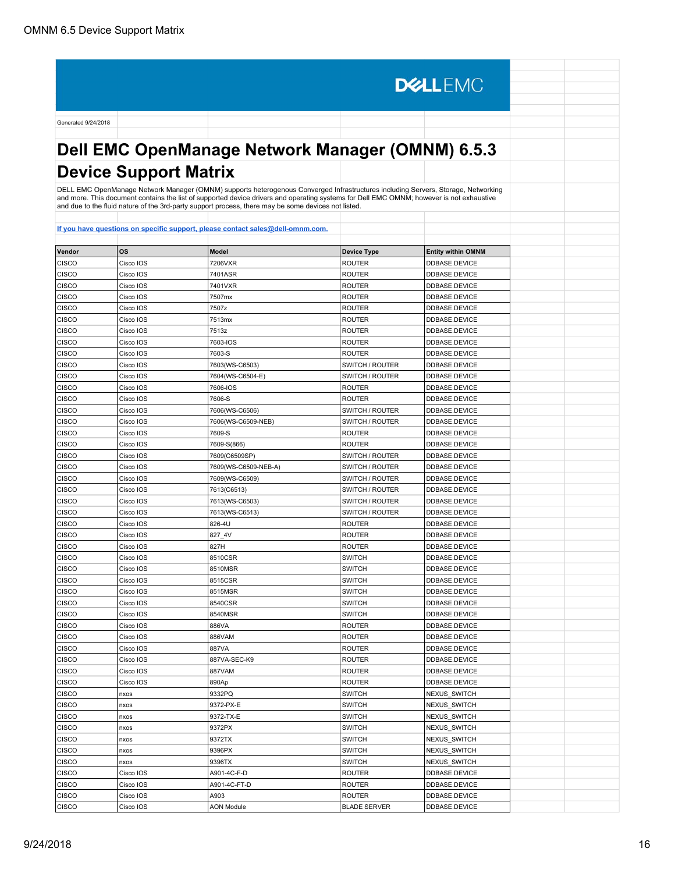# **Dell EMC OpenManage Network Manager (OMNM) 6.5.3 Device Support Matrix**

**DELLEMC** 

DELL EMC OpenManage Network Manager (OMNM) supports heterogenous Converged Infrastructures including Servers, Storage, Networking<br>and more. This document contains the list of supported device drivers and operating systems

| Vendor       | <b>OS</b> | Model                | <b>Device Type</b>  | <b>Entity within OMNM</b> |  |
|--------------|-----------|----------------------|---------------------|---------------------------|--|
| CISCO        | Cisco IOS | 7206VXR              | <b>ROUTER</b>       | DDBASE.DEVICE             |  |
| CISCO        | Cisco IOS | 7401ASR              | <b>ROUTER</b>       | DDBASE.DEVICE             |  |
| <b>CISCO</b> | Cisco IOS | 7401VXR              | <b>ROUTER</b>       | DDBASE.DEVICE             |  |
| CISCO        | Cisco IOS | 7507mx               | <b>ROUTER</b>       | DDBASE.DEVICE             |  |
| CISCO        | Cisco IOS | 7507z                | <b>ROUTER</b>       | DDBASE.DEVICE             |  |
| <b>CISCO</b> | Cisco IOS | 7513mx               | <b>ROUTER</b>       | DDBASE.DEVICE             |  |
| CISCO        | Cisco IOS | 7513z                | <b>ROUTER</b>       | DDBASE.DEVICE             |  |
| <b>CISCO</b> | Cisco IOS | 7603-IOS             | <b>ROUTER</b>       | DDBASE.DEVICE             |  |
| <b>CISCO</b> | Cisco IOS | 7603-S               | <b>ROUTER</b>       | DDBASE.DEVICE             |  |
| <b>CISCO</b> | Cisco IOS | 7603(WS-C6503)       | SWITCH / ROUTER     | DDBASE.DEVICE             |  |
| CISCO        | Cisco IOS | 7604(WS-C6504-E)     | SWITCH / ROUTER     | DDBASE.DEVICE             |  |
| CISCO        | Cisco IOS | 7606-IOS             | <b>ROUTER</b>       | DDBASE.DEVICE             |  |
| <b>CISCO</b> | Cisco IOS | 7606-S               | <b>ROUTER</b>       | DDBASE.DEVICE             |  |
| CISCO        | Cisco IOS | 7606(WS-C6506)       | SWITCH / ROUTER     | DDBASE.DEVICE             |  |
| <b>CISCO</b> | Cisco IOS | 7606(WS-C6509-NEB)   | SWITCH / ROUTER     | DDBASE.DEVICE             |  |
| <b>CISCO</b> | Cisco IOS | 7609-S               | <b>ROUTER</b>       | DDBASE.DEVICE             |  |
| <b>CISCO</b> | Cisco IOS | 7609-S(866)          | <b>ROUTER</b>       | DDBASE.DEVICE             |  |
| CISCO        | Cisco IOS | 7609(C6509SP)        | SWITCH / ROUTER     | DDBASE.DEVICE             |  |
| CISCO        | Cisco IOS | 7609(WS-C6509-NEB-A) | SWITCH / ROUTER     | DDBASE.DEVICE             |  |
| <b>CISCO</b> | Cisco IOS | 7609(WS-C6509)       | SWITCH / ROUTER     | DDBASE.DEVICE             |  |
| CISCO        | Cisco IOS | 7613(C6513)          | SWITCH / ROUTER     | DDBASE.DEVICE             |  |
| <b>CISCO</b> | Cisco IOS | 7613(WS-C6503)       | SWITCH / ROUTER     | DDBASE.DEVICE             |  |
| <b>CISCO</b> | Cisco IOS | 7613(WS-C6513)       | SWITCH / ROUTER     | DDBASE.DEVICE             |  |
| <b>CISCO</b> | Cisco IOS | 826-4U               | <b>ROUTER</b>       | DDBASE.DEVICE             |  |
| CISCO        | Cisco IOS | 827_4V               | <b>ROUTER</b>       | DDBASE.DEVICE             |  |
| CISCO        | Cisco IOS | 827H                 | <b>ROUTER</b>       | DDBASE.DEVICE             |  |
| <b>CISCO</b> | Cisco IOS | 8510CSR              | <b>SWITCH</b>       | DDBASE.DEVICE             |  |
| CISCO        | Cisco IOS | 8510MSR              | <b>SWITCH</b>       | DDBASE.DEVICE             |  |
| <b>CISCO</b> | Cisco IOS | 8515CSR              | <b>SWITCH</b>       | DDBASE.DEVICE             |  |
| <b>CISCO</b> | Cisco IOS | 8515MSR              | <b>SWITCH</b>       | DDBASE.DEVICE             |  |
| <b>CISCO</b> | Cisco IOS | 8540CSR              | <b>SWITCH</b>       | DDBASE.DEVICE             |  |
| CISCO        | Cisco IOS | 8540MSR              | <b>SWITCH</b>       | DDBASE.DEVICE             |  |
| CISCO        | Cisco IOS | 886VA                | <b>ROUTER</b>       | DDBASE.DEVICE             |  |
| <b>CISCO</b> | Cisco IOS | 886VAM               | <b>ROUTER</b>       | DDBASE.DEVICE             |  |
| CISCO        | Cisco IOS | 887VA                | ROUTER              | DDBASE.DEVICE             |  |
| <b>CISCO</b> | Cisco IOS | 887VA-SEC-K9         | <b>ROUTER</b>       | DDBASE.DEVICE             |  |
| <b>CISCO</b> | Cisco IOS | 887VAM               | <b>ROUTER</b>       | DDBASE.DEVICE             |  |
| <b>CISCO</b> | Cisco IOS | 890Ap                | ROUTER              | DDBASE.DEVICE             |  |
| CISCO        | nxos      | 9332PQ               | <b>SWITCH</b>       | NEXUS_SWITCH              |  |
| CISCO        | nxos      | 9372-PX-E            | <b>SWITCH</b>       | NEXUS SWITCH              |  |
| <b>CISCO</b> | nxos      | 9372-TX-E            | <b>SWITCH</b>       | NEXUS_SWITCH              |  |
| CISCO        | nxos      | 9372PX               | <b>SWITCH</b>       | NEXUS_SWITCH              |  |
| <b>CISCO</b> | nxos      | 9372TX               | <b>SWITCH</b>       | NEXUS_SWITCH              |  |
| <b>CISCO</b> | nxos      | 9396PX               | <b>SWITCH</b>       | NEXUS SWITCH              |  |
| CISCO        | nxos      | 9396TX               | <b>SWITCH</b>       | NEXUS_SWITCH              |  |
| <b>CISCO</b> | Cisco IOS | A901-4C-F-D          | <b>ROUTER</b>       | DDBASE.DEVICE             |  |
| CISCO        | Cisco IOS | A901-4C-FT-D         | <b>ROUTER</b>       | DDBASE.DEVICE             |  |
| CISCO        | Cisco IOS | A903                 | ROUTER              | DDBASE.DEVICE             |  |
| CISCO        | Cisco IOS | <b>AON Module</b>    | <b>BLADE SERVER</b> | DDBASE.DEVICE             |  |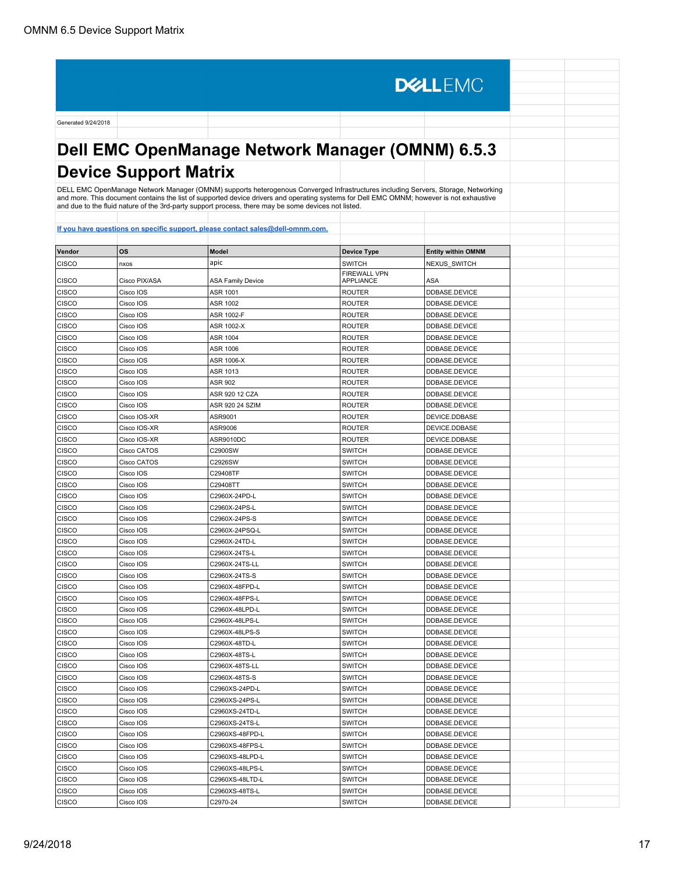Generated 9/24/2018 **Dell EMC OpenManage Network Manager (OMNM) 6.5.3 Device Support Matrix**

**DELLEMC** 

DELL EMC OpenManage Network Manager (OMNM) supports heterogenous Converged Infrastructures including Servers, Storage, Networking<br>and more. This document contains the list of supported device drivers and operating systems

| Vendor       | <b>OS</b>     | <b>Model</b>             | <b>Device Type</b>               | <b>Entity within OMNM</b> |
|--------------|---------------|--------------------------|----------------------------------|---------------------------|
| CISCO        | nxos          | apic                     | <b>SWITCH</b>                    | <b>NEXUS SWITCH</b>       |
| <b>CISCO</b> | Cisco PIX/ASA | <b>ASA Family Device</b> | <b>FIREWALL VPN</b><br>APPLIANCE | ASA                       |
| CISCO        | Cisco IOS     | ASR 1001                 | <b>ROUTER</b>                    | DDBASE.DEVICE             |
| <b>CISCO</b> | Cisco IOS     | <b>ASR 1002</b>          | <b>ROUTER</b>                    | DDBASE.DEVICE             |
| <b>CISCO</b> | Cisco IOS     | ASR 1002-F               | <b>ROUTER</b>                    | DDBASE.DEVICE             |
| CISCO        | Cisco IOS     | ASR 1002-X               | <b>ROUTER</b>                    | DDBASE.DEVICE             |
| <b>CISCO</b> | Cisco IOS     | <b>ASR 1004</b>          | <b>ROUTER</b>                    | DDBASE.DEVICE             |
| CISCO        | Cisco IOS     | <b>ASR 1006</b>          | <b>ROUTER</b>                    | DDBASE.DEVICE             |
| CISCO        | Cisco IOS     | ASR 1006-X               | <b>ROUTER</b>                    | DDBASE.DEVICE             |
| CISCO        | Cisco IOS     | ASR 1013                 | <b>ROUTER</b>                    | DDBASE.DEVICE             |
| CISCO        | Cisco IOS     | <b>ASR 902</b>           | <b>ROUTER</b>                    | DDBASE.DEVICE             |
| CISCO        | Cisco IOS     | ASR 920 12 CZA           | <b>ROUTER</b>                    | DDBASE.DEVICE             |
| <b>CISCO</b> | Cisco IOS     | ASR 920 24 SZIM          | <b>ROUTER</b>                    | DDBASE.DEVICE             |
| CISCO        | Cisco IOS-XR  | ASR9001                  | <b>ROUTER</b>                    | DEVICE.DDBASE             |
| CISCO        | Cisco IOS-XR  | ASR9006                  | <b>ROUTER</b>                    | DEVICE.DDBASE             |
| <b>CISCO</b> | Cisco IOS-XR  | ASR9010DC                | <b>ROUTER</b>                    | DEVICE.DDBASE             |
| <b>CISCO</b> | Cisco CATOS   | C2900SW                  | <b>SWITCH</b>                    | DDBASE.DEVICE             |
| <b>CISCO</b> | Cisco CATOS   | C2926SW                  | <b>SWITCH</b>                    | DDBASE.DEVICE             |
| <b>CISCO</b> | Cisco IOS     | C29408TF                 | <b>SWITCH</b>                    | DDBASE.DEVICE             |
| <b>CISCO</b> | Cisco IOS     | C29408TT                 | <b>SWITCH</b>                    | DDBASE.DEVICE             |
| <b>CISCO</b> | Cisco IOS     | C2960X-24PD-L            | <b>SWITCH</b>                    | DDBASE.DEVICE             |
| <b>CISCO</b> | Cisco IOS     | C2960X-24PS-L            | <b>SWITCH</b>                    | DDBASE.DEVICE             |
| <b>CISCO</b> | Cisco IOS     | C2960X-24PS-S            | <b>SWITCH</b>                    | DDBASE.DEVICE             |
| <b>CISCO</b> | Cisco IOS     | C2960X-24PSQ-L           | <b>SWITCH</b>                    | DDBASE.DEVICE             |
| CISCO        | Cisco IOS     | C2960X-24TD-L            | <b>SWITCH</b>                    | DDBASE.DEVICE             |
| CISCO        | Cisco IOS     | C2960X-24TS-L            | <b>SWITCH</b>                    | DDBASE.DEVICE             |
| CISCO        | Cisco IOS     | C2960X-24TS-LL           | <b>SWITCH</b>                    | DDBASE.DEVICE             |
| <b>CISCO</b> | Cisco IOS     | C2960X-24TS-S            | <b>SWITCH</b>                    | DDBASE.DEVICE             |
| CISCO        | Cisco IOS     | C2960X-48FPD-L           | <b>SWITCH</b>                    | DDBASE.DEVICE             |
| CISCO        | Cisco IOS     | C2960X-48FPS-L           | <b>SWITCH</b>                    | DDBASE.DEVICE             |
| <b>CISCO</b> | Cisco IOS     | C2960X-48LPD-L           | <b>SWITCH</b>                    | DDBASE.DEVICE             |
| CISCO        | Cisco IOS     | C2960X-48LPS-L           | <b>SWITCH</b>                    | DDBASE.DEVICE             |
| <b>CISCO</b> | Cisco IOS     | C2960X-48LPS-S           | <b>SWITCH</b>                    | DDBASE.DEVICE             |
| CISCO        | Cisco IOS     | C2960X-48TD-L            | <b>SWITCH</b>                    | DDBASE.DEVICE             |
| <b>CISCO</b> | Cisco IOS     | C2960X-48TS-L            | <b>SWITCH</b>                    | DDBASE.DEVICE             |
| <b>CISCO</b> | Cisco IOS     | C2960X-48TS-LL           | <b>SWITCH</b>                    | DDBASE.DEVICE             |
| CISCO        | Cisco IOS     | C2960X-48TS-S            | <b>SWITCH</b>                    | DDBASE.DEVICE             |
| CISCO        | Cisco IOS     | C2960XS-24PD-L           | <b>SWITCH</b>                    | DDBASE.DEVICE             |
| <b>CISCO</b> | Cisco IOS     | C2960XS-24PS-L           | <b>SWITCH</b>                    | DDBASE.DEVICE             |
| CISCO        | Cisco IOS     | C2960XS-24TD-L           | <b>SWITCH</b>                    | DDBASE.DEVICE             |
| CISCO        | Cisco IOS     | C2960XS-24TS-L           | <b>SWITCH</b>                    | DDBASE.DEVICE             |
| CISCO        | Cisco IOS     | C2960XS-48FPD-L          | <b>SWITCH</b>                    | DDBASE.DEVICE             |
| CISCO        | Cisco IOS     | C2960XS-48FPS-L          | <b>SWITCH</b>                    | DDBASE.DEVICE             |
| CISCO        | Cisco IOS     | C2960XS-48LPD-L          | <b>SWITCH</b>                    | DDBASE.DEVICE             |
| CISCO        | Cisco IOS     | C2960XS-48LPS-L          | <b>SWITCH</b>                    | DDBASE.DEVICE             |
| CISCO        | Cisco IOS     | C2960XS-48LTD-L          | <b>SWITCH</b>                    | DDBASE.DEVICE             |
| CISCO        | Cisco IOS     | C2960XS-48TS-L           | <b>SWITCH</b>                    | DDBASE.DEVICE             |
| <b>CISCO</b> | Cisco IOS     | C2970-24                 | <b>SWITCH</b>                    | DDBASE.DEVICE             |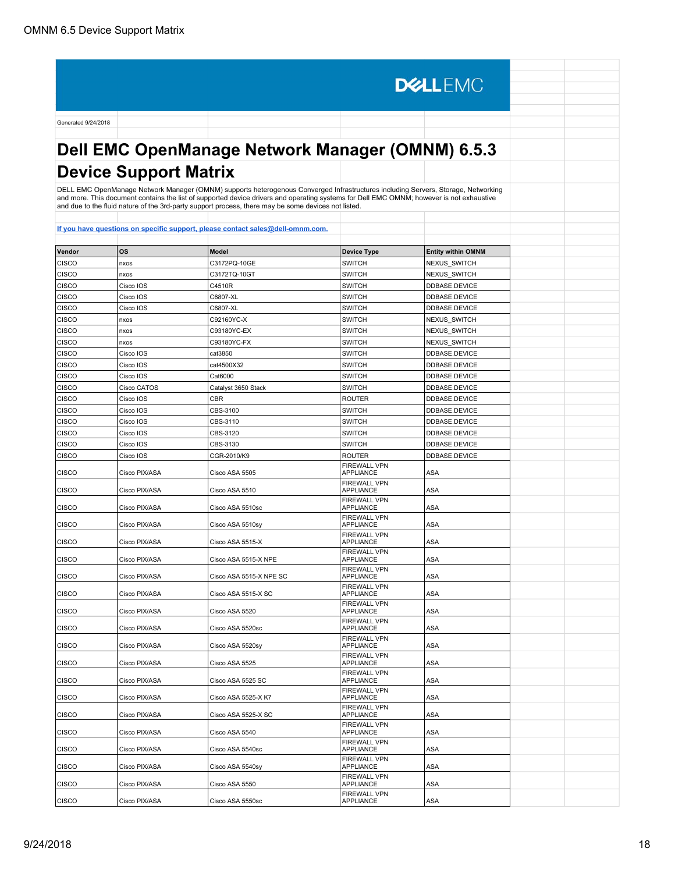**DELLEMC** Generated 9/24/2018 **Dell EMC OpenManage Network Manager (OMNM) 6.5.3 Device Support Matrix** DELL EMC OpenManage Network Manager (OMNM) supports heterogenous Converged Infrastructures including Servers, Storage, Networking and more. This document contains the list of supported device drivers and operating systems for Dell EMC OMNM; however is not exhaustive and due to the fluid nature of the 3rd-party support process, there may be some devices not listed. **[If you have questions on specific support, please contact sales@dell-omnm.com.](mailto:SALES@DELL-OMNM.COM) Vendor OS Model Device Type Entity within OMNM** CISCO nxos C3172PQ-10GE SWITCH NEXUS\_SWITCH CISCO nxos C3172TQ-10GT SWITCH NEXUS\_SWITCH CISCO CISCO IOS C4510R C4510R SWITCH DDBASE.DEVICE CISCO Cisco IOS C6807-XL SWITCH DDBASE.DEVICE CISCO CISCO IOS C6807-XL CONSTRUCTED SWITCH DDBASE.DEVICE CISCO nxos C92160YC-X SWITCH NEXUS\_SWITCH CISCO nxos C93180YC-EX SWITCH NEXUS\_SWITCH CISCO |nxos |C93180YC-FX |SWITCH |NEXUS\_SWITCH CISCO Cisco IOS cat3850 SWITCH DDBASE.DEVICE CISCO Cisco IOS cat4500X32 SWITCH DDBASE.DEVICE CISCO Cisco IOS Cat6000 Cat6000 Cat6000 Cat6000 CISCO CISCO CISCO CONTECT OF CISCO CISCO CISCO CATEGORIA CHE CISCO CATOS Catalyst 3650 Stack SWITCH DDBASE.DEVICE CISCO Cisco IOS CRE CISCO CISCO CISCO CISCO CISCO CISCO CISCO CISCO CISCO CISCO CISCO CISCO CISCO CISCO CISCO CISCO CISCO CISCO CISCO CISCO CISCO CISCO CISCO CISCO CISCO CISCO CISCO CISCO CISCO CISCO CISCO CISCO CISCO CISC CISCO Cisco IOS CES-3100 SWITCH DDBASE.DEVICE CISCO CISCO CISCO CISCO CONS CONSTANTS CONSTRUCTED UNITS CONTRACT ON CONSTRUCT CISCO CISCO CISCO CISCO CISCO CISCO CISCO CISCO CISCO CISCO CISCO CISCO CISCO CISCO CISCO CISCO CISCO CISCO CISCO CISCO CISCO CISCO CISCO CISCO CISCO Cisco IOS CES-3120 SWITCH DDBASE.DEVICE CISCO |Cisco IOS |CBS-3130 |SWITCH |DDBASE.DEVICE CISCO |Cisco IOS |CGR-2010/K9 |ROUTER |DDBASE.DEVICE FIREWALL VPN CISCO Cisco PIX/ASA Cisco ASA 5505 APPLIANCE ASA FIREWALL VPN CISCO Cisco PIX/ASA Cisco ASA 5510 APPLIANCE ASA FIREWALL VPN CISCO Cisco PIX/ASA Cisco ASA 5510sc APPLIANCE ASA FIREWALL VPN CISCO Cisco PIX/ASA Cisco ASA 5510sy APPLIANCE ASA FIREWALL VPN CISCO CISCO PIX/ASA Cisco ASA 5515-X APPLIANCE ASA FIREWALL VPN CISCO CISCO PIX/ASA Cisco ASA 5515-X NPE APPLIANCE ASA FIREWALL VPN APPLIANCE AT ASA CISCO CISCO PIX/ASA Cisco ASA 5515-X NPE SC FIREWALL VPN CISCO CISCO PIX/ASA Cisco ASA 5515-X SC APPLIANCE **ASA** FIREWALL VPN CISCO Cisco PIX/ASA Cisco ASA 5520 APPLIANCE ASA FIREWALL VPN CISCO Cisco PIX/ASA Cisco ASA 5520sc APPLIANCE ASA FIREWALL VPN CISCO CISCO PIX/ASA Cisco ASA 5520sy APPLIANCE ASA FIREWALL VPN CISCO CISCO PIX/ASA Cisco ASA 5525 APPLIANCE ASA FIREWALL VPN CISCO CISCO PIX/ASA Cisco ASA 5525 SC APPLIANCE ASA FIREWALL VPN CISCO CISCO PIX/ASA Cisco ASA 5525-X K7 APPLIANCE ASA FIREWALL VPN CISCO CISCO PIX/ASA Cisco ASA 5525-X SC APPLIANCE ASA FIREWALL VPN CISCO Cisco PIX/ASA Cisco ASA 5540 APPLIANCE ASA FIREWALL VPN CISCO CISCO CISCO PIX/ASA CISCO ASA 5540sc APPLIANCE ASA FIREWALL VPN CISCO Cisco PIX/ASA Cisco ASA 5540sy APPLIANCE ASA FIREWALL VPN CISCO Cisco PIX/ASA Cisco ASA 5550 APPLIANCE ASA

FIREWALL VPN

APPLIANCE ASA

CISCO CISCO PIX/ASA Cisco ASA 5550sc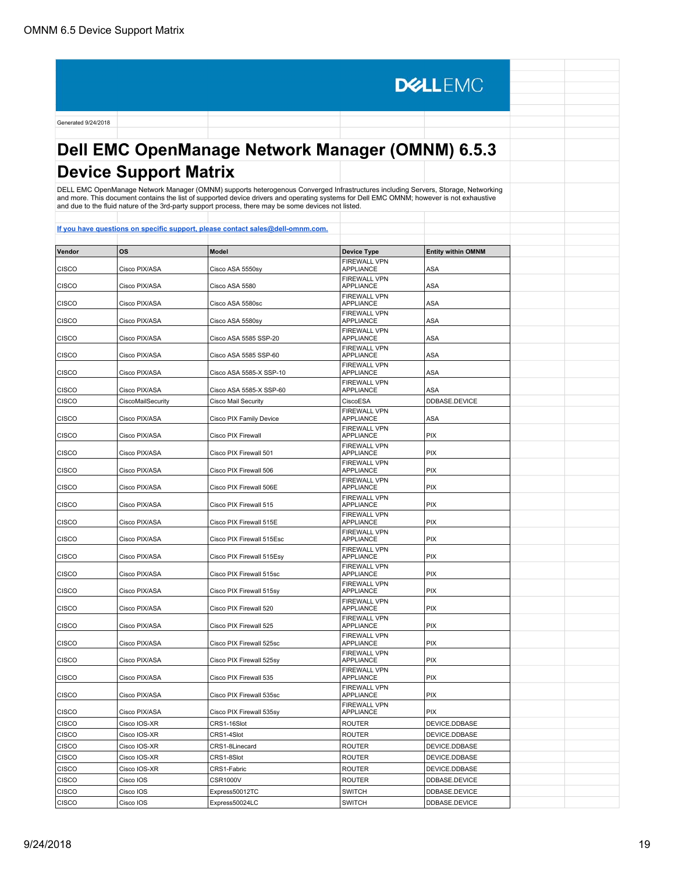**DELLEMC** Generated 9/24/2018 **Dell EMC OpenManage Network Manager (OMNM) 6.5.3 Device Support Matrix** DELL EMC OpenManage Network Manager (OMNM) supports heterogenous Converged Infrastructures including Servers, Storage, Networking and more. This document contains the list of supported device drivers and operating systems for Dell EMC OMNM; however is not exhaustive and due to the fluid nature of the 3rd-party support process, there may be some devices not listed. **[If you have questions on specific support, please contact sales@dell-omnm.com.](mailto:SALES@DELL-OMNM.COM) Vendor OS Model Device Type Entity within OMNM** FIREWALL VPN CISCO Cisco PIX/ASA Cisco ASA 5550sy APPLIANCE ASA FIREWALL VPN CISCO Cisco PIX/ASA Cisco ASA 5580 APPLIANCE **ASA** FIREWALL VPN CISCO CISCO PIX/ASA Cisco ASA 5580sc APPLIANCE ASA FIREWALL VPN CISCO CISCO PIX/ASA Cisco ASA 5580sy APPLIANCE ASA FIREWALL VPN CISCO CISCO PIX/ASA Cisco ASA 5585 SSP-20 APPLIANCE ASA FIREWALL VPN CISCO CISCO PIX/ASA Cisco ASA 5585 SSP-60 APPLIANCE ASA FIREWALL VPN CISCO CISCO PIX/ASA Cisco ASA 5585-X SSP-10 APPLIANCE ASA FIREWALL VPN CISCO CISCO PIX/ASA Cisco ASA 5585-X SSP-60 APPLIANCE ASA CISCO CISCOMailSecurity Cisco Mail Security Cisco Mail Security CiscoESA DDBASE.DEVICE FIREWALL VPN CISCO CISCO PIX/ASA Cisco PIX Family Device APPLIANCE ASA FIREWALL VPN CISCO CISCO PIX/ASA Cisco PIX Firewall APPLIANCE PIX FIREWALL VPN CISCO Cisco PIX/ASA Cisco PIX Firewall 501 APPLIANCE PIX FIREWALL VPN CISCO Cisco PIX/ASA Cisco PIX Firewall 506 APPLIANCE PIX FIREWALL VPN CISCO CISCO Cisco PIX/ASA Cisco PIX Firewall 506E APPLIANCE PIX FIREWALL VPN APPLIANCE PIX CISCO CISCO Cisco PIX/ASA Cisco PIX Firewall 515 FIREWALL VPN CISCO Cisco PIX/ASA Cisco PIX Firewall 515E APPLIANCE PIX FIREWALL VPN APPLIANCE PIX CISCO Cisco PIX/ASA Cisco PIX Firewall 515Esc FIREWALL VPN CISCO Cisco PIX/ASA Cisco PIX Firewall 515Esy APPLIANCE PIX FIREWALL VPN CISCO CISCO CISCO PIX/ASA Cisco PIX Firewall 515sc APPLIANCE PIX FIREWALL VPN CISCO Cisco PIX/ASA Cisco PIX Firewall 515sy APPLIANCE PIX FIREWALL VPN CISCO CISCO PIX/ASA Cisco PIX Firewall 520 APPLIANCE PIX FIREWALL VPN CISCO CISCO CISCO PIX/ASA Cisco PIX Firewall 525 APPLIANCE | PIX FIREWALL VPN CISCO CISCO CISCO PIX/ASA Cisco PIX Firewall 525sc APPLIANCE | PIX FIREWALL VPN CISCO CISCO CISCO PIX/ASA Cisco PIX Firewall 525sy APPLIANCE PIX FIREWALL VPN CISCO CISCO PIX/ASA Cisco PIX Firewall 535 APPLIANCE PIX FIREWALL VPN CISCO CISCO CISCO PIX/ASA Cisco PIX Firewall 535sc APPLIANCE PIX FIREWALL VPN CISCO CISCO CISCO PIX/ASA CISCO PIX Firewall 535sy APPLIANCE PIX CISCO Cisco IOS-XR CRS1-16Slot ROUTER DEVICE.DDBASE CISCO Cisco IOS-XR CRS1-4Slot ROUTER DEVICE.DDBASE CISCO Cisco IOS-XR CRS1-8Linecard ROUTER DEVICE.DDBASE CISCO CISCO IOS-XR CRS1-8Slot CRS1-8Slot ROUTER DEVICE.DDBASE CISCO CISCO IOS-XR CRS1-Fabric ROUTER ROUTER DEVICE.DDBASE CISCO CISCO IOS CSR1000V CSR1000V ROUTER DDBASE.DEVICE CISCO CISCO IOS Express50012TC SWITCH SWITCH DDBASE.DEVICE

CISCO CISco IOS Express50024LC SWITCH DDBASE.DEVICE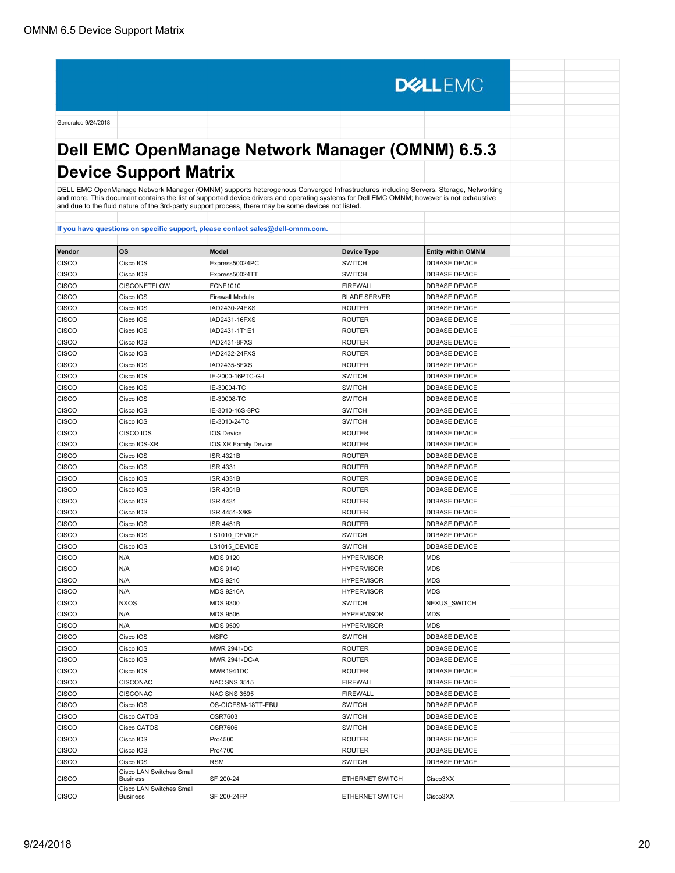**DELLEMC** Generated 9/24/2018 **Dell EMC OpenManage Network Manager (OMNM) 6.5.3 Device Support Matrix** DELL EMC OpenManage Network Manager (OMNM) supports heterogenous Converged Infrastructures including Servers, Storage, Networking and more. This document contains the list of supported device drivers and operating systems for Dell EMC OMNM; however is not exhaustive and due to the fluid nature of the 3rd-party support process, there may be some devices not listed. **[If you have questions on specific support, please contact sales@dell-omnm.com.](mailto:SALES@DELL-OMNM.COM) Vendor OS Model Device Type Entity within OMNM** CISCO CISCO IOS Express50024PC SWITCH SWITCH DDBASE.DEVICE CISCO | Cisco IOS | Express50024TT | SWITCH | DDBASE.DEVICE CISCO CISCONETFLOW FCNF1010 FIREWALL DDBASE.DEVICE CISCO CISCO IOS Firewall Module BLADE SERVER DEVICE CISCO Cisco IOS IAD2430-24FXS ROUTER DDBASE.DEVICE CISCO Cisco IOS IAD2431-16FXS ROUTER DDBASE.DEVICE CISCO Cisco IOS IAD2431-1T1E1 ROUTER DDBASE.DEVICE CISCO Cisco IOS IAD2431-8FXS ROUTER DDBASE.DEVICE CISCO Cisco IOS IAD2432-24FXS ROUTER DDBASE.DEVICE CISCO Cisco IOS IAD2435-8FXS ROUTER DDBASE.DEVICE CISCO CISCO IOS IE-2000-16PTC-G-L SWITCH DDBASE.DEVICE CISCO CISCO IOS IE-30004-TC SWITCH DDBASE.DEVICE CISCO |Cisco IOS |IE-30008-TC |SWITCH |DDBASE.DEVICE CISCO CISCO IOS | IE-3010-16S-8PC | SWITCH | DDBASE.DEVICE CISCO CISCO CISCO IOS IE-3010-24TC SWITCH SWITCH DDBASE.DEVICE CISCO CISCO IOS IOS Device ROUTER DEVICE DEVICE CISCO DESCRIPTION DE LO PODE DEVICE CISCO CISCO IOS-XR IOS XR Family Device ROUTER ROUTER DDBASE.DEVICE CISCO |Cisco IOS |ISR 4321B |ROUTER |DDBASE.DEVICE CISCO | Cisco IOS | ISR 4331 | ISR 4331 | ROUTER | DDBASE.DEVICE CISCO |Cisco IOS |ISR 4331B |ROUTER |DDBASE.DEVICE CISCO CISCO IOS ISR 4351B ROUTER DDBASE.DEVICE CISCO CISCO COS ISR 4431 ROUTER DEVICE DEVICE CISCO |Cisco IOS |ISR 4451-X/K9 |ROUTER |DDBASE.DEVICE CISCO |Cisco IOS |ISR 4451B |ROUTER |DDBASE.DEVICE CISCO CISCO IOS LS1010\_DEVICE SWITCH SWITCH DDBASE.DEVICE CISCO CISCO IOS LS1015\_DEVICE SWITCH SWITCH DDBASE.DEVICE CISCO | N/A | MDS 9120 | HYPERVISOR | MDS CISCO N/A MDS 9140 HYPERVISOR MDS CISCO | N/A | MDS 9216 | MDS 9216 | HYPERVISOR | MDS CISCO | N/A | MDS 9216A | MDS 9216A | HYPERVISOR | MDS CISCO NXOS MDS 9300 SWITCH NEXUS SWITCH CISCO N/A MDS 9506 HYPERVISOR MDS CISCO N/A MDS 9509 HYPERVISOR MDS CISCO CIsco IOS MSFC SWITCH DDBASE.DEVICE CISCO CISCO IOS MWR 2941-DC ROUTER DDBASE.DEVICE CISCO CISCO CISCO CISCO CISCO CISCO CISCO CISCO CISCO CISCO CISCO CISCO CISCO CISCO CISCO CISCO CISCO CISCO CI

SF 200-24 **ETHERNET SWITCH** Cisco3XX

SF 200-24FP **ETHERNET SWITCH** Cisco3XX

CISCO CISCO IOS MWR1941DC ROUTER DDBASE.DEVICE CISCO | CISCONAC | NAC SNS 3515 | FIREWALL | DDBASE.DEVICE CISCO CISCONAC NAC SNS 3595 FIREWALL DDBASE.DEVICE CISCO CISCO IOS CIGESM-18TT-EBU SWITCH DIDBASE.DEVICE CISCO |Cisco CATOS |OSR7603 |SWITCH |DDBASE.DEVICE CISCO CISCO CATOS OSR7606 SWITCH DDBASE.DEVICE CISCO Cisco IOS Pro4500 ROUTER DDBASE.DEVICE CISCO Cisco IOS Pro4700 ROUTER DDBASE.DEVICE CISCO | Cisco IOS | RSM | RSM | SWITCH | DDBASE.DEVICE

CISCO

**CISCO** 

Cisco LAN Switches Small<br>Business

Cisco LAN Switches Small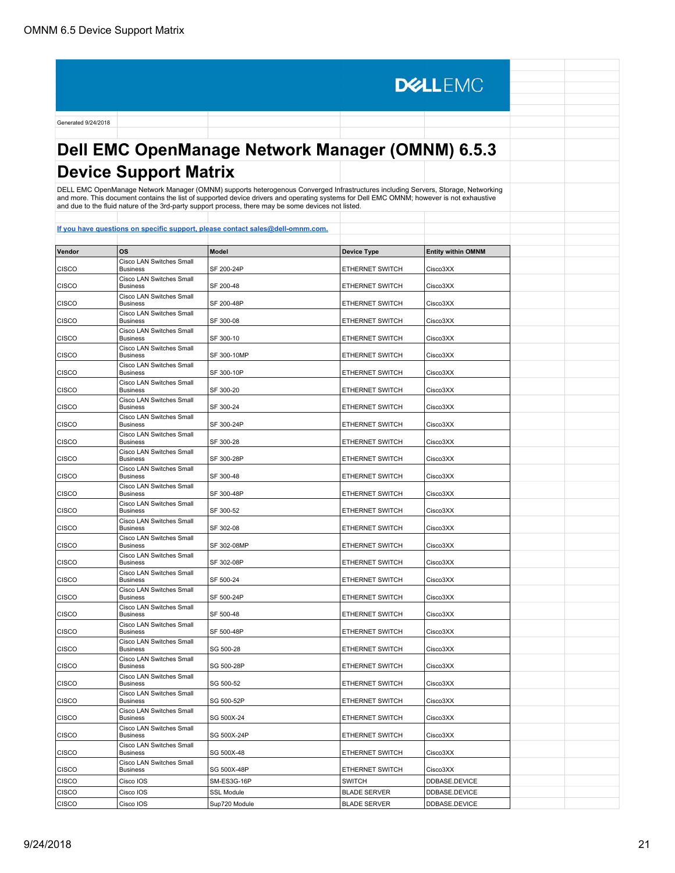**DELLEMC** Generated 9/24/2018 **Dell EMC OpenManage Network Manager (OMNM) 6.5.3 Device Support Matrix** DELL EMC OpenManage Network Manager (OMNM) supports heterogenous Converged Infrastructures including Servers, Storage, Networking and more. This document contains the list of supported device drivers and operating systems for Dell EMC OMNM; however is not exhaustive and due to the fluid nature of the 3rd-party support process, there may be some devices not listed. **[If you have questions on specific support, please contact sales@dell-omnm.com.](mailto:SALES@DELL-OMNM.COM) Vendor OS Model Device Type Entity within OMNM** Cisco LAN Switches Small CISCO SF 200-24P ETHERNET SWITCH Cisco3XX Cisco LAN Switches Small CISCO SF 200-48 **ETHERNET SWITCH** Cisco3XX Cisco LAN Switches Small CISCO Business SF 200-48P ETHERNET SWITCH Cisco3XX Cisco LAN Switches Small CISCO Business SF 300-08 ETHERNET SWITCH Cisco3XX Cisco LAN Switches Small CISCO Business Care Contains SF 300-10 **ETHERNET SWITCH CISCO3XX** Cisco LAN Switches Small CISCO Business SF 300-10MP ETHERNET SWITCH Cisco3XX Cisco LAN Switches Small<br>Business CISCO SF 300-10P **ETHERNET SWITCH** Cisco3XX Cisco LAN Switches Small CISCO Business SF 300-20 SF 300-20 ETHERNET SWITCH Cisco3XX Cisco LAN Switches Small CISCO SF 300-24 **ETHERNET SWITCH** Cisco3XX Cisco LAN Switches Small CISCO SF 300-24P **ETHERNET SWITCH** Cisco3XX Cisco LAN Switches Small CISCO SF 300-28 **ETHERNET SWITCH** Cisco3XX Cisco LAN Switches Small CISCO SF 300-28P **ETHERNET SWITCH** Cisco3XX Cisco LAN Switches Small CISCO LAN SWIICTIES SITIAIN<br>Business **EXECUTE:** ST 300-48 **ETHERNET SWITCH** Cisco3XX **CISCO** Cisco LAN Switches Small **CISCO** SF 300-48P **ETHERNET SWITCH** Cisco3XX Cisco LAN Switches Small **CISCO** SF 300-52 **ETHERNET SWITCH** Cisco3XX Cisco LAN Switches Small **CISCO** SF 302-08 **ETHERNET SWITCH** Cisco3XX Cisco LAN Switches Small CISCO SF 302-08MP ETHERNET SWITCH Cisco3XX Cisco LAN Switches Small<br>Business CISCO SF 302-08P **ETHERNET SWITCH** Cisco3XX Cisco LAN Switches Small CISCO SF 500-24 **ETHERNET SWITCH** Cisco3XX Cisco LAN Switches Small CISCO SF 500-24P **ETHERNET SWITCH** Cisco3XX Cisco LAN Switches Small<br>Business CISCO SF 500-48 **ETHERNET SWITCH** Cisco3XX Cisco LAN Switches Small CISCO SF 500-48P **ETHERNET SWITCH** Cisco3XX Cisco LAN Switches Small CISCO SG 500-28 **ETHERNET SWITCH** Cisco3XX Cisco LAN Switches Small<br>Business CISCO SG 500-28P **ETHERNET SWITCH** Cisco3XX Cisco LAN Switches Small<br>Business CISCO SG 500-52 **ETHERNET SWITCH** Cisco3XX Cisco LAN Switches Small CISCO SG 500-52P **ETHERNET SWITCH** Cisco3XX Cisco LAN Switches Small CISCO SG 500X-24 **ETHERNET SWITCH** Cisco3XX Cisco LAN Switches Small<br>Business CISCO LAN SWIICHES SMall<br>Business **SACILITY SC 500X-24P ETHERNET SWITCH** Cisco3XX CISCO Cisco LAN Switches Small<br>Business CISCO SG 500X-48 **ETHERNET SWITCH** Cisco3XX Cisco LAN Switches Small CISCO Business SG 500X-48P ETHERNET SWITCH Cisco3XX CISCO | Cisco IOS | SM-ES3G-16P | SWITCH | DDBASE.DEVICE

CISCO Cisco IOS SSL Module BLADE SERVER DDBASE.DEVICE CISCO CISCO CISCO IOS Sup720 Module BLADE SERVER DDBASE.DEVICE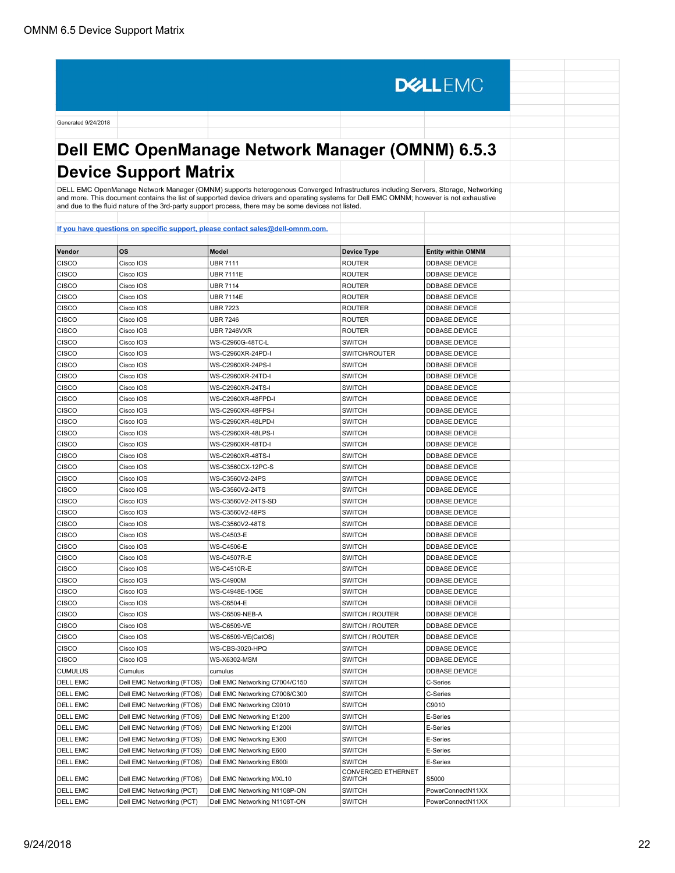Generated 9/24/2018 **Dell EMC OpenManage Network Manager (OMNM) 6.5.3**

#### **Device Support Matrix**

DELL EMC OpenManage Network Manager (OMNM) supports heterogenous Converged Infrastructures including Servers, Storage, Networking<br>and more. This document contains the list of supported device drivers and operating systems

**DELLEMC** 

| Vendor          | OS                         | Model                          | <b>Device Type</b>                  | <b>Entity within OMNM</b> |
|-----------------|----------------------------|--------------------------------|-------------------------------------|---------------------------|
| <b>CISCO</b>    | Cisco IOS                  | <b>UBR 7111</b>                | <b>ROUTER</b>                       | DDBASE.DEVICE             |
| <b>CISCO</b>    | Cisco IOS                  | <b>UBR 7111E</b>               | <b>ROUTER</b>                       | DDBASE.DEVICE             |
| CISCO           | Cisco IOS                  | <b>UBR 7114</b>                | <b>ROUTER</b>                       | DDBASE.DEVICE             |
| <b>CISCO</b>    | Cisco IOS                  | <b>UBR 7114E</b>               | <b>ROUTER</b>                       | DDBASE.DEVICE             |
| <b>CISCO</b>    | Cisco IOS                  | <b>UBR 7223</b>                | <b>ROUTER</b>                       | DDBASE.DEVICE             |
| <b>CISCO</b>    | Cisco IOS                  | <b>UBR 7246</b>                | <b>ROUTER</b>                       | DDBASE.DEVICE             |
| <b>CISCO</b>    | Cisco IOS                  | <b>UBR 7246VXR</b>             | <b>ROUTER</b>                       | DDBASE.DEVICE             |
| <b>CISCO</b>    | Cisco IOS                  | WS-C2960G-48TC-L               | <b>SWITCH</b>                       | DDBASE.DEVICE             |
| <b>CISCO</b>    | Cisco IOS                  | WS-C2960XR-24PD-I              | SWITCH/ROUTER                       | DDBASE.DEVICE             |
| <b>CISCO</b>    | Cisco IOS                  | WS-C2960XR-24PS-I              | <b>SWITCH</b>                       | DDBASE.DEVICE             |
| CISCO           | Cisco IOS                  | WS-C2960XR-24TD-I              | <b>SWITCH</b>                       | DDBASE.DEVICE             |
| CISCO           | Cisco IOS                  | WS-C2960XR-24TS-I              | <b>SWITCH</b>                       | DDBASE.DEVICE             |
| <b>CISCO</b>    | Cisco IOS                  | WS-C2960XR-48FPD-I             | <b>SWITCH</b>                       | DDBASE.DEVICE             |
| CISCO           | Cisco IOS                  | WS-C2960XR-48FPS-I             | <b>SWITCH</b>                       | DDBASE.DEVICE             |
| CISCO           | Cisco IOS                  | WS-C2960XR-48LPD-I             | <b>SWITCH</b>                       | DDBASE.DEVICE             |
| <b>CISCO</b>    | Cisco IOS                  | WS-C2960XR-48LPS-I             | <b>SWITCH</b>                       | DDBASE.DEVICE             |
| CISCO           | Cisco IOS                  | WS-C2960XR-48TD-I              | <b>SWITCH</b>                       | DDBASE.DEVICE             |
| CISCO           | Cisco IOS                  | WS-C2960XR-48TS-I              | <b>SWITCH</b>                       | DDBASE.DEVICE             |
| CISCO           | Cisco IOS                  | WS-C3560CX-12PC-S              | <b>SWITCH</b>                       | DDBASE.DEVICE             |
| CISCO           | Cisco IOS                  | WS-C3560V2-24PS                | <b>SWITCH</b>                       | DDBASE.DEVICE             |
| CISCO           | Cisco IOS                  | WS-C3560V2-24TS                | <b>SWITCH</b>                       | DDBASE.DEVICE             |
| CISCO           | Cisco IOS                  | WS-C3560V2-24TS-SD             | <b>SWITCH</b>                       | DDBASE.DEVICE             |
| <b>CISCO</b>    | Cisco IOS                  | WS-C3560V2-48PS                | <b>SWITCH</b>                       | DDBASE.DEVICE             |
| CISCO           | Cisco IOS                  | WS-C3560V2-48TS                | <b>SWITCH</b>                       | DDBASE.DEVICE             |
| <b>CISCO</b>    | Cisco IOS                  | WS-C4503-E                     | <b>SWITCH</b>                       | DDBASE.DEVICE             |
| CISCO           | Cisco IOS                  | <b>WS-C4506-E</b>              | <b>SWITCH</b>                       | DDBASE.DEVICE             |
| CISCO           | Cisco IOS                  | <b>WS-C4507R-E</b>             | <b>SWITCH</b>                       | DDBASE.DEVICE             |
| <b>CISCO</b>    | Cisco IOS                  | <b>WS-C4510R-E</b>             | <b>SWITCH</b>                       | DDBASE.DEVICE             |
| <b>CISCO</b>    | Cisco IOS                  | <b>WS-C4900M</b>               | <b>SWITCH</b>                       | DDBASE.DEVICE             |
| CISCO           | Cisco IOS                  | WS-C4948E-10GE                 | <b>SWITCH</b>                       | DDBASE.DEVICE             |
| <b>CISCO</b>    | Cisco IOS                  | <b>WS-C6504-E</b>              | <b>SWITCH</b>                       | DDBASE.DEVICE             |
| <b>CISCO</b>    | Cisco IOS                  | <b>WS-C6509-NEB-A</b>          | SWITCH / ROUTER                     | DDBASE.DEVICE             |
| CISCO           | Cisco IOS                  | <b>WS-C6509-VE</b>             | SWITCH / ROUTER                     | DDBASE.DEVICE             |
| <b>CISCO</b>    | Cisco IOS                  | WS-C6509-VE(CatOS)             | SWITCH / ROUTER                     | DDBASE.DEVICE             |
| <b>CISCO</b>    | Cisco IOS                  | WS-CBS-3020-HPQ                | <b>SWITCH</b>                       | DDBASE.DEVICE             |
| CISCO           | Cisco IOS                  | WS-X6302-MSM                   | <b>SWITCH</b>                       | DDBASE.DEVICE             |
| <b>CUMULUS</b>  | Cumulus                    | cumulus                        | <b>SWITCH</b>                       | DDBASE.DEVICE             |
| <b>DELL EMC</b> | Dell EMC Networking (FTOS) | Dell EMC Networking C7004/C150 | <b>SWITCH</b>                       | C-Series                  |
| <b>DELL EMC</b> | Dell EMC Networking (FTOS) | Dell EMC Networking C7008/C300 | <b>SWITCH</b>                       | C-Series                  |
| <b>DELL EMC</b> | Dell EMC Networking (FTOS) | Dell EMC Networking C9010      | <b>SWITCH</b>                       | C9010                     |
| <b>DELL EMC</b> | Dell EMC Networking (FTOS) | Dell EMC Networking E1200      | <b>SWITCH</b>                       | E-Series                  |
| <b>DELL EMC</b> | Dell EMC Networking (FTOS) | Dell EMC Networking E1200i     | <b>SWITCH</b>                       | E-Series                  |
| <b>DELL EMC</b> | Dell EMC Networking (FTOS) | Dell EMC Networking E300       | <b>SWITCH</b>                       | E-Series                  |
| <b>DELL EMC</b> | Dell EMC Networking (FTOS) | Dell EMC Networking E600       | <b>SWITCH</b>                       | E-Series                  |
| <b>DELL EMC</b> | Dell EMC Networking (FTOS) | Dell EMC Networking E600i      | <b>SWITCH</b>                       | E-Series                  |
| <b>DELL EMC</b> | Dell EMC Networking (FTOS) | Dell EMC Networking MXL10      | CONVERGED ETHERNET<br><b>SWITCH</b> | S5000                     |
| <b>DELL EMC</b> | Dell EMC Networking (PCT)  | Dell EMC Networking N1108P-ON  | <b>SWITCH</b>                       | PowerConnectN11XX         |
| <b>DELL EMC</b> | Dell EMC Networking (PCT)  | Dell EMC Networking N1108T-ON  | <b>SWITCH</b>                       | PowerConnectN11XX         |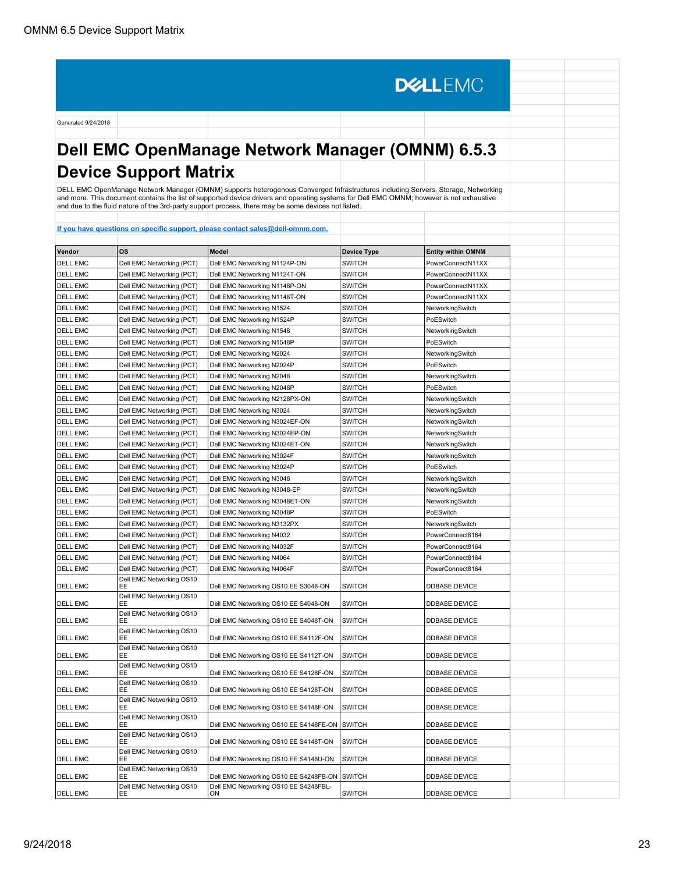# **Dell EMC OpenManage Network Manager (OMNM) 6.5.3 Device Support Matrix**

**DELLEMC** 

DELL EMC OpenManage Network Manager (OMNM) supports heterogenous Converged Infrastructures including Servers, Storage, Networking<br>and more. This document contains the list of supported device drivers and operating systems

| Vendor          | <b>OS</b>                                                  | <b>Model</b>                                                                    | <b>Device Type</b> | <b>Entity within OMNM</b> |  |
|-----------------|------------------------------------------------------------|---------------------------------------------------------------------------------|--------------------|---------------------------|--|
| <b>DELL EMC</b> | Dell EMC Networking (PCT)                                  | Dell EMC Networking N1124P-ON                                                   | <b>SWITCH</b>      | PowerConnectN11XX         |  |
| DELL EMC        | Dell EMC Networking (PCT)                                  | Dell EMC Networking N1124T-ON                                                   | <b>SWITCH</b>      | PowerConnectN11XX         |  |
| <b>DELL EMC</b> | Dell EMC Networking (PCT)                                  | Dell EMC Networking N1148P-ON                                                   | <b>SWITCH</b>      | PowerConnectN11XX         |  |
| <b>DELL EMC</b> | Dell EMC Networking (PCT)                                  | Dell EMC Networking N1148T-ON                                                   | <b>SWITCH</b>      | PowerConnectN11XX         |  |
| <b>DELL EMC</b> | Dell EMC Networking (PCT)                                  | Dell EMC Networking N1524                                                       | <b>SWITCH</b>      | NetworkingSwitch          |  |
| <b>DELL EMC</b> | Dell EMC Networking (PCT)                                  | Dell EMC Networking N1524P                                                      | <b>SWITCH</b>      | PoESwitch                 |  |
| <b>DELL EMC</b> | Dell EMC Networking (PCT)                                  | Dell EMC Networking N1548                                                       | <b>SWITCH</b>      | NetworkingSwitch          |  |
| <b>DELL EMC</b> | Dell EMC Networking (PCT)                                  | Dell EMC Networking N1548P                                                      | <b>SWITCH</b>      | PoESwitch                 |  |
| <b>DELL EMC</b> | Dell EMC Networking (PCT)                                  | Dell EMC Networking N2024                                                       | <b>SWITCH</b>      | NetworkingSwitch          |  |
| <b>DELL EMC</b> | Dell EMC Networking (PCT)                                  | Dell EMC Networking N2024P                                                      | <b>SWITCH</b>      | PoESwitch                 |  |
| <b>DELL EMC</b> | Dell EMC Networking (PCT)                                  | Dell EMC Networking N2048                                                       | <b>SWITCH</b>      | NetworkingSwitch          |  |
| <b>DELL EMC</b> | Dell EMC Networking (PCT)                                  | Dell EMC Networking N2048P                                                      | <b>SWITCH</b>      | PoESwitch                 |  |
| <b>DELL EMC</b> | Dell EMC Networking (PCT)                                  | Dell EMC Networking N2128PX-ON                                                  | <b>SWITCH</b>      | NetworkingSwitch          |  |
| <b>DELL EMC</b> | Dell EMC Networking (PCT)                                  | Dell EMC Networking N3024                                                       | <b>SWITCH</b>      | NetworkingSwitch          |  |
| <b>DELL EMC</b> | Dell EMC Networking (PCT)                                  | Dell EMC Networking N3024EF-ON                                                  | <b>SWITCH</b>      | NetworkingSwitch          |  |
| <b>DELL EMC</b> | Dell EMC Networking (PCT)                                  | Dell EMC Networking N3024EP-ON                                                  | <b>SWITCH</b>      | NetworkingSwitch          |  |
| <b>DELL EMC</b> | Dell EMC Networking (PCT)                                  | Dell EMC Networking N3024ET-ON                                                  | <b>SWITCH</b>      | NetworkingSwitch          |  |
| <b>DELL EMC</b> | Dell EMC Networking (PCT)                                  | Dell EMC Networking N3024F                                                      | <b>SWITCH</b>      | NetworkingSwitch          |  |
| <b>DELL EMC</b> | Dell EMC Networking (PCT)                                  | Dell EMC Networking N3024P                                                      | <b>SWITCH</b>      | PoESwitch                 |  |
| <b>DELL EMC</b> | Dell EMC Networking (PCT)                                  | Dell EMC Networking N3048                                                       | <b>SWITCH</b>      | NetworkingSwitch          |  |
| <b>DELL EMC</b> | Dell EMC Networking (PCT)                                  | Dell EMC Networking N3048-EP                                                    | <b>SWITCH</b>      | NetworkingSwitch          |  |
| <b>DELL EMC</b> | Dell EMC Networking (PCT)                                  | Dell EMC Networking N3048ET-ON                                                  | <b>SWITCH</b>      | NetworkingSwitch          |  |
| <b>DELL EMC</b> | Dell EMC Networking (PCT)                                  | Dell EMC Networking N3048P                                                      | <b>SWITCH</b>      | PoESwitch                 |  |
| <b>DELL EMC</b> | Dell EMC Networking (PCT)                                  | Dell EMC Networking N3132PX                                                     | <b>SWITCH</b>      | NetworkingSwitch          |  |
| <b>DELL EMC</b> | Dell EMC Networking (PCT)                                  | Dell EMC Networking N4032                                                       | <b>SWITCH</b>      | PowerConnect8164          |  |
| <b>DELL EMC</b> | Dell EMC Networking (PCT)                                  | Dell EMC Networking N4032F                                                      | <b>SWITCH</b>      | PowerConnect8164          |  |
| DELL EMC        | Dell EMC Networking (PCT)                                  | Dell EMC Networking N4064                                                       | <b>SWITCH</b>      | PowerConnect8164          |  |
| <b>DELL EMC</b> | Dell EMC Networking (PCT)                                  | Dell EMC Networking N4064F                                                      | <b>SWITCH</b>      | PowerConnect8164          |  |
| <b>DELL EMC</b> | Dell EMC Networking OS10<br>EE                             | Dell EMC Networking OS10 EE S3048-ON                                            | <b>SWITCH</b>      | DDBASE.DEVICE             |  |
| DELL EMC        | Dell EMC Networking OS10<br>EE                             | Dell EMC Networking OS10 EE S4048-ON                                            | <b>SWITCH</b>      | DDBASE.DEVICE             |  |
| DELL EMC        | Dell EMC Networking OS10<br>EE                             | Dell EMC Networking OS10 EE S4048T-ON                                           | <b>SWITCH</b>      | DDBASE.DEVICE             |  |
| DELL EMC        | Dell EMC Networking OS10<br>EЕ                             | Dell EMC Networking OS10 EE S4112F-ON                                           | SWITCH             | DDBASE.DEVICE             |  |
| DELL EMC        | Dell EMC Networking OS10<br>EE                             | Dell EMC Networking OS10 EE S4112T-ON                                           | <b>SWITCH</b>      | DDBASE.DEVICE             |  |
| DELL EMC        | Dell EMC Networking OS10<br>ЕF<br>Dell EMC Networking OS10 | Dell EMC Networking OS10 EE S4128F-ON                                           | <b>SWITCH</b>      | DDBASE.DEVICE             |  |
| DELL EMC        | ЕE<br>Dell EMC Networking OS10                             | Dell EMC Networking OS10 EE S4128T-ON                                           | <b>SWITCH</b>      | DDBASE.DEVICE             |  |
| <b>DELL EMC</b> | EЕ<br>Dell EMC Networking OS10                             | Dell EMC Networking OS10 EE S4148F-ON                                           | <b>SWITCH</b>      | DDBASE.DEVICE             |  |
| <b>DELL EMC</b> | ЕF<br>Dell EMC Networking OS10                             | Dell EMC Networking OS10 EE S4148FE-ON                                          | <b>SWITCH</b>      | DDBASE.DEVICE             |  |
| DELL EMC        | EE<br>Dell EMC Networking OS10                             | Dell EMC Networking OS10 EE S4148T-ON                                           | <b>SWITCH</b>      | DDBASE.DEVICE             |  |
| <b>DELL EMC</b> | EE<br>Dell EMC Networking OS10                             | Dell EMC Networking OS10 EE S4148U-ON                                           | <b>SWITCH</b>      | DDBASE.DEVICE             |  |
| DELL EMC        | EЕ<br>Dell EMC Networking OS10                             | Dell EMC Networking OS10 EE S4248FB-ON<br>Dell EMC Networking OS10 EE S4248FBL- | <b>SWITCH</b>      | DDBASE.DEVICE             |  |
| <b>DELL EMC</b> | EE                                                         | ON                                                                              | <b>SWITCH</b>      | DDBASE.DEVICE             |  |
|                 |                                                            |                                                                                 |                    |                           |  |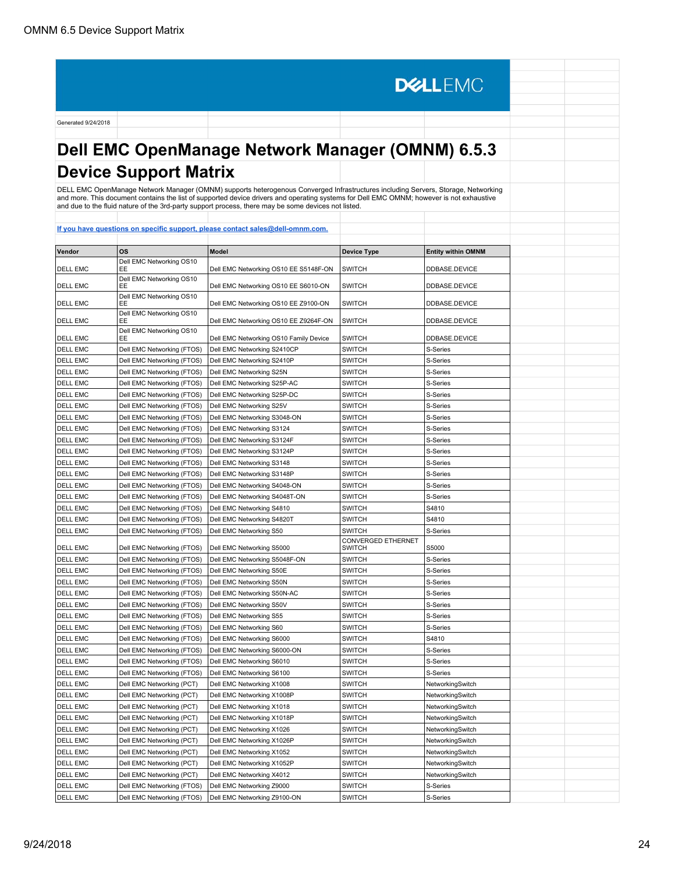# **Dell EMC OpenManage Network Manager (OMNM) 6.5.3 Device Support Matrix**

**DELLEMC** 

DELL EMC OpenManage Network Manager (OMNM) supports heterogenous Converged Infrastructures including Servers, Storage, Networking<br>and more. This document contains the list of supported device drivers and operating systems

| <u>н уси наус ци</u> |                                |                                        |                                     |                           |  |
|----------------------|--------------------------------|----------------------------------------|-------------------------------------|---------------------------|--|
| Vendor               | <b>OS</b>                      | <b>Model</b>                           |                                     |                           |  |
|                      | Dell EMC Networking OS10       |                                        | <b>Device Type</b>                  | <b>Entity within OMNM</b> |  |
| <b>DELL EMC</b>      | ЕF                             | Dell EMC Networking OS10 EE S5148F-ON  | <b>SWITCH</b>                       | DDBASE.DEVICE             |  |
| DELL EMC             | Dell EMC Networking OS10<br>EE | Dell EMC Networking OS10 EE S6010-ON   | <b>SWITCH</b>                       | DDBASE.DEVICE             |  |
| DELL EMC             | Dell EMC Networking OS10<br>ЕE | Dell EMC Networking OS10 EE Z9100-ON   | <b>SWITCH</b>                       | DDBASE.DEVICE             |  |
| DELL EMC             | Dell EMC Networking OS10<br>EE | Dell EMC Networking OS10 EE Z9264F-ON  | <b>SWITCH</b>                       | DDBASE.DEVICE             |  |
| <b>DELL EMC</b>      | Dell EMC Networking OS10<br>EE | Dell EMC Networking OS10 Family Device | <b>SWITCH</b>                       | DDBASE.DEVICE             |  |
| DELL EMC             | Dell EMC Networking (FTOS)     | Dell EMC Networking S2410CP            | <b>SWITCH</b>                       | S-Series                  |  |
| DELL EMC             | Dell EMC Networking (FTOS)     | Dell EMC Networking S2410P             | <b>SWITCH</b>                       | S-Series                  |  |
| <b>DELL EMC</b>      | Dell EMC Networking (FTOS)     | Dell EMC Networking S25N               | SWITCH                              | S-Series                  |  |
| <b>DELL EMC</b>      | Dell EMC Networking (FTOS)     | Dell EMC Networking S25P-AC            | <b>SWITCH</b>                       | S-Series                  |  |
| DELL EMC             | Dell EMC Networking (FTOS)     | Dell EMC Networking S25P-DC            | <b>SWITCH</b>                       | S-Series                  |  |
| <b>DELL EMC</b>      | Dell EMC Networking (FTOS)     | Dell EMC Networking S25V               | <b>SWITCH</b>                       | S-Series                  |  |
| <b>DELL EMC</b>      | Dell EMC Networking (FTOS)     | Dell EMC Networking S3048-ON           | <b>SWITCH</b>                       | S-Series                  |  |
| <b>DELL EMC</b>      | Dell EMC Networking (FTOS)     | Dell EMC Networking S3124              | <b>SWITCH</b>                       | S-Series                  |  |
| <b>DELL EMC</b>      | Dell EMC Networking (FTOS)     | Dell EMC Networking S3124F             | <b>SWITCH</b>                       | S-Series                  |  |
| <b>DELL EMC</b>      | Dell EMC Networking (FTOS)     | Dell EMC Networking S3124P             | <b>SWITCH</b>                       | S-Series                  |  |
| <b>DELL EMC</b>      | Dell EMC Networking (FTOS)     | Dell EMC Networking S3148              | <b>SWITCH</b>                       | S-Series                  |  |
| <b>DELL EMC</b>      | Dell EMC Networking (FTOS)     | Dell EMC Networking S3148P             | <b>SWITCH</b>                       | S-Series                  |  |
| <b>DELL EMC</b>      | Dell EMC Networking (FTOS)     | Dell EMC Networking S4048-ON           | <b>SWITCH</b>                       | S-Series                  |  |
| <b>DELL EMC</b>      | Dell EMC Networking (FTOS)     | Dell EMC Networking S4048T-ON          | <b>SWITCH</b>                       | S-Series                  |  |
| <b>DELL EMC</b>      | Dell EMC Networking (FTOS)     | Dell EMC Networking S4810              | SWITCH                              | S4810                     |  |
| DELL EMC             | Dell EMC Networking (FTOS)     | Dell EMC Networking S4820T             | SWITCH                              | S4810                     |  |
| <b>DELL EMC</b>      | Dell EMC Networking (FTOS)     | Dell EMC Networking S50                | <b>SWITCH</b>                       | S-Series                  |  |
| <b>DELL EMC</b>      | Dell EMC Networking (FTOS)     | Dell EMC Networking S5000              | CONVERGED ETHERNET<br><b>SWITCH</b> | S5000                     |  |
| <b>DELL EMC</b>      | Dell EMC Networking (FTOS)     | Dell EMC Networking S5048F-ON          | <b>SWITCH</b>                       | S-Series                  |  |
| <b>DELL EMC</b>      | Dell EMC Networking (FTOS)     | Dell EMC Networking S50E               | SWITCH                              | S-Series                  |  |
| <b>DELL EMC</b>      | Dell EMC Networking (FTOS)     | Dell EMC Networking S50N               | <b>SWITCH</b>                       | S-Series                  |  |
| <b>DELL EMC</b>      | Dell EMC Networking (FTOS)     | Dell EMC Networking S50N-AC            | <b>SWITCH</b>                       | S-Series                  |  |
| <b>DELL EMC</b>      | Dell EMC Networking (FTOS)     | Dell EMC Networking S50V               | <b>SWITCH</b>                       | S-Series                  |  |
| <b>DELL EMC</b>      | Dell EMC Networking (FTOS)     | Dell EMC Networking S55                | <b>SWITCH</b>                       | S-Series                  |  |
| <b>DELL EMC</b>      | Dell EMC Networking (FTOS)     | Dell EMC Networking S60                | <b>SWITCH</b>                       | S-Series                  |  |
| <b>DELL EMC</b>      | Dell EMC Networking (FTOS)     | Dell EMC Networking S6000              | <b>SWITCH</b>                       | S4810                     |  |
| <b>DELL EMC</b>      | Dell EMC Networking (FTOS)     | Dell EMC Networking S6000-ON           | <b>SWITCH</b>                       | S-Series                  |  |
| <b>DELL EMC</b>      | Dell EMC Networking (FTOS)     | Dell EMC Networking S6010              | <b>SWITCH</b>                       | S-Series                  |  |
| <b>DELL EMC</b>      | Dell EMC Networking (FTOS)     | Dell EMC Networking S6100              | SWITCH                              | S-Series                  |  |
| DELL EMC             | Dell EMC Networking (PCT)      | Dell EMC Networking X1008              | SWITCH                              | NetworkingSwitch          |  |
| <b>DELL EMC</b>      | Dell EMC Networking (PCT)      | Dell EMC Networking X1008P             | SWITCH                              | NetworkingSwitch          |  |
| <b>DELL EMC</b>      | Dell EMC Networking (PCT)      | Dell EMC Networking X1018              | SWITCH                              | NetworkingSwitch          |  |
| DELL EMC             | Dell EMC Networking (PCT)      | Dell EMC Networking X1018P             | SWITCH                              | NetworkingSwitch          |  |
| <b>DELL EMC</b>      | Dell EMC Networking (PCT)      | Dell EMC Networking X1026              | <b>SWITCH</b>                       | NetworkingSwitch          |  |
| <b>DELL EMC</b>      | Dell EMC Networking (PCT)      | Dell EMC Networking X1026P             | <b>SWITCH</b>                       | NetworkingSwitch          |  |
| <b>DELL EMC</b>      | Dell EMC Networking (PCT)      | Dell EMC Networking X1052              | <b>SWITCH</b>                       | NetworkingSwitch          |  |
| <b>DELL EMC</b>      | Dell EMC Networking (PCT)      | Dell EMC Networking X1052P             | <b>SWITCH</b>                       | NetworkingSwitch          |  |
| <b>DELL EMC</b>      | Dell EMC Networking (PCT)      | Dell EMC Networking X4012              | <b>SWITCH</b>                       | NetworkingSwitch          |  |
| <b>DELL EMC</b>      | Dell EMC Networking (FTOS)     | Dell EMC Networking Z9000              | <b>SWITCH</b>                       | S-Series                  |  |
| <b>DELL EMC</b>      | Dell EMC Networking (FTOS)     | Dell EMC Networking Z9100-ON           | <b>SWITCH</b>                       | S-Series                  |  |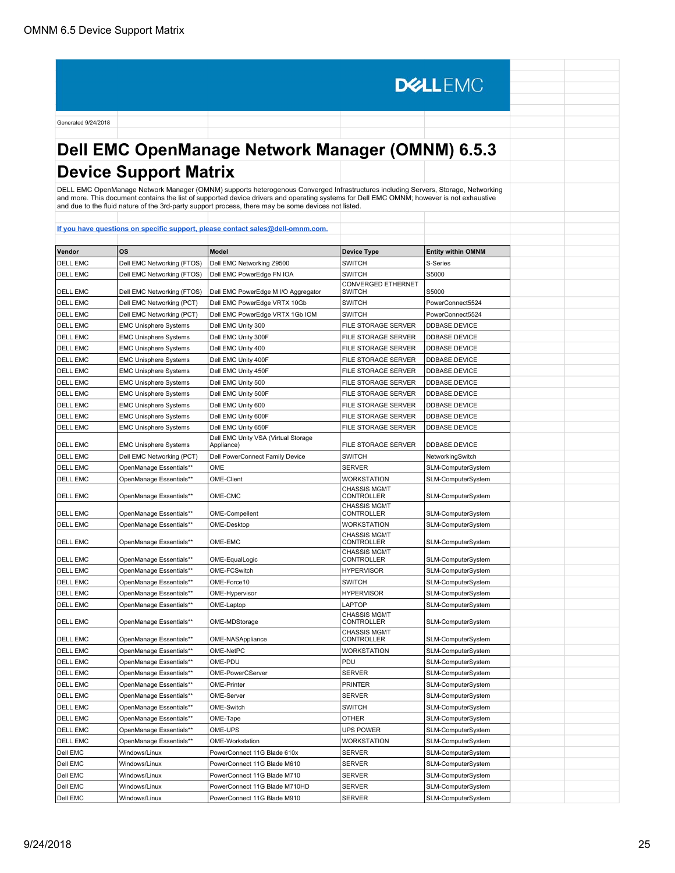# **Dell EMC OpenManage Network Manager (OMNM) 6.5.3 Device Support Matrix**

**DELLEMC** 

DELL EMC OpenManage Network Manager (OMNM) supports heterogenous Converged Infrastructures including Servers, Storage, Networking<br>and more. This document contains the list of supported device drivers and operating systems

| Vendor          | <b>OS</b>                    | <b>Model</b>                                      | <b>Device Type</b>                       | <b>Entity within OMNM</b> |
|-----------------|------------------------------|---------------------------------------------------|------------------------------------------|---------------------------|
| <b>DELL EMC</b> | Dell EMC Networking (FTOS)   | Dell EMC Networking Z9500                         | <b>SWITCH</b>                            | S-Series                  |
| <b>DELL EMC</b> | Dell EMC Networking (FTOS)   | Dell EMC PowerEdge FN IOA                         | <b>SWITCH</b>                            | S5000                     |
| <b>DELL EMC</b> | Dell EMC Networking (FTOS)   | Dell EMC PowerEdge M I/O Aggregator               | CONVERGED ETHERNET<br><b>SWITCH</b>      | S5000                     |
| <b>DELL EMC</b> | Dell EMC Networking (PCT)    | Dell EMC PowerEdge VRTX 10Gb                      | <b>SWITCH</b>                            | PowerConnect5524          |
| <b>DELL EMC</b> | Dell EMC Networking (PCT)    | Dell EMC PowerEdge VRTX 1Gb IOM                   | <b>SWITCH</b>                            | PowerConnect5524          |
| <b>DELL EMC</b> | <b>EMC Unisphere Systems</b> | Dell EMC Unity 300                                | FILE STORAGE SERVER                      | DDBASE.DEVICE             |
| <b>DELL EMC</b> | <b>EMC Unisphere Systems</b> | Dell EMC Unity 300F                               | FILE STORAGE SERVER                      | DDBASE.DEVICE             |
| <b>DELL EMC</b> | <b>EMC Unisphere Systems</b> | Dell EMC Unity 400                                | FILE STORAGE SERVER                      | DDBASE.DEVICE             |
| <b>DELL EMC</b> | <b>EMC Unisphere Systems</b> | Dell EMC Unity 400F                               | FILE STORAGE SERVER                      | DDBASE.DEVICE             |
| <b>DELL EMC</b> | <b>EMC Unisphere Systems</b> | Dell EMC Unity 450F                               | FILE STORAGE SERVER                      | DDBASE.DEVICE             |
| <b>DELL EMC</b> | <b>EMC Unisphere Systems</b> | Dell EMC Unity 500                                | FILE STORAGE SERVER                      | DDBASE.DEVICE             |
| <b>DELL EMC</b> | <b>EMC Unisphere Systems</b> | Dell EMC Unity 500F                               | FILE STORAGE SERVER                      | DDBASE.DEVICE             |
| <b>DELL EMC</b> | <b>EMC Unisphere Systems</b> | Dell EMC Unity 600                                | FILE STORAGE SERVER                      | DDBASE.DEVICE             |
| <b>DELL EMC</b> | <b>EMC Unisphere Systems</b> | Dell EMC Unity 600F                               | FILE STORAGE SERVER                      | DDBASE.DEVICE             |
| <b>DELL EMC</b> | <b>EMC Unisphere Systems</b> | Dell EMC Unity 650F                               | FILE STORAGE SERVER                      | DDBASE.DEVICE             |
| <b>DELL EMC</b> | <b>EMC Unisphere Systems</b> | Dell EMC Unity VSA (Virtual Storage<br>Appliance) | FILE STORAGE SERVER                      | DDBASE.DEVICE             |
| <b>DELL EMC</b> | Dell EMC Networking (PCT)    | Dell PowerConnect Family Device                   | <b>SWITCH</b>                            | NetworkingSwitch          |
| <b>DELL EMC</b> | OpenManage Essentials**      | OME                                               | <b>SERVER</b>                            | SLM-ComputerSystem        |
| <b>DELL EMC</b> | OpenManage Essentials**      | <b>OME-Client</b>                                 | WORKSTATION                              | SLM-ComputerSystem        |
| <b>DELL EMC</b> | OpenManage Essentials**      | OME-CMC                                           | <b>CHASSIS MGMT</b><br><b>CONTROLLER</b> | SLM-ComputerSystem        |
| <b>DELL EMC</b> | OpenManage Essentials**      | OME-Compellent                                    | <b>CHASSIS MGMT</b><br>CONTROLLER        | SLM-ComputerSystem        |
| <b>DELL EMC</b> | OpenManage Essentials**      | OME-Desktop                                       | WORKSTATION                              | SLM-ComputerSystem        |
| <b>DELL EMC</b> | OpenManage Essentials**      | OME-EMC                                           | <b>CHASSIS MGMT</b><br>CONTROLLER        | SLM-ComputerSystem        |
| <b>DELL EMC</b> | OpenManage Essentials**      | OME-EqualLogic                                    | <b>CHASSIS MGMT</b><br>CONTROLLER        | SLM-ComputerSystem        |
| <b>DELL EMC</b> | OpenManage Essentials**      | OME-FCSwitch                                      | <b>HYPERVISOR</b>                        | SLM-ComputerSystem        |
| <b>DELL EMC</b> | OpenManage Essentials**      | OME-Force10                                       | <b>SWITCH</b>                            | SLM-ComputerSystem        |
| <b>DELL EMC</b> | OpenManage Essentials**      | OME-Hypervisor                                    | <b>HYPERVISOR</b>                        | SLM-ComputerSystem        |
| <b>DELL EMC</b> | OpenManage Essentials**      | OME-Laptop                                        | LAPTOP                                   | SLM-ComputerSystem        |
| <b>DELL EMC</b> | OpenManage Essentials**      | OME-MDStorage                                     | <b>CHASSIS MGMT</b><br><b>CONTROLLER</b> | SLM-ComputerSystem        |
| <b>DELL EMC</b> | OpenManage Essentials**      | OME-NASAppliance                                  | <b>CHASSIS MGMT</b><br><b>CONTROLLER</b> | SLM-ComputerSystem        |
| <b>DELL EMC</b> | OpenManage Essentials**      | OME-NetPC                                         | <b>WORKSTATION</b>                       | SLM-ComputerSystem        |
| <b>DELL EMC</b> | OpenManage Essentials**      | OME-PDU                                           | PDU                                      | SLM-ComputerSystem        |
| <b>DELL EMC</b> | OpenManage Essentials**      | OME-PowerCServer                                  | <b>SERVER</b>                            | SLM-ComputerSystem        |
| <b>DELL EMC</b> | OpenManage Essentials**      | <b>OME-Printer</b>                                | <b>PRINTER</b>                           | SLM-ComputerSystem        |
| <b>DELL EMC</b> | OpenManage Essentials**      | OME-Server                                        | <b>SERVER</b>                            | SLM-ComputerSystem        |
| <b>DELL EMC</b> | OpenManage Essentials**      | OME-Switch                                        | <b>SWITCH</b>                            | SLM-ComputerSystem        |
| <b>DELL EMC</b> | OpenManage Essentials**      | OME-Tape                                          | OTHER                                    | SLM-ComputerSystem        |
| <b>DELL EMC</b> | OpenManage Essentials**      | OME-UPS                                           | UPS POWER                                | SLM-ComputerSystem        |
| <b>DELL EMC</b> | OpenManage Essentials**      | OME-Workstation                                   | <b>WORKSTATION</b>                       | SLM-ComputerSystem        |
| Dell EMC        | Windows/Linux                | PowerConnect 11G Blade 610x                       | SERVER                                   | SLM-ComputerSystem        |
| Dell EMC        | Windows/Linux                | PowerConnect 11G Blade M610                       | <b>SERVER</b>                            | SLM-ComputerSystem        |
| Dell EMC        | Windows/Linux                | PowerConnect 11G Blade M710                       | SERVER                                   | SLM-ComputerSystem        |
| Dell EMC        | Windows/Linux                | PowerConnect 11G Blade M710HD                     | <b>SERVER</b>                            | SLM-ComputerSystem        |
| Dell EMC        | Windows/Linux                | PowerConnect 11G Blade M910                       | <b>SERVER</b>                            | SLM-ComputerSystem        |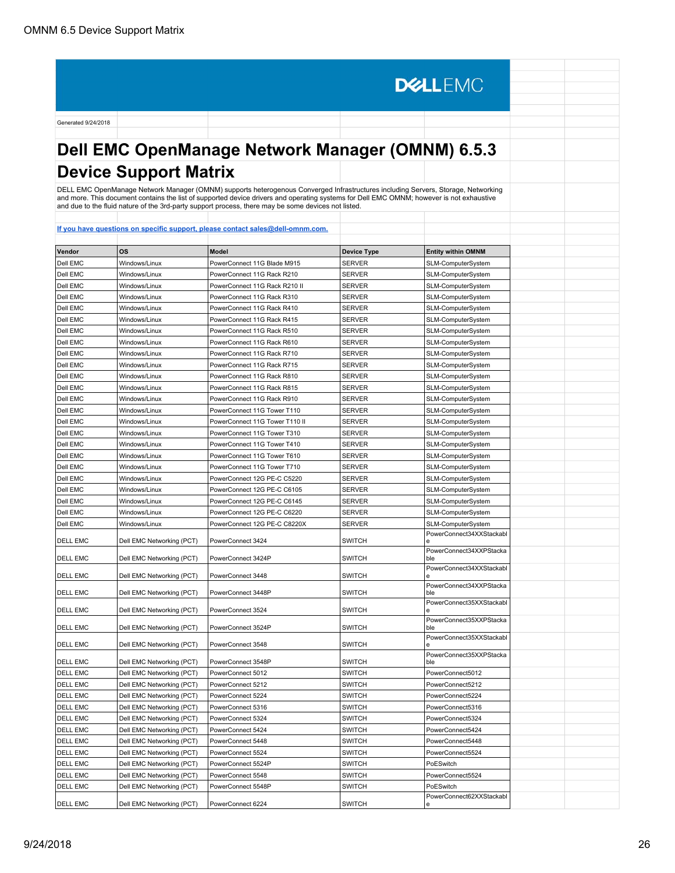# **Dell EMC OpenManage Network Manager (OMNM) 6.5.3 Device Support Matrix**

**DELLEMC** 

DELL EMC OpenManage Network Manager (OMNM) supports heterogenous Converged Infrastructures including Servers, Storage, Networking<br>and more. This document contains the list of supported device drivers and operating systems

| Vendor          | OS                        | Model                          | <b>Device Type</b> | <b>Entity within OMNM</b>      |
|-----------------|---------------------------|--------------------------------|--------------------|--------------------------------|
| Dell EMC        | Windows/Linux             | PowerConnect 11G Blade M915    | <b>SERVER</b>      | SLM-ComputerSystem             |
| Dell EMC        | Windows/Linux             | PowerConnect 11G Rack R210     | <b>SERVER</b>      | SLM-ComputerSystem             |
| Dell EMC        | Windows/Linux             | PowerConnect 11G Rack R210 II  | SERVER             | SLM-ComputerSystem             |
| Dell EMC        | Windows/Linux             |                                |                    |                                |
|                 |                           | PowerConnect 11G Rack R310     | SERVER             | SLM-ComputerSystem             |
| Dell EMC        | Windows/Linux             | PowerConnect 11G Rack R410     | SERVER             | SLM-ComputerSystem             |
| Dell EMC        | Windows/Linux             | PowerConnect 11G Rack R415     | SERVER             | SLM-ComputerSystem             |
| Dell EMC        | Windows/Linux             | PowerConnect 11G Rack R510     | <b>SERVER</b>      | SLM-ComputerSystem             |
| Dell EMC        | Windows/Linux             | PowerConnect 11G Rack R610     | SERVER             | SLM-ComputerSystem             |
| Dell EMC        | Windows/Linux             | PowerConnect 11G Rack R710     | <b>SERVER</b>      | SLM-ComputerSystem             |
| Dell EMC        | Windows/Linux             | PowerConnect 11G Rack R715     | SERVER             | SLM-ComputerSystem             |
| Dell EMC        | Windows/Linux             | PowerConnect 11G Rack R810     | SERVER             | SLM-ComputerSystem             |
| Dell EMC        | Windows/Linux             | PowerConnect 11G Rack R815     | <b>SERVER</b>      | SLM-ComputerSystem             |
| Dell EMC        | Windows/Linux             | PowerConnect 11G Rack R910     | SERVER             | SLM-ComputerSystem             |
| Dell EMC        | Windows/Linux             | PowerConnect 11G Tower T110    | SERVER             | SLM-ComputerSystem             |
| Dell EMC        | Windows/Linux             | PowerConnect 11G Tower T110 II | SERVER             | SLM-ComputerSystem             |
| Dell EMC        | Windows/Linux             | PowerConnect 11G Tower T310    | SERVER             | SLM-ComputerSystem             |
| Dell EMC        | Windows/Linux             | PowerConnect 11G Tower T410    | <b>SERVER</b>      | SLM-ComputerSystem             |
| Dell EMC        | Windows/Linux             | PowerConnect 11G Tower T610    | <b>SERVER</b>      | SLM-ComputerSystem             |
| Dell EMC        | Windows/Linux             | PowerConnect 11G Tower T710    | <b>SERVER</b>      | SLM-ComputerSystem             |
| Dell EMC        | Windows/Linux             | PowerConnect 12G PE-C C5220    | <b>SERVER</b>      | SLM-ComputerSystem             |
| Dell EMC        | Windows/Linux             | PowerConnect 12G PE-C C6105    | <b>SERVER</b>      | SLM-ComputerSystem             |
| Dell EMC        | Windows/Linux             | PowerConnect 12G PE-C C6145    | SERVER             | SLM-ComputerSystem             |
| Dell EMC        | Windows/Linux             | PowerConnect 12G PE-C C6220    | SERVER             | SLM-ComputerSystem             |
| Dell EMC        | Windows/Linux             | PowerConnect 12G PE-C C8220X   | SERVER             | SLM-ComputerSystem             |
| DELL EMC        | Dell EMC Networking (PCT) | PowerConnect 3424              | SWITCH             | PowerConnect34XXStackabl       |
| <b>DELL EMC</b> | Dell EMC Networking (PCT) | PowerConnect 3424P             | <b>SWITCH</b>      | PowerConnect34XXPStacka<br>ble |
|                 |                           |                                |                    | PowerConnect34XXStackabl       |
| <b>DELL EMC</b> | Dell EMC Networking (PCT) | PowerConnect 3448              | <b>SWITCH</b>      |                                |
| <b>DELL EMC</b> | Dell EMC Networking (PCT) | PowerConnect 3448P             | <b>SWITCH</b>      | PowerConnect34XXPStacka<br>ble |
| <b>DELL EMC</b> | Dell EMC Networking (PCT) | PowerConnect 3524              | SWITCH             | PowerConnect35XXStackabl<br>e  |
| <b>DELL EMC</b> | Dell EMC Networking (PCT) | PowerConnect 3524P             | SWITCH             | PowerConnect35XXPStacka<br>ble |
| DELL EMC        | Dell EMC Networking (PCT) | PowerConnect 3548              | SWITCH             | PowerConnect35XXStackabl       |
| <b>DELL EMC</b> | Dell EMC Networking (PCT) | PowerConnect 3548P             | <b>SWITCH</b>      | PowerConnect35XXPStacka<br>hle |
| <b>DELL EMC</b> | Dell EMC Networking (PCT) | PowerConnect 5012              | <b>SWITCH</b>      | PowerConnect5012               |
| <b>DELL EMC</b> | Dell EMC Networking (PCT) | PowerConnect 5212              | <b>SWITCH</b>      | PowerConnect5212               |
| <b>DELL EMC</b> | Dell EMC Networking (PCT) | PowerConnect 5224              | SWITCH             | PowerConnect5224               |
| <b>DELL EMC</b> | Dell EMC Networking (PCT) | PowerConnect 5316              | <b>SWITCH</b>      | PowerConnect5316               |
| <b>DELL EMC</b> | Dell EMC Networking (PCT) | PowerConnect 5324              | <b>SWITCH</b>      | PowerConnect5324               |
| DELL EMC        | Dell EMC Networking (PCT) | PowerConnect 5424              | SWITCH             | PowerConnect5424               |
| <b>DELL EMC</b> | Dell EMC Networking (PCT) | PowerConnect 5448              | SWITCH             | PowerConnect5448               |
| <b>DELL EMC</b> | Dell EMC Networking (PCT) | PowerConnect 5524              | SWITCH             | PowerConnect5524               |
| <b>DELL EMC</b> | Dell EMC Networking (PCT) | PowerConnect 5524P             | SWITCH             | PoESwitch                      |
| <b>DELL EMC</b> | Dell EMC Networking (PCT) | PowerConnect 5548              | <b>SWITCH</b>      | PowerConnect5524               |
| <b>DELL EMC</b> | Dell EMC Networking (PCT) | PowerConnect 5548P             | <b>SWITCH</b>      | PoESwitch                      |
|                 |                           |                                |                    | PowerConnect62XXStackabl       |
| <b>DELL EMC</b> | Dell EMC Networking (PCT) | PowerConnect 6224              | <b>SWITCH</b>      | e                              |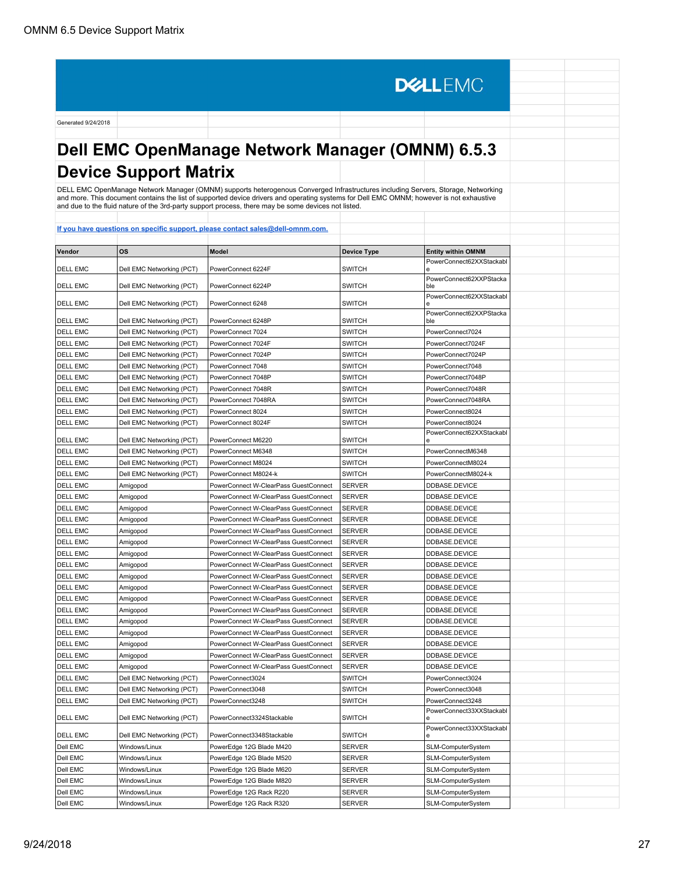# **Dell EMC OpenManage Network Manager (OMNM) 6.5.3 Device Support Matrix**

**DELLEMC** 

DELL EMC OpenManage Network Manager (OMNM) supports heterogenous Converged Infrastructures including Servers, Storage, Networking<br>and more. This document contains the list of supported device drivers and operating systems

| Vendor          | <b>OS</b>                 | <b>Model</b>                          | <b>Device Type</b> | <b>Entity within OMNM</b>      |  |
|-----------------|---------------------------|---------------------------------------|--------------------|--------------------------------|--|
|                 |                           |                                       |                    | PowerConnect62XXStackabl       |  |
| <b>DELL EMC</b> | Dell EMC Networking (PCT) | PowerConnect 6224F                    | <b>SWITCH</b>      | е                              |  |
| <b>DELL EMC</b> | Dell EMC Networking (PCT) | PowerConnect 6224P                    | <b>SWITCH</b>      | PowerConnect62XXPStacka<br>ble |  |
| <b>DELL EMC</b> | Dell EMC Networking (PCT) | PowerConnect 6248                     | <b>SWITCH</b>      | PowerConnect62XXStackabl       |  |
| <b>DELL EMC</b> | Dell EMC Networking (PCT) | PowerConnect 6248P                    | <b>SWITCH</b>      | PowerConnect62XXPStacka<br>ble |  |
| <b>DELL EMC</b> | Dell EMC Networking (PCT) | PowerConnect 7024                     | <b>SWITCH</b>      | PowerConnect7024               |  |
| <b>DELL EMC</b> | Dell EMC Networking (PCT) | PowerConnect 7024F                    | <b>SWITCH</b>      | PowerConnect7024F              |  |
| <b>DELL EMC</b> | Dell EMC Networking (PCT) | PowerConnect 7024P                    | <b>SWITCH</b>      | PowerConnect7024P              |  |
| <b>DELL EMC</b> | Dell EMC Networking (PCT) | PowerConnect 7048                     | <b>SWITCH</b>      | PowerConnect7048               |  |
| <b>DELL EMC</b> | Dell EMC Networking (PCT) | PowerConnect 7048P                    | <b>SWITCH</b>      | PowerConnect7048P              |  |
| <b>DELL EMC</b> | Dell EMC Networking (PCT) | PowerConnect 7048R                    | <b>SWITCH</b>      | PowerConnect7048R              |  |
| <b>DELL EMC</b> | Dell EMC Networking (PCT) | PowerConnect 7048RA                   | <b>SWITCH</b>      | PowerConnect7048RA             |  |
| <b>DELL EMC</b> | Dell EMC Networking (PCT) | PowerConnect 8024                     | <b>SWITCH</b>      | PowerConnect8024               |  |
| <b>DELL EMC</b> | Dell EMC Networking (PCT) | PowerConnect 8024F                    | <b>SWITCH</b>      | PowerConnect8024               |  |
| <b>DELL EMC</b> | Dell EMC Networking (PCT) | PowerConnect M6220                    | <b>SWITCH</b>      | PowerConnect62XXStackabl<br>ė  |  |
| <b>DELL EMC</b> | Dell EMC Networking (PCT) | PowerConnect M6348                    | <b>SWITCH</b>      | PowerConnectM6348              |  |
| <b>DELL EMC</b> | Dell EMC Networking (PCT) | PowerConnect M8024                    | <b>SWITCH</b>      | PowerConnectM8024              |  |
| <b>DELL EMC</b> | Dell EMC Networking (PCT) | PowerConnect M8024-k                  | <b>SWITCH</b>      | PowerConnectM8024-k            |  |
| <b>DELL EMC</b> | Amigopod                  | PowerConnect W-ClearPass GuestConnect | <b>SERVER</b>      | DDBASE.DEVICE                  |  |
| <b>DELL EMC</b> | Amigopod                  | PowerConnect W-ClearPass GuestConnect | <b>SERVER</b>      | DDBASE.DEVICE                  |  |
| <b>DELL EMC</b> | Amigopod                  | PowerConnect W-ClearPass GuestConnect | <b>SERVER</b>      | DDBASE.DEVICE                  |  |
| <b>DELL EMC</b> | Amigopod                  | PowerConnect W-ClearPass GuestConnect | <b>SERVER</b>      | DDBASE.DEVICE                  |  |
| <b>DELL EMC</b> | Amigopod                  | PowerConnect W-ClearPass GuestConnect | <b>SERVER</b>      | DDBASE.DEVICE                  |  |
| <b>DELL EMC</b> | Amigopod                  | PowerConnect W-ClearPass GuestConnect | <b>SERVER</b>      | DDBASE.DEVICE                  |  |
| <b>DELL EMC</b> | Amigopod                  | PowerConnect W-ClearPass GuestConnect | <b>SERVER</b>      | DDBASE.DEVICE                  |  |
| <b>DELL EMC</b> | Amigopod                  | PowerConnect W-ClearPass GuestConnect | <b>SERVER</b>      | DDBASE.DEVICE                  |  |
| <b>DELL EMC</b> | Amigopod                  | PowerConnect W-ClearPass GuestConnect | <b>SERVER</b>      | DDBASE.DEVICE                  |  |
| <b>DELL EMC</b> | Amigopod                  | PowerConnect W-ClearPass GuestConnect | <b>SERVER</b>      | DDBASE.DEVICE                  |  |
| <b>DELL EMC</b> | Amigopod                  | PowerConnect W-ClearPass GuestConnect | <b>SERVER</b>      | DDBASE.DEVICE                  |  |
| <b>DELL EMC</b> | Amigopod                  | PowerConnect W-ClearPass GuestConnect | <b>SERVER</b>      | DDBASE.DEVICE                  |  |
| <b>DELL EMC</b> | Amigopod                  | PowerConnect W-ClearPass GuestConnect | <b>SERVER</b>      | DDBASE.DEVICE                  |  |
| <b>DELL EMC</b> | Amigopod                  | PowerConnect W-ClearPass GuestConnect | <b>SERVER</b>      | DDBASE.DEVICE                  |  |
| <b>DELL EMC</b> | Amigopod                  | PowerConnect W-ClearPass GuestConnect | <b>SERVER</b>      | DDBASE.DEVICE                  |  |
| <b>DELL EMC</b> | Amigopod                  | PowerConnect W-ClearPass GuestConnect | <b>SERVER</b>      | DDBASE.DEVICE                  |  |
| <b>DELL EMC</b> | Amigopod                  | PowerConnect W-ClearPass GuestConnect | <b>SERVER</b>      | DDBASE.DEVICE                  |  |
| <b>DELL EMC</b> | Dell EMC Networking (PCT) | PowerConnect3024                      | <b>SWITCH</b>      | PowerConnect3024               |  |
| <b>DELL EMC</b> | Dell EMC Networking (PCT) | PowerConnect3048                      | <b>SWITCH</b>      | PowerConnect3048               |  |
| <b>DELL EMC</b> | Dell EMC Networking (PCT) | PowerConnect3248                      | <b>SWITCH</b>      | PowerConnect3248               |  |
|                 |                           |                                       |                    | PowerConnect33XXStackabl       |  |
| <b>DELL EMC</b> | Dell EMC Networking (PCT) | PowerConnect3324Stackable             | <b>SWITCH</b>      | е                              |  |
| <b>DELL EMC</b> | Dell EMC Networking (PCT) | PowerConnect3348Stackable             | <b>SWITCH</b>      | PowerConnect33XXStackabl<br>e  |  |
| Dell EMC        | Windows/Linux             | PowerEdge 12G Blade M420              | SERVER             | SLM-ComputerSystem             |  |
| Dell EMC        | Windows/Linux             | PowerEdge 12G Blade M520              | <b>SERVER</b>      | SLM-ComputerSystem             |  |
| Dell EMC        | Windows/Linux             | PowerEdge 12G Blade M620              | <b>SERVER</b>      | SLM-ComputerSystem             |  |
| Dell EMC        | Windows/Linux             | PowerEdge 12G Blade M820              | SERVER             | SLM-ComputerSystem             |  |
| Dell EMC        | Windows/Linux             | PowerEdge 12G Rack R220               | SERVER             | SLM-ComputerSystem             |  |
| Dell EMC        | Windows/Linux             | PowerEdge 12G Rack R320               | <b>SERVER</b>      | SLM-ComputerSystem             |  |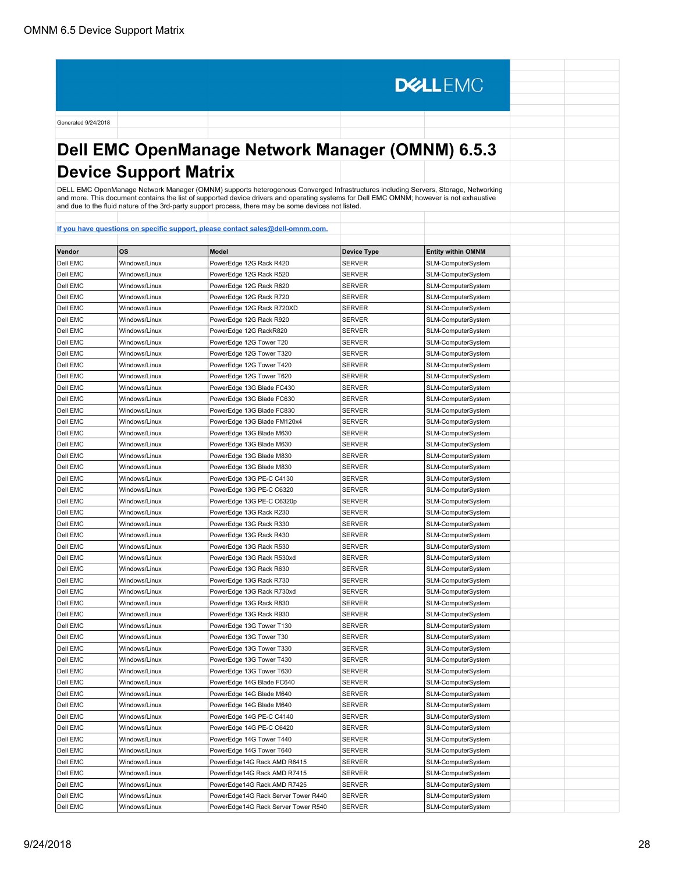# **Dell EMC OpenManage Network Manager (OMNM) 6.5.3 Device Support Matrix**

**DELLEMC** 

DELL EMC OpenManage Network Manager (OMNM) supports heterogenous Converged Infrastructures including Servers, Storage, Networking<br>and more. This document contains the list of supported device drivers and operating systems

| Vendor   | ΟS            | Model                               | <b>Device Type</b> | <b>Entity within OMNM</b> |
|----------|---------------|-------------------------------------|--------------------|---------------------------|
| Dell EMC | Windows/Linux | PowerEdge 12G Rack R420             | <b>SERVER</b>      | SLM-ComputerSystem        |
| Dell EMC | Windows/Linux | PowerEdge 12G Rack R520             | SERVER             | SLM-ComputerSystem        |
| Dell EMC | Windows/Linux | PowerEdge 12G Rack R620             | <b>SERVER</b>      | SLM-ComputerSystem        |
| Dell EMC | Windows/Linux | PowerEdge 12G Rack R720             | <b>SERVER</b>      |                           |
|          |               |                                     |                    | SLM-ComputerSystem        |
| Dell EMC | Windows/Linux | PowerEdge 12G Rack R720XD           | SERVER             | SLM-ComputerSystem        |
| Dell EMC | Windows/Linux | PowerEdge 12G Rack R920             | <b>SERVER</b>      | SLM-ComputerSystem        |
| Dell EMC | Windows/Linux | PowerEdge 12G RackR820              | SERVER             | SLM-ComputerSystem        |
| Dell EMC | Windows/Linux | PowerEdge 12G Tower T20             | SERVER             | SLM-ComputerSystem        |
| Dell EMC | Windows/Linux | PowerEdge 12G Tower T320            | SERVER             | SLM-ComputerSystem        |
| Dell EMC | Windows/Linux | PowerEdge 12G Tower T420            | SERVER             | SLM-ComputerSystem        |
| Dell EMC | Windows/Linux | PowerEdge 12G Tower T620            | SERVER             | SLM-ComputerSystem        |
| Dell EMC | Windows/Linux | PowerEdge 13G Blade FC430           | SERVER             | SLM-ComputerSystem        |
| Dell EMC | Windows/Linux | PowerEdge 13G Blade FC630           | SERVER             | SLM-ComputerSystem        |
| Dell EMC | Windows/Linux | PowerEdge 13G Blade FC830           | SERVER             | SLM-ComputerSystem        |
| Dell EMC | Windows/Linux | PowerEdge 13G Blade FM120x4         | SERVER             | SLM-ComputerSystem        |
| Dell EMC | Windows/Linux | PowerEdge 13G Blade M630            | SERVER             | SLM-ComputerSystem        |
| Dell EMC | Windows/Linux | PowerEdge 13G Blade M630            | SERVER             | SLM-ComputerSystem        |
| Dell EMC | Windows/Linux | PowerEdge 13G Blade M830            | SERVER             | SLM-ComputerSystem        |
| Dell EMC | Windows/Linux | PowerEdge 13G Blade M830            | SERVER             | SLM-ComputerSystem        |
| Dell EMC | Windows/Linux | PowerEdge 13G PE-C C4130            | SERVER             | SLM-ComputerSystem        |
| Dell EMC | Windows/Linux | PowerEdge 13G PE-C C6320            | SERVER             | SLM-ComputerSystem        |
| Dell EMC | Windows/Linux | PowerEdge 13G PE-C C6320p           | SERVER             | SLM-ComputerSystem        |
| Dell EMC | Windows/Linux | PowerEdge 13G Rack R230             | SERVER             | SLM-ComputerSystem        |
| Dell EMC | Windows/Linux | PowerEdge 13G Rack R330             | <b>SERVER</b>      | SLM-ComputerSystem        |
| Dell EMC | Windows/Linux | PowerEdge 13G Rack R430             | <b>SERVER</b>      | SLM-ComputerSystem        |
| Dell EMC | Windows/Linux | PowerEdge 13G Rack R530             | SERVER             | SLM-ComputerSystem        |
| Dell EMC | Windows/Linux | PowerEdge 13G Rack R530xd           | SERVER             | SLM-ComputerSystem        |
| Dell EMC | Windows/Linux | PowerEdge 13G Rack R630             | SERVER             | SLM-ComputerSystem        |
| Dell EMC | Windows/Linux | PowerEdge 13G Rack R730             | SERVER             | SLM-ComputerSystem        |
| Dell EMC | Windows/Linux | PowerEdge 13G Rack R730xd           | SERVER             | SLM-ComputerSystem        |
| Dell EMC | Windows/Linux | PowerEdge 13G Rack R830             | SERVER             | SLM-ComputerSystem        |
| Dell EMC | Windows/Linux | PowerEdge 13G Rack R930             | <b>SERVER</b>      | SLM-ComputerSystem        |
| Dell EMC | Windows/Linux | PowerEdge 13G Tower T130            | SERVER             | SLM-ComputerSystem        |
| Dell EMC | Windows/Linux | PowerEdge 13G Tower T30             | <b>SERVER</b>      | SLM-ComputerSystem        |
| Dell EMC | Windows/Linux | PowerEdge 13G Tower T330            | SERVER             | SLM-ComputerSystem        |
| Dell EMC | Windows/Linux | PowerEdge 13G Tower T430            | SERVER             | SLM-ComputerSystem        |
| Dell EMC | Windows/Linux | PowerEdge 13G Tower T630            | <b>SERVER</b>      | SLM-ComputerSystem        |
| Dell EMC | Windows/Linux | PowerEdge 14G Blade FC640           | SERVER             | SLM-ComputerSystem        |
| Dell EMC | Windows/Linux | PowerEdge 14G Blade M640            | SERVER             | SLM-ComputerSystem        |
| Dell EMC | Windows/Linux | PowerEdge 14G Blade M640            | SERVER             | SLM-ComputerSystem        |
| Dell EMC | Windows/Linux | PowerEdge 14G PE-C C4140            | SERVER             | SLM-ComputerSystem        |
| Dell EMC | Windows/Linux | PowerEdge 14G PE-C C6420            | SERVER             | SLM-ComputerSystem        |
| Dell EMC | Windows/Linux | PowerEdge 14G Tower T440            | SERVER             | SLM-ComputerSystem        |
| Dell EMC | Windows/Linux | PowerEdge 14G Tower T640            | SERVER             | SLM-ComputerSystem        |
| Dell EMC | Windows/Linux | PowerEdge14G Rack AMD R6415         | SERVER             | SLM-ComputerSystem        |
| Dell EMC | Windows/Linux | PowerEdge14G Rack AMD R7415         | SERVER             | SLM-ComputerSystem        |
| Dell EMC | Windows/Linux | PowerEdge14G Rack AMD R7425         | SERVER             | SLM-ComputerSystem        |
| Dell EMC | Windows/Linux | PowerEdge14G Rack Server Tower R440 | SERVER             | SLM-ComputerSystem        |
| Dell EMC | Windows/Linux | PowerEdge14G Rack Server Tower R540 | <b>SERVER</b>      | SLM-ComputerSystem        |
|          |               |                                     |                    |                           |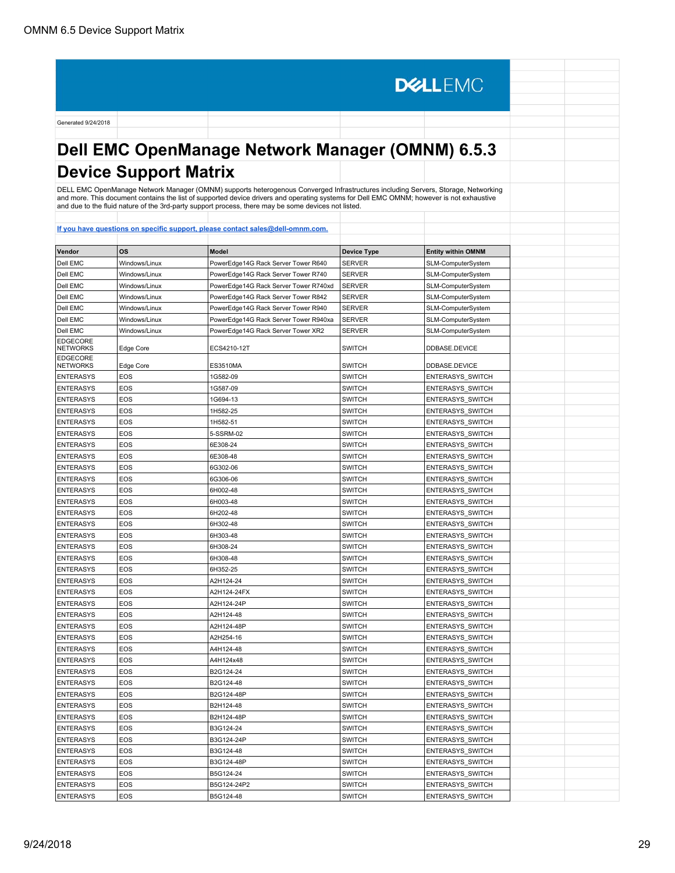# **Dell EMC OpenManage Network Manager (OMNM) 6.5.3 Device Support Matrix**

**DELLEMC** 

DELL EMC OpenManage Network Manager (OMNM) supports heterogenous Converged Infrastructures including Servers, Storage, Networking<br>and more. This document contains the list of supported device drivers and operating systems

| <u>II you have t</u>               |               |                                       |                    |                           |
|------------------------------------|---------------|---------------------------------------|--------------------|---------------------------|
| Vendor                             | os            | <b>Model</b>                          | <b>Device Type</b> | <b>Entity within OMNM</b> |
| Dell EMC                           | Windows/Linux | PowerEdge14G Rack Server Tower R640   | <b>SERVER</b>      | SLM-ComputerSystem        |
| Dell EMC                           | Windows/Linux | PowerEdge14G Rack Server Tower R740   | <b>SERVER</b>      | SLM-ComputerSystem        |
| Dell EMC                           | Windows/Linux | PowerEdge14G Rack Server Tower R740xd | <b>SERVER</b>      | SLM-ComputerSystem        |
| Dell EMC                           | Windows/Linux | PowerEdge14G Rack Server Tower R842   | <b>SERVER</b>      | SLM-ComputerSystem        |
| Dell EMC                           | Windows/Linux | PowerEdge14G Rack Server Tower R940   | <b>SERVER</b>      | SLM-ComputerSystem        |
| Dell EMC                           | Windows/Linux | PowerEdge14G Rack Server Tower R940xa | <b>SERVER</b>      | SLM-ComputerSystem        |
| Dell EMC                           | Windows/Linux | PowerEdge14G Rack Server Tower XR2    | <b>SERVER</b>      | SLM-ComputerSystem        |
| <b>EDGECORE</b><br><b>NETWORKS</b> | Edge Core     | ECS4210-12T                           | <b>SWITCH</b>      | DDBASE.DEVICE             |
| <b>EDGECORE</b><br><b>NETWORKS</b> | Edge Core     | <b>ES3510MA</b>                       | <b>SWITCH</b>      | DDBASE.DEVICE             |
| <b>ENTERASYS</b>                   | EOS           | 1G582-09                              | <b>SWITCH</b>      | ENTERASYS SWITCH          |
| <b>ENTERASYS</b>                   | EOS           | 1G587-09                              | <b>SWITCH</b>      | ENTERASYS SWITCH          |
| <b>ENTERASYS</b>                   | EOS           | 1G694-13                              | <b>SWITCH</b>      | ENTERASYS_SWITCH          |
| <b>ENTERASYS</b>                   | EOS           | 1H582-25                              | <b>SWITCH</b>      | ENTERASYS SWITCH          |
| <b>ENTERASYS</b>                   | EOS           | 1H582-51                              | <b>SWITCH</b>      | <b>ENTERASYS SWITCH</b>   |
| <b>ENTERASYS</b>                   | EOS           | 5-SSRM-02                             | <b>SWITCH</b>      | <b>ENTERASYS SWITCH</b>   |
| <b>ENTERASYS</b>                   | EOS           | 6E308-24                              | <b>SWITCH</b>      | <b>ENTERASYS SWITCH</b>   |
| <b>ENTERASYS</b>                   | EOS           | 6E308-48                              | <b>SWITCH</b>      | <b>ENTERASYS SWITCH</b>   |
| <b>ENTERASYS</b>                   | EOS           | 6G302-06                              | <b>SWITCH</b>      | <b>ENTERASYS SWITCH</b>   |
| <b>ENTERASYS</b>                   | EOS           | 6G306-06                              | <b>SWITCH</b>      | ENTERASYS_SWITCH          |
| <b>ENTERASYS</b>                   | EOS           | 6H002-48                              | <b>SWITCH</b>      | <b>ENTERASYS SWITCH</b>   |
| <b>ENTERASYS</b>                   | EOS           | 6H003-48                              | <b>SWITCH</b>      | ENTERASYS_SWITCH          |
| <b>ENTERASYS</b>                   | EOS           | 6H202-48                              | <b>SWITCH</b>      | ENTERASYS_SWITCH          |
| <b>ENTERASYS</b>                   | EOS           | 6H302-48                              | <b>SWITCH</b>      | ENTERASYS SWITCH          |
| <b>ENTERASYS</b>                   | EOS           | 6H303-48                              | <b>SWITCH</b>      | <b>ENTERASYS SWITCH</b>   |
| <b>ENTERASYS</b>                   | EOS           | 6H308-24                              | <b>SWITCH</b>      | ENTERASYS_SWITCH          |
| <b>ENTERASYS</b>                   | EOS           | 6H308-48                              | <b>SWITCH</b>      | <b>ENTERASYS SWITCH</b>   |
| <b>ENTERASYS</b>                   | EOS           | 6H352-25                              | <b>SWITCH</b>      | <b>ENTERASYS SWITCH</b>   |
| <b>ENTERASYS</b>                   | EOS           | A2H124-24                             | <b>SWITCH</b>      | <b>ENTERASYS SWITCH</b>   |
| <b>ENTERASYS</b>                   | EOS           | A2H124-24FX                           | <b>SWITCH</b>      | <b>ENTERASYS SWITCH</b>   |
| <b>ENTERASYS</b>                   | EOS           | A2H124-24P                            | <b>SWITCH</b>      | <b>ENTERASYS SWITCH</b>   |
| <b>ENTERASYS</b>                   | EOS           | A2H124-48                             | <b>SWITCH</b>      | <b>ENTERASYS SWITCH</b>   |
| <b>ENTERASYS</b>                   | EOS           | A2H124-48P                            | <b>SWITCH</b>      | <b>ENTERASYS SWITCH</b>   |
| <b>ENTERASYS</b>                   | EOS           | A2H254-16                             | <b>SWITCH</b>      | ENTERASYS_SWITCH          |
| <b>ENTERASYS</b>                   | EOS           | A4H124-48                             | <b>SWITCH</b>      | ENTERASYS_SWITCH          |
| <b>ENTERASYS</b>                   | EOS           | A4H124x48                             | <b>SWITCH</b>      | ENTERASYS SWITCH          |
| <b>ENTERASYS</b>                   | EOS           | B2G124-24                             | <b>SWITCH</b>      | <b>ENTERASYS SWITCH</b>   |
| <b>ENTERASYS</b>                   | EOS           | B2G124-48                             | <b>SWITCH</b>      | ENTERASYS_SWITCH          |
| <b>ENTERASYS</b>                   | EOS           | B2G124-48P                            | <b>SWITCH</b>      | ENTERASYS_SWITCH          |
| <b>ENTERASYS</b>                   | EOS           | B2H124-48                             | <b>SWITCH</b>      | ENTERASYS_SWITCH          |
| <b>ENTERASYS</b>                   | EOS           | B2H124-48P                            | <b>SWITCH</b>      | ENTERASYS_SWITCH          |
| <b>ENTERASYS</b>                   | <b>EOS</b>    | B3G124-24                             | <b>SWITCH</b>      | ENTERASYS_SWITCH          |
| <b>ENTERASYS</b>                   | EOS           | B3G124-24P                            | <b>SWITCH</b>      | ENTERASYS SWITCH          |
| <b>ENTERASYS</b>                   | EOS           | B3G124-48                             | <b>SWITCH</b>      | ENTERASYS_SWITCH          |
| <b>ENTERASYS</b>                   | <b>EOS</b>    | B3G124-48P                            | <b>SWITCH</b>      | ENTERASYS_SWITCH          |
| <b>ENTERASYS</b>                   | EOS           | B5G124-24                             | <b>SWITCH</b>      | ENTERASYS SWITCH          |
| <b>ENTERASYS</b>                   | EOS           | B5G124-24P2                           | <b>SWITCH</b>      | <b>ENTERASYS SWITCH</b>   |
| <b>ENTERASYS</b>                   | <b>EOS</b>    | B5G124-48                             | <b>SWITCH</b>      | ENTERASYS_SWITCH          |
|                                    |               |                                       |                    |                           |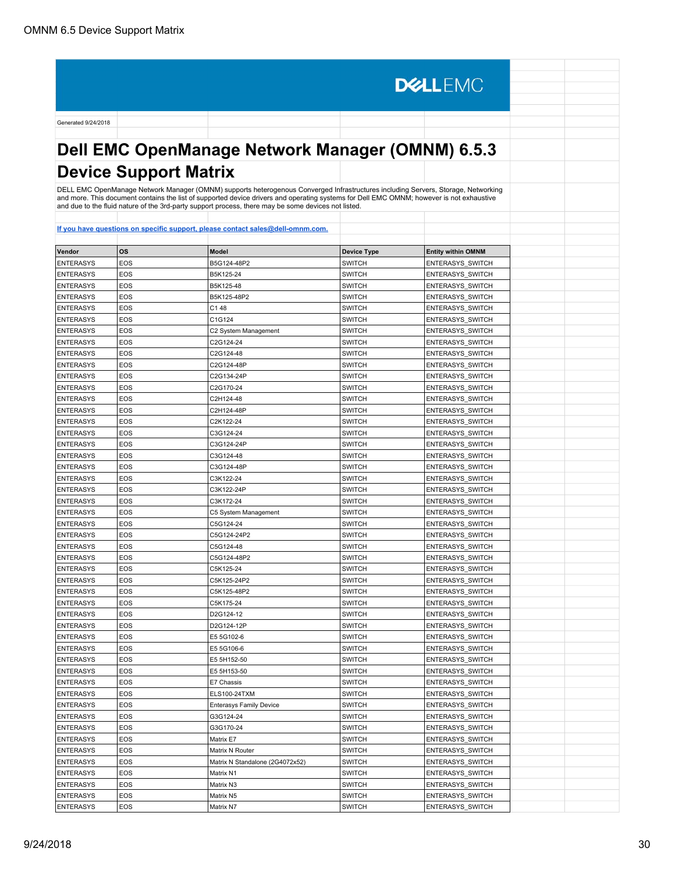# **Dell EMC OpenManage Network Manager (OMNM) 6.5.3 Device Support Matrix**

**DELLEMC** 

DELL EMC OpenManage Network Manager (OMNM) supports heterogenous Converged Infrastructures including Servers, Storage, Networking<br>and more. This document contains the list of supported device drivers and operating systems

| Vendor           | <b>OS</b>  | <b>Model</b>                    | <b>Device Type</b> | <b>Entity within OMNM</b> |
|------------------|------------|---------------------------------|--------------------|---------------------------|
| <b>ENTERASYS</b> | EOS        | B5G124-48P2                     | <b>SWITCH</b>      | ENTERASYS_SWITCH          |
| <b>ENTERASYS</b> | EOS        | B5K125-24                       | <b>SWITCH</b>      | ENTERASYS_SWITCH          |
| <b>ENTERASYS</b> | EOS        | B5K125-48                       | <b>SWITCH</b>      | ENTERASYS_SWITCH          |
| <b>ENTERASYS</b> | EOS        | B5K125-48P2                     | <b>SWITCH</b>      | <b>ENTERASYS SWITCH</b>   |
| <b>ENTERASYS</b> | EOS        | C148                            | <b>SWITCH</b>      | <b>ENTERASYS SWITCH</b>   |
| <b>ENTERASYS</b> | EOS        | C1G124                          | <b>SWITCH</b>      | ENTERASYS_SWITCH          |
| <b>ENTERASYS</b> | EOS        | C2 System Management            | <b>SWITCH</b>      | ENTERASYS_SWITCH          |
| <b>ENTERASYS</b> | EOS        | C2G124-24                       | <b>SWITCH</b>      | ENTERASYS_SWITCH          |
| <b>ENTERASYS</b> | <b>EOS</b> | C2G124-48                       | <b>SWITCH</b>      | ENTERASYS_SWITCH          |
| <b>ENTERASYS</b> | EOS        | C2G124-48P                      | <b>SWITCH</b>      | ENTERASYS_SWITCH          |
| <b>ENTERASYS</b> | EOS        | C2G134-24P                      | <b>SWITCH</b>      | ENTERASYS_SWITCH          |
| <b>ENTERASYS</b> | EOS        | C2G170-24                       | <b>SWITCH</b>      | ENTERASYS_SWITCH          |
| <b>ENTERASYS</b> | EOS        | C2H124-48                       | <b>SWITCH</b>      | ENTERASYS_SWITCH          |
| <b>ENTERASYS</b> | EOS        | C2H124-48P                      | <b>SWITCH</b>      | ENTERASYS_SWITCH          |
| <b>ENTERASYS</b> | EOS        | C2K122-24                       | SWITCH             | ENTERASYS_SWITCH          |
| <b>ENTERASYS</b> | <b>EOS</b> | C3G124-24                       | <b>SWITCH</b>      | ENTERASYS_SWITCH          |
| <b>ENTERASYS</b> | EOS        | C3G124-24P                      | <b>SWITCH</b>      | ENTERASYS_SWITCH          |
| <b>ENTERASYS</b> | EOS        | C3G124-48                       | <b>SWITCH</b>      | <b>ENTERASYS SWITCH</b>   |
| <b>ENTERASYS</b> | EOS        | C3G124-48P                      | <b>SWITCH</b>      | ENTERASYS_SWITCH          |
| <b>ENTERASYS</b> | EOS        | C3K122-24                       | <b>SWITCH</b>      | ENTERASYS_SWITCH          |
| <b>ENTERASYS</b> | EOS        | C3K122-24P                      | <b>SWITCH</b>      | <b>ENTERASYS SWITCH</b>   |
| <b>ENTERASYS</b> | EOS        | C3K172-24                       | <b>SWITCH</b>      | ENTERASYS_SWITCH          |
| <b>ENTERASYS</b> | <b>EOS</b> | C5 System Management            | SWITCH             | ENTERASYS_SWITCH          |
| <b>ENTERASYS</b> | <b>EOS</b> | C5G124-24                       | <b>SWITCH</b>      | <b>ENTERASYS SWITCH</b>   |
| <b>ENTERASYS</b> | EOS        | C5G124-24P2                     | <b>SWITCH</b>      | ENTERASYS_SWITCH          |
| <b>ENTERASYS</b> | EOS        | C5G124-48                       | <b>SWITCH</b>      | ENTERASYS_SWITCH          |
| <b>ENTERASYS</b> | EOS        | C5G124-48P2                     | <b>SWITCH</b>      | ENTERASYS_SWITCH          |
| <b>ENTERASYS</b> | EOS        | C5K125-24                       | <b>SWITCH</b>      | ENTERASYS_SWITCH          |
| <b>ENTERASYS</b> | EOS        | C5K125-24P2                     | <b>SWITCH</b>      | ENTERASYS_SWITCH          |
| <b>ENTERASYS</b> | <b>EOS</b> | C5K125-48P2                     | <b>SWITCH</b>      | ENTERASYS_SWITCH          |
| <b>ENTERASYS</b> | <b>EOS</b> | C5K175-24                       | <b>SWITCH</b>      | ENTERASYS_SWITCH          |
| <b>ENTERASYS</b> | EOS        | D2G124-12                       | <b>SWITCH</b>      | ENTERASYS_SWITCH          |
| <b>ENTERASYS</b> | EOS        | D2G124-12P                      | <b>SWITCH</b>      | <b>ENTERASYS SWITCH</b>   |
| <b>ENTERASYS</b> | EOS        | E5 5G102-6                      | <b>SWITCH</b>      | ENTERASYS_SWITCH          |
| <b>ENTERASYS</b> | EOS        | E5 5G106-6                      | <b>SWITCH</b>      | ENTERASYS_SWITCH          |
| <b>ENTERASYS</b> | <b>EOS</b> | E5 5H152-50                     | <b>SWITCH</b>      | <b>ENTERASYS SWITCH</b>   |
| <b>ENTERASYS</b> | <b>EOS</b> | E5 5H153-50                     | SWITCH             | ENTERASYS_SWITCH          |
| <b>ENTERASYS</b> | <b>EOS</b> | E7 Chassis                      | <b>SWITCH</b>      | <b>ENTERASYS SWITCH</b>   |
| <b>ENTERASYS</b> | <b>EOS</b> | ELS100-24TXM                    | <b>SWITCH</b>      | ENTERASYS_SWITCH          |
| <b>ENTERASYS</b> | EOS        | <b>Enterasys Family Device</b>  | <b>SWITCH</b>      | <b>ENTERASYS SWITCH</b>   |
| <b>ENTERASYS</b> | EOS        | G3G124-24                       | <b>SWITCH</b>      | ENTERASYS_SWITCH          |
| <b>ENTERASYS</b> | EOS        | G3G170-24                       | <b>SWITCH</b>      | ENTERASYS_SWITCH          |
| <b>ENTERASYS</b> | EOS        | Matrix E7                       | <b>SWITCH</b>      | ENTERASYS_SWITCH          |
| <b>ENTERASYS</b> | EOS        | Matrix N Router                 | <b>SWITCH</b>      | ENTERASYS_SWITCH          |
| <b>ENTERASYS</b> | EOS        | Matrix N Standalone (2G4072x52) | <b>SWITCH</b>      | ENTERASYS_SWITCH          |
| <b>ENTERASYS</b> | EOS        | Matrix N1                       | <b>SWITCH</b>      | <b>ENTERASYS SWITCH</b>   |
| <b>ENTERASYS</b> | EOS        | Matrix N3                       | <b>SWITCH</b>      | <b>ENTERASYS SWITCH</b>   |
| <b>ENTERASYS</b> | EOS        | Matrix N5                       | <b>SWITCH</b>      | ENTERASYS_SWITCH          |
| <b>ENTERASYS</b> | EOS        | Matrix N7                       | <b>SWITCH</b>      | ENTERASYS_SWITCH          |
|                  |            |                                 |                    |                           |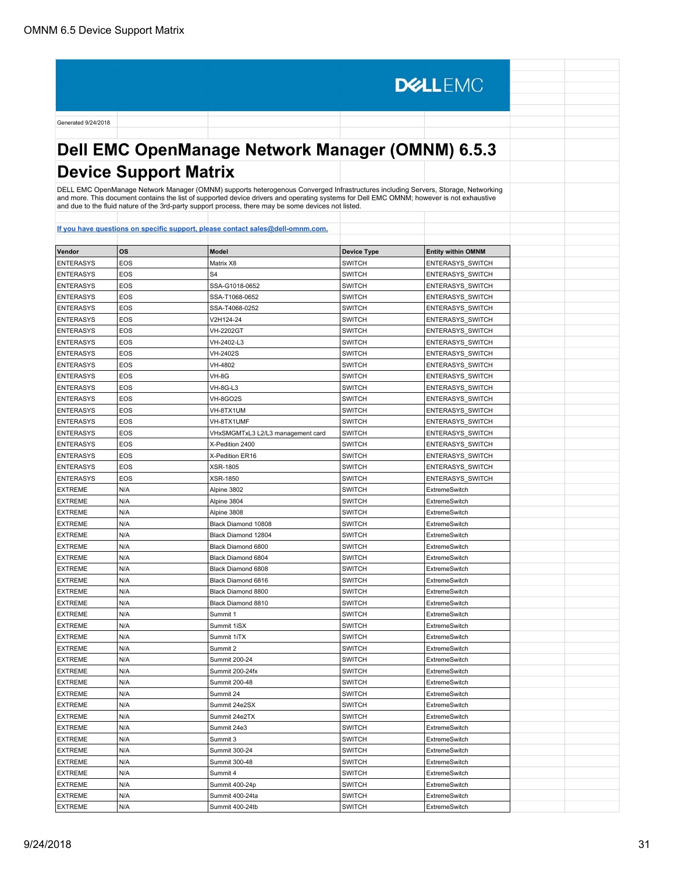# **Dell EMC OpenManage Network Manager (OMNM) 6.5.3 Device Support Matrix**

**DELLEMC** 

DELL EMC OpenManage Network Manager (OMNM) supports heterogenous Converged Infrastructures including Servers, Storage, Networking<br>and more. This document contains the list of supported device drivers and operating systems

| Vendor           | <b>OS</b>  | <b>Model</b>                       | <b>Device Type</b> | <b>Entity within OMNM</b>             |
|------------------|------------|------------------------------------|--------------------|---------------------------------------|
| <b>ENTERASYS</b> | EOS        | Matrix X8                          | <b>SWITCH</b>      | ENTERASYS_SWITCH                      |
| <b>ENTERASYS</b> | <b>EOS</b> | S <sub>4</sub>                     | <b>SWITCH</b>      | ENTERASYS_SWITCH                      |
| <b>ENTERASYS</b> | <b>EOS</b> | SSA-G1018-0652                     | <b>SWITCH</b>      | ENTERASYS_SWITCH                      |
| <b>ENTERASYS</b> | EOS        | SSA-T1068-0652                     | <b>SWITCH</b>      | ENTERASYS_SWITCH                      |
| <b>ENTERASYS</b> | EOS        | SSA-T4068-0252                     | <b>SWITCH</b>      | ENTERASYS_SWITCH                      |
| <b>ENTERASYS</b> | EOS        | V2H124-24                          | <b>SWITCH</b>      | ENTERASYS_SWITCH                      |
| <b>ENTERASYS</b> | EOS        | <b>VH-2202GT</b>                   | <b>SWITCH</b>      | ENTERASYS_SWITCH                      |
| <b>ENTERASYS</b> | EOS        | VH-2402-L3                         | <b>SWITCH</b>      | ENTERASYS_SWITCH                      |
| <b>ENTERASYS</b> | <b>EOS</b> | <b>VH-2402S</b>                    | <b>SWITCH</b>      | <b>ENTERASYS SWITCH</b>               |
| <b>ENTERASYS</b> | EOS        | VH-4802                            | <b>SWITCH</b>      | <b>ENTERASYS SWITCH</b>               |
| <b>ENTERASYS</b> | EOS        | VH-8G                              | <b>SWITCH</b>      | ENTERASYS_SWITCH                      |
| <b>ENTERASYS</b> | EOS        | VH-8G-L3                           | <b>SWITCH</b>      | ENTERASYS_SWITCH                      |
| <b>ENTERASYS</b> | EOS        | VH-8GO2S                           | <b>SWITCH</b>      | ENTERASYS_SWITCH                      |
| <b>ENTERASYS</b> | EOS        | VH-8TX1UM                          | <b>SWITCH</b>      | ENTERASYS_SWITCH                      |
| <b>ENTERASYS</b> | EOS        | VH-8TX1UMF                         | <b>SWITCH</b>      | ENTERASYS_SWITCH                      |
| <b>ENTERASYS</b> | <b>EOS</b> | VHxSMGMTxL3 L2/L3 management card  | <b>SWITCH</b>      | ENTERASYS_SWITCH                      |
| <b>ENTERASYS</b> | EOS        | X-Pedition 2400                    | <b>SWITCH</b>      | ENTERASYS_SWITCH                      |
| <b>ENTERASYS</b> | EOS        | X-Pedition ER16                    | <b>SWITCH</b>      | ENTERASYS_SWITCH                      |
| <b>ENTERASYS</b> | EOS        |                                    | <b>SWITCH</b>      |                                       |
| <b>ENTERASYS</b> | EOS        | <b>XSR-1805</b><br><b>XSR-1850</b> | <b>SWITCH</b>      | ENTERASYS_SWITCH                      |
|                  | N/A        |                                    | <b>SWITCH</b>      | ENTERASYS_SWITCH                      |
| <b>EXTREME</b>   | N/A        | Alpine 3802<br>Alpine 3804         |                    | ExtremeSwitch<br><b>ExtremeSwitch</b> |
| <b>EXTREME</b>   | N/A        |                                    | SWITCH             |                                       |
| <b>EXTREME</b>   |            | Alpine 3808                        | SWITCH             | ExtremeSwitch<br><b>ExtremeSwitch</b> |
| <b>EXTREME</b>   | N/A        | Black Diamond 10808                | <b>SWITCH</b>      |                                       |
| <b>EXTREME</b>   | N/A        | Black Diamond 12804                | <b>SWITCH</b>      | ExtremeSwitch                         |
| <b>EXTREME</b>   | N/A        | Black Diamond 6800                 | <b>SWITCH</b>      | <b>ExtremeSwitch</b>                  |
| <b>EXTREME</b>   | N/A        | Black Diamond 6804                 | <b>SWITCH</b>      | ExtremeSwitch                         |
| <b>EXTREME</b>   | N/A        | Black Diamond 6808                 | <b>SWITCH</b>      | ExtremeSwitch                         |
| <b>EXTREME</b>   | N/A        | Black Diamond 6816                 | <b>SWITCH</b>      | ExtremeSwitch                         |
| <b>EXTREME</b>   | N/A        | Black Diamond 8800                 | SWITCH             | ExtremeSwitch                         |
| <b>EXTREME</b>   | N/A        | Black Diamond 8810                 | <b>SWITCH</b>      | ExtremeSwitch                         |
| <b>EXTREME</b>   | N/A        | Summit 1                           | <b>SWITCH</b>      | ExtremeSwitch                         |
| <b>EXTREME</b>   | N/A        | Summit 1iSX                        | <b>SWITCH</b>      | ExtremeSwitch                         |
| <b>EXTREME</b>   | N/A        | Summit 1iTX                        | <b>SWITCH</b>      | ExtremeSwitch                         |
| <b>EXTREME</b>   | N/A        | Summit 2                           | <b>SWITCH</b>      | ExtremeSwitch                         |
| <b>EXTREME</b>   | N/A        | Summit 200-24                      | <b>SWITCH</b>      | ExtremeSwitch                         |
| <b>EXTREME</b>   | N/A        | Summit 200-24fx                    | <b>SWITCH</b>      | ExtremeSwitch                         |
| <b>EXTREME</b>   | N/A        | Summit 200-48                      | <b>SWITCH</b>      | ExtremeSwitch                         |
| <b>EXTREME</b>   | N/A        | Summit 24                          | <b>SWITCH</b>      | ExtremeSwitch                         |
| <b>EXTREME</b>   | N/A        | Summit 24e2SX                      | <b>SWITCH</b>      | ExtremeSwitch                         |
| <b>EXTREME</b>   | N/A        | Summit 24e2TX                      | <b>SWITCH</b>      | ExtremeSwitch                         |
| <b>EXTREME</b>   | N/A        | Summit 24e3                        | <b>SWITCH</b>      | ExtremeSwitch                         |
| <b>EXTREME</b>   | N/A        | Summit 3                           | <b>SWITCH</b>      | ExtremeSwitch                         |
| <b>EXTREME</b>   | N/A        | Summit 300-24                      | <b>SWITCH</b>      | ExtremeSwitch                         |
| <b>EXTREME</b>   | N/A        | Summit 300-48                      | <b>SWITCH</b>      | ExtremeSwitch                         |
| <b>EXTREME</b>   | N/A        | Summit 4                           | <b>SWITCH</b>      | ExtremeSwitch                         |
| <b>EXTREME</b>   | N/A        | Summit 400-24p                     | <b>SWITCH</b>      | ExtremeSwitch                         |
| <b>EXTREME</b>   | N/A        | Summit 400-24ta                    | <b>SWITCH</b>      | ExtremeSwitch                         |
| <b>EXTREME</b>   | N/A        | Summit 400-24tb                    | <b>SWITCH</b>      | ExtremeSwitch                         |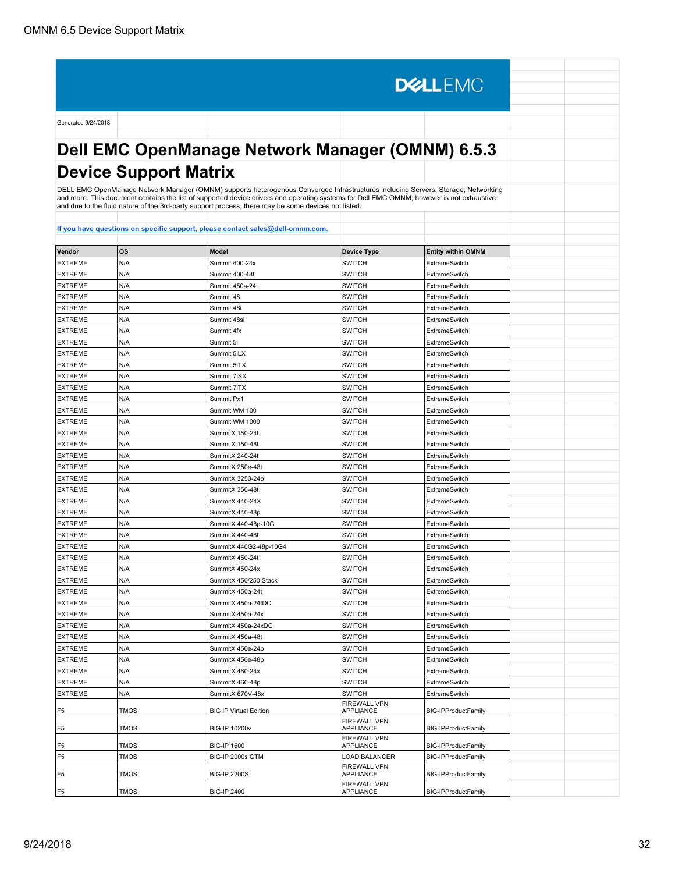**DELLEMC** Generated 9/24/2018 **Dell EMC OpenManage Network Manager (OMNM) 6.5.3 Device Support Matrix** DELL EMC OpenManage Network Manager (OMNM) supports heterogenous Converged Infrastructures including Servers, Storage, Networking<br>and more. This document contains the list of supported device drivers and operating systems and due to the fluid nature of the 3rd-party support process, there may be some devices not listed. **[If you have questions on specific support, please contact sales@dell-omnm.com.](mailto:SALES@DELL-OMNM.COM) Vendor OS Model Device Type Entity within OMNM** EXTREME N/A Summit 400-24x SWITCH SWITCH ExtremeSwitch EXTREME N/A Summit 400-48t Summit 400-48t EXTREME N/A Summit 450a-24t SWITCH SWITCH ExtremeSwitch EXTREME N/A Summit 48 Summit 48 SWITCH ExtremeSwitch EXTREME N/A Summit 48i Summit 48i SWITCH SWITCH ExtremeSwitch EXTREME N/A Summit 48si Summit 48si SWITCH ExtremeSwitch EXTREME N/A Summit 4fx Summit 4fx SWITCH SWITCH EXTREME N/A Summit 5i Summit 5i SWITCH SWITCH ExtremeSwitch EXTREME N/A Summit 5iLX Summit 5iLX SWITCH ExtremeSwitch EXTREME N/A Summit 5iTX Summit 5iTX SWITCH SWITCH EXTREME N/A Summit 7iSX Summit 7iSX SWITCH ExtremeSwitch EXTREME N/A Summit 7iTX Summit 7iTX SWITCH SWITCH EXTREME N/A Summit Px1 Summit Px1 SWITCH SWITCH EXTREME N/A Summit WM 100 SWITCH SWITCH ExtremeSwitch EXTREME N/A Summit WM 1000 SWITCH SWITCH ExtremeSwitch EXTREME N/A SummitX 150-24t SWITCH SWITCH ExtremeSwitch EXTREME N/A SummitX 150-48t SWITCH SWITCH ExtremeSwitch EXTREME N/A SummitX 240-24t SWITCH SWITCH ExtremeSwitch EXTREME N/A SummitX 250e-48t SWITCH SWITCH ExtremeSwitch EXTREME N/A SummitX 3250-24p SWITCH ExtremeSwitch EXTREME N/A SummitX 350-48t SummitX 350-48t SWITCH SWITCH EXTREME N/A SummitX 440-24X SWITCH ExtremeSwitch EXTREME N/A SummitX 440-48p SWITCH SWITCH ExtremeSwitch EXTREME N/A SummitX 440-48p-10G SWITCH SWITCH ExtremeSwitch EXTREME N/A SummitX 440-48t SWITCH SWITCH ExtremeSwitch EXTREME N/A SummitX 440-48t<br>EXTREME N/A SummitX 440G2-48p-10G4 SWITCH ExtremeSwitch EXTREME N/A SummitX 450-24t SWITCH SWITCH ExtremeSwitch EXTREME N/A SummitX 450-24x SWITCH SWITCH ExtremeSwitch EXTREME N/A SummitX 450/250 Stack SWITCH SWITCH ExtremeSwitch EXTREME N/A SummitX 450a-24t SWITCH ExtremeSwitch EXTREME N/A SummitX 450a-24tDC SWITCH SWITCH ExtremeSwitch EXTREME N/A SummitX 450a-24x SWITCH ExtremeSwitch EXTREME N/A SummitX 450a-24x<br>EXTREME N/A SummitX 450a-24xDC SWITCH ExtremeSwitch ExtremeSwitch EXTREME N/A SummitX 450a-48t SWITCH SWITCH ExtremeSwitch EXTREME N/A SummitX 450e-24p SWITCH SWITCH ExtremeSwitch EXTREME N/A SummitX 450e-48p SWITCH SWITCH ExtremeSwitch EXTREME N/A SummitX 460-24x SWITCH ExtremeSwitch EXTREME N/A SummitX 460-48p SWITCH SWITCH ExtremeSwitch EXTREME N/A SummitX 670V-48x SWITCH ExtremeSwitch FIREWALL VPN F5 TMOS RESERVirtual Edition APPLIANCE BIG-IPProductFamily FIREWALL VPN F5 | TMOS | BIG-IP 10200v APPLIANCE | BIG-IPProductFamily FIREWALL VPN F5 | TMOS | BIG-IP 1600 APPLIANCE BIG-IPProductFamily F5 TMOS BIG-IP 2000s GTM LOAD BALANCER BIG-IPProductFamily FIREWALL VPN<br>APPLIANCE F5 | TMOS | BIG-IP 2200S **BIG-IPProductFamily** FIREWALL VPN

**BIG-IPProductFamily** 

F5 | TMOS | BIG-IP 2400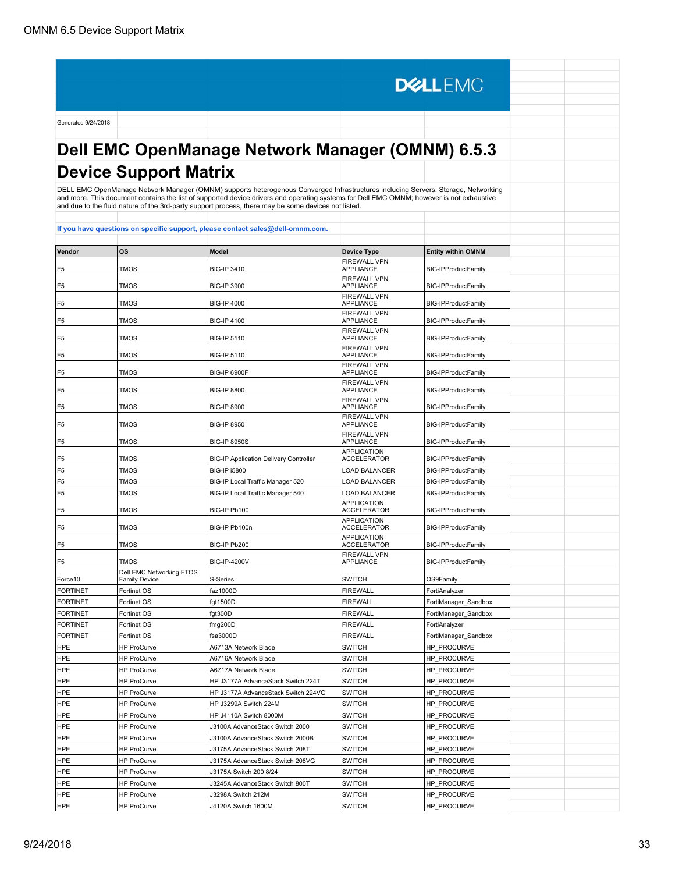F5 | TMOS | BIG-IP 6900F

**DELLEMC** Generated 9/24/2018 **Dell EMC OpenManage Network Manager (OMNM) 6.5.3 Device Support Matrix** DELL EMC OpenManage Network Manager (OMNM) supports heterogenous Converged Infrastructures including Servers, Storage, Networking<br>and more. This document contains the list of supported device drivers and operating systems **[If you have questions on specific support, please contact sales@dell-omnm.com.](mailto:SALES@DELL-OMNM.COM) Vendor OS Model Device Type Entity within OMNM** FIREWALL VPN<br>APPLIANCE F5 | TMOS | BIG-IP 3410 BIG-IPProductFamily FIREWALL VPN<br>APPLIANCE F5 | TMOS | BIG-IP 3900 **BIG-IPProductFamily** FIREWALL VPN<br>APPLIANCE BIG-IPProductFamily F5 TMOS BIG-IP 4000 FIREWALL VPN<br>APPLIANCE BIG-IPProductFamily F5 TMOS BIG-IP 4100 FIREWALL VPN<br>APPLIANCE F5 TMOS BIG-IP 5110 BIG-IPProductFamily FIREWALL VPN F5 | TMOS | BIG-IP 5110 **BIG-IPProductFamily** FIREWALL VPN<br>APPLIANCE

| F <sub>5</sub>  | <b>TMOS</b>                                      | <b>BIG-IP 8800</b>                            | <b>FIREWALL VPN</b><br><b>APPLIANCE</b>  | BIG-IPProductFamily        |  |
|-----------------|--------------------------------------------------|-----------------------------------------------|------------------------------------------|----------------------------|--|
| F <sub>5</sub>  | <b>TMOS</b>                                      | <b>BIG-IP 8900</b>                            | <b>FIREWALL VPN</b><br><b>APPLIANCE</b>  | BIG-IPProductFamily        |  |
| F <sub>5</sub>  | <b>TMOS</b>                                      | <b>BIG-IP 8950</b>                            | FIREWALL VPN<br><b>APPLIANCE</b>         | BIG-IPProductFamily        |  |
| F5              | TMOS                                             | <b>BIG-IP 8950S</b>                           | FIREWALL VPN<br><b>APPLIANCE</b>         | <b>BIG-IPProductFamily</b> |  |
| F5              | TMOS                                             | <b>BIG-IP Application Delivery Controller</b> | <b>APPLICATION</b><br><b>ACCELERATOR</b> | BIG-IPProductFamily        |  |
| F <sub>5</sub>  | <b>TMOS</b>                                      | <b>BIG-IP i5800</b>                           | <b>LOAD BALANCER</b>                     | BIG-IPProductFamily        |  |
| F <sub>5</sub>  | <b>TMOS</b>                                      | BIG-IP Local Traffic Manager 520              | <b>LOAD BALANCER</b>                     | BIG-IPProductFamily        |  |
| F <sub>5</sub>  | <b>TMOS</b>                                      | BIG-IP Local Traffic Manager 540              | <b>LOAD BALANCER</b>                     | BIG-IPProductFamily        |  |
| F5              | <b>TMOS</b>                                      | BIG-IP Pb100                                  | <b>APPLICATION</b><br><b>ACCELERATOR</b> | <b>BIG-IPProductFamily</b> |  |
| F <sub>5</sub>  | TMOS                                             | BIG-IP Pb100n                                 | <b>APPLICATION</b><br><b>ACCELERATOR</b> | BIG-IPProductFamily        |  |
| F <sub>5</sub>  | TMOS                                             | BIG-IP Pb200                                  | <b>APPLICATION</b><br><b>ACCELERATOR</b> | BIG-IPProductFamily        |  |
| F <sub>5</sub>  | <b>TMOS</b>                                      | <b>BIG-IP-4200V</b>                           | <b>FIREWALL VPN</b><br><b>APPLIANCE</b>  | <b>BIG-IPProductFamily</b> |  |
| Force10         | Dell EMC Networking FTOS<br><b>Family Device</b> | S-Series                                      | <b>SWITCH</b>                            | OS9Family                  |  |
| <b>FORTINET</b> | Fortinet OS                                      | faz1000D                                      | <b>FIREWALL</b>                          | FortiAnalyzer              |  |
| <b>FORTINET</b> | Fortinet OS                                      | fgt1500D                                      | <b>FIREWALL</b>                          | FortiManager Sandbox       |  |
| <b>FORTINET</b> | Fortinet OS                                      | fgt300D                                       | <b>FIREWALL</b>                          | FortiManager Sandbox       |  |
| <b>FORTINET</b> | Fortinet OS                                      | fmg200D                                       | <b>FIREWALL</b>                          | FortiAnalyzer              |  |
| <b>FORTINET</b> | Fortinet OS                                      | fsa3000D                                      | <b>FIREWALL</b>                          | FortiManager Sandbox       |  |
| <b>HPE</b>      | <b>HP ProCurve</b>                               | A6713A Network Blade                          | <b>SWITCH</b>                            | HP_PROCURVE                |  |
| <b>HPE</b>      | <b>HP ProCurve</b>                               | A6716A Network Blade                          | <b>SWITCH</b>                            | HP_PROCURVE                |  |
| <b>HPE</b>      | <b>HP ProCurve</b>                               | A6717A Network Blade                          | <b>SWITCH</b>                            | HP_PROCURVE                |  |
| <b>HPE</b>      | <b>HP ProCurve</b>                               | HP J3177A AdvanceStack Switch 224T            | <b>SWITCH</b>                            | HP_PROCURVE                |  |
| <b>HPE</b>      | <b>HP ProCurve</b>                               | HP J3177A AdvanceStack Switch 224VG           | <b>SWITCH</b>                            | HP_PROCURVE                |  |
| <b>HPE</b>      | <b>HP ProCurve</b>                               | HP J3299A Switch 224M                         | <b>SWITCH</b>                            | HP PROCURVE                |  |
| <b>HPE</b>      | <b>HP ProCurve</b>                               | HP J4110A Switch 8000M                        | <b>SWITCH</b>                            | HP_PROCURVE                |  |
| <b>HPE</b>      | <b>HP ProCurve</b>                               | J3100A AdvanceStack Switch 2000               | <b>SWITCH</b>                            | HP PROCURVE                |  |
| <b>HPE</b>      | <b>HP ProCurve</b>                               | J3100A AdvanceStack Switch 2000B              | <b>SWITCH</b>                            | HP PROCURVE                |  |
| <b>HPE</b>      | <b>HP ProCurve</b>                               | J3175A AdvanceStack Switch 208T               | <b>SWITCH</b>                            | HP_PROCURVE                |  |
| <b>HPE</b>      | <b>HP ProCurve</b>                               | J3175A AdvanceStack Switch 208VG              | <b>SWITCH</b>                            | HP_PROCURVE                |  |
| <b>HPE</b>      | <b>HP ProCurve</b>                               | J3175A Switch 200 8/24                        | <b>SWITCH</b>                            | HP PROCURVE                |  |
| <b>HPE</b>      | <b>HP ProCurve</b>                               | J3245A AdvanceStack Switch 800T               | <b>SWITCH</b>                            | <b>HP PROCURVE</b>         |  |

HPE HP ProCurve J3298A Switch 212M SWITCH HP\_PROCURVE HPE HP ProCurve J4120A Switch 1600M SWITCH HP\_PROCURVE

**BIG-IPProductFamily**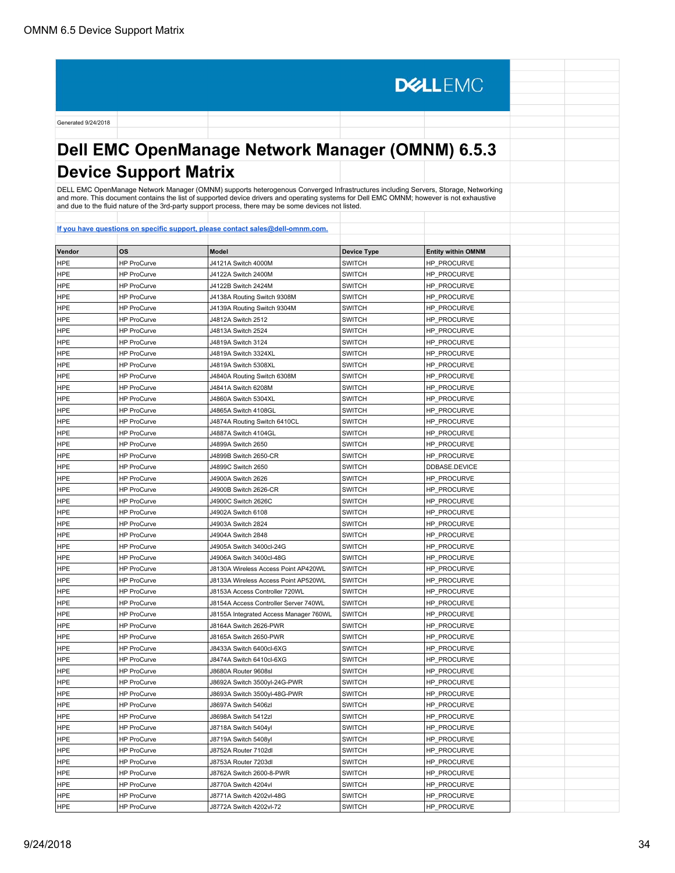**DELLEMC** Generated 9/24/2018 **Dell EMC OpenManage Network Manager (OMNM) 6.5.3 Device Support Matrix** DELL EMC OpenManage Network Manager (OMNM) supports heterogenous Converged Infrastructures including Servers, Storage, Networking<br>and more. This document contains the list of supported device drivers and operating systems **[If you have questions on specific support, please contact sales@dell-omnm.com.](mailto:SALES@DELL-OMNM.COM) Vendor OS Model Model Device Type Entity within OMNM**<br> **PRODUCE PRODUCE PRODUCE ENDING ACCOUNT AND PRODUCE PRODUCE PRODUCE PRODUCE PRODUCE PRODUCE PRODUCE PRODUCE** HPE HP ProCurve J4121A Switch 4000M SWITCH HP\_PROCURVE HPE HP ProCurve J4122A Switch 2400M SWITCH HP\_PROCURVE

| HPE        | HP ProCurve        | J4122A Switch 2400M                    | <b>SWITCH</b> | HP_PROCURVE        |  |
|------------|--------------------|----------------------------------------|---------------|--------------------|--|
| <b>HPE</b> | <b>HP ProCurve</b> | J4122B Switch 2424M                    | <b>SWITCH</b> | HP_PROCURVE        |  |
| <b>HPE</b> | <b>HP ProCurve</b> | J4138A Routing Switch 9308M            | <b>SWITCH</b> | HP_PROCURVE        |  |
| <b>HPE</b> | HP ProCurve        | J4139A Routing Switch 9304M            | <b>SWITCH</b> | HP_PROCURVE        |  |
| <b>HPE</b> | <b>HP ProCurve</b> | J4812A Switch 2512                     | <b>SWITCH</b> | HP_PROCURVE        |  |
| <b>HPE</b> | <b>HP ProCurve</b> | J4813A Switch 2524                     | <b>SWITCH</b> | HP_PROCURVE        |  |
| <b>HPE</b> | <b>HP ProCurve</b> | J4819A Switch 3124                     | <b>SWITCH</b> | HP_PROCURVE        |  |
| <b>HPE</b> | <b>HP ProCurve</b> | J4819A Switch 3324XL                   | <b>SWITCH</b> | HP PROCURVE        |  |
| <b>HPE</b> | <b>HP ProCurve</b> | J4819A Switch 5308XL                   | <b>SWITCH</b> | HP_PROCURVE        |  |
| <b>HPE</b> | <b>HP ProCurve</b> | J4840A Routing Switch 6308M            | <b>SWITCH</b> | HP_PROCURVE        |  |
| <b>HPE</b> | HP ProCurve        | J4841A Switch 6208M                    | <b>SWITCH</b> | HP_PROCURVE        |  |
| <b>HPE</b> | <b>HP ProCurve</b> | J4860A Switch 5304XL                   | <b>SWITCH</b> | HP_PROCURVE        |  |
| <b>HPE</b> | <b>HP ProCurve</b> | J4865A Switch 4108GL                   | <b>SWITCH</b> | HP_PROCURVE        |  |
| <b>HPE</b> | <b>HP ProCurve</b> | J4874A Routing Switch 6410CL           | <b>SWITCH</b> | HP_PROCURVE        |  |
| <b>HPE</b> | <b>HP ProCurve</b> | J4887A Switch 4104GL                   | <b>SWITCH</b> | HP_PROCURVE        |  |
| <b>HPE</b> | <b>HP ProCurve</b> | J4899A Switch 2650                     | <b>SWITCH</b> | HP_PROCURVE        |  |
| <b>HPE</b> | <b>HP ProCurve</b> | J4899B Switch 2650-CR                  | <b>SWITCH</b> | HP_PROCURVE        |  |
| <b>HPE</b> | HP ProCurve        | J4899C Switch 2650                     | <b>SWITCH</b> | DDBASE.DEVICE      |  |
| <b>HPE</b> | <b>HP ProCurve</b> | J4900A Switch 2626                     | <b>SWITCH</b> | HP_PROCURVE        |  |
| <b>HPE</b> | <b>HP ProCurve</b> | J4900B Switch 2626-CR                  | <b>SWITCH</b> | HP_PROCURVE        |  |
| <b>HPE</b> | <b>HP ProCurve</b> | J4900C Switch 2626C                    | <b>SWITCH</b> | HP_PROCURVE        |  |
| <b>HPE</b> | <b>HP ProCurve</b> | J4902A Switch 6108                     | <b>SWITCH</b> | HP_PROCURVE        |  |
| HPE        | <b>HP ProCurve</b> | J4903A Switch 2824                     | <b>SWITCH</b> | <b>HP PROCURVE</b> |  |
| <b>HPE</b> | <b>HP ProCurve</b> | J4904A Switch 2848                     | <b>SWITCH</b> | HP_PROCURVE        |  |
| <b>HPE</b> | <b>HP ProCurve</b> | J4905A Switch 3400cl-24G               | <b>SWITCH</b> | HP_PROCURVE        |  |
| <b>HPE</b> | <b>HP ProCurve</b> | J4906A Switch 3400cl-48G               | <b>SWITCH</b> | HP_PROCURVE        |  |
| <b>HPE</b> | <b>HP ProCurve</b> | J8130A Wireless Access Point AP420WL   | <b>SWITCH</b> | HP_PROCURVE        |  |
| <b>HPE</b> | <b>HP ProCurve</b> | J8133A Wireless Access Point AP520WL   | <b>SWITCH</b> | HP_PROCURVE        |  |
| <b>HPE</b> | <b>HP ProCurve</b> | J8153A Access Controller 720WL         | <b>SWITCH</b> | HP_PROCURVE        |  |
| <b>HPE</b> | <b>HP ProCurve</b> | J8154A Access Controller Server 740WL  | <b>SWITCH</b> | HP_PROCURVE        |  |
| <b>HPE</b> | <b>HP ProCurve</b> | J8155A Integrated Access Manager 760WL | <b>SWITCH</b> | HP_PROCURVE        |  |
| <b>HPE</b> | <b>HP ProCurve</b> | J8164A Switch 2626-PWR                 | <b>SWITCH</b> | HP_PROCURVE        |  |
| <b>HPE</b> | <b>HP ProCurve</b> | J8165A Switch 2650-PWR                 | <b>SWITCH</b> | HP_PROCURVE        |  |
| <b>HPE</b> | <b>HP ProCurve</b> | J8433A Switch 6400cl-6XG               | <b>SWITCH</b> | HP_PROCURVE        |  |
| <b>HPE</b> | <b>HP ProCurve</b> | J8474A Switch 6410cl-6XG               | <b>SWITCH</b> | HP_PROCURVE        |  |
| HPE        | <b>HP ProCurve</b> | J8680A Router 9608sl                   | <b>SWITCH</b> | HP_PROCURVE        |  |
| <b>HPE</b> | <b>HP ProCurve</b> | J8692A Switch 3500yl-24G-PWR           | <b>SWITCH</b> | HP_PROCURVE        |  |
| <b>HPE</b> | <b>HP ProCurve</b> | J8693A Switch 3500yl-48G-PWR           | <b>SWITCH</b> | HP PROCURVE        |  |
| <b>HPE</b> | <b>HP ProCurve</b> | J8697A Switch 5406zl                   | <b>SWITCH</b> | HP_PROCURVE        |  |
| <b>HPE</b> | <b>HP ProCurve</b> | J8698A Switch 5412zl                   | <b>SWITCH</b> | HP_PROCURVE        |  |
| <b>HPE</b> | HP ProCurve        | J8718A Switch 5404yl                   | <b>SWITCH</b> | HP_PROCURVE        |  |
| <b>HPE</b> | <b>HP ProCurve</b> | J8719A Switch 5408yl                   | <b>SWITCH</b> | HP_PROCURVE        |  |
| <b>HPE</b> | <b>HP ProCurve</b> | J8752A Router 7102dl                   | <b>SWITCH</b> | HP_PROCURVE        |  |
| <b>HPE</b> | <b>HP ProCurve</b> | J8753A Router 7203dl                   | <b>SWITCH</b> | HP_PROCURVE        |  |
| <b>HPE</b> | <b>HP ProCurve</b> | J8762A Switch 2600-8-PWR               | <b>SWITCH</b> | HP_PROCURVE        |  |
| <b>HPE</b> | <b>HP ProCurve</b> | J8770A Switch 4204vl                   | <b>SWITCH</b> | HP_PROCURVE        |  |
| <b>HPE</b> | <b>HP ProCurve</b> | J8771A Switch 4202vl-48G               | <b>SWITCH</b> | HP PROCURVE        |  |
| <b>HPE</b> | <b>HP ProCurve</b> | J8772A Switch 4202vl-72                | <b>SWITCH</b> | HP_PROCURVE        |  |
|            |                    |                                        |               |                    |  |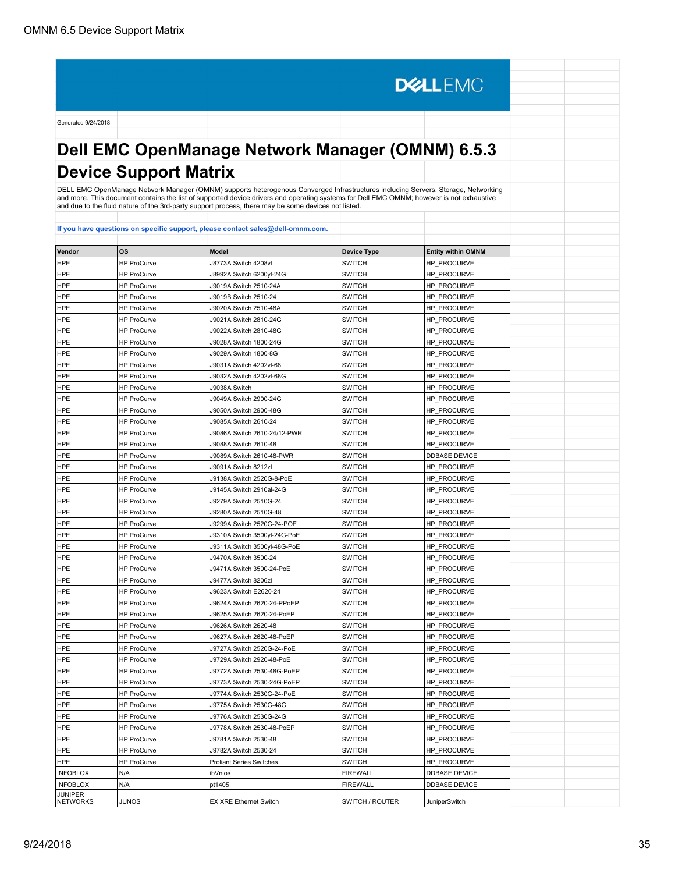Generated 9/24/2018 **Dell EMC OpenManage Network Manager (OMNM) 6.5.3 Device Support Matrix** DELL EMC OpenManage Network Manager (OMNM) supports heterogenous Converged Infrastructures including Servers, Storage, Networking<br>and more. This document contains the list of supported device drivers and operating systems

**DELLEMC** 

| Vendor                            | <b>OS</b>                                | <b>Model</b>                    | <b>Device Type</b>             | <b>Entity within OMNM</b> |  |
|-----------------------------------|------------------------------------------|---------------------------------|--------------------------------|---------------------------|--|
| <b>HPE</b>                        | <b>HP ProCurve</b>                       | J8773A Switch 4208vl            | <b>SWITCH</b>                  | HP_PROCURVE               |  |
| <b>HPE</b>                        | <b>HP ProCurve</b>                       | J8992A Switch 6200yl-24G        | <b>SWITCH</b>                  | HP_PROCURVE               |  |
| <b>HPE</b>                        | <b>HP ProCurve</b>                       | J9019A Switch 2510-24A          | <b>SWITCH</b>                  | HP_PROCURVE               |  |
| HPE                               | <b>HP ProCurve</b>                       | J9019B Switch 2510-24           | <b>SWITCH</b>                  | HP_PROCURVE               |  |
| HPE                               | <b>HP ProCurve</b>                       | J9020A Switch 2510-48A          | <b>SWITCH</b>                  | <b>HP PROCURVE</b>        |  |
| <b>HPE</b>                        | <b>HP ProCurve</b>                       | J9021A Switch 2810-24G          | <b>SWITCH</b>                  | HP_PROCURVE               |  |
| <b>HPE</b>                        | <b>HP ProCurve</b>                       | J9022A Switch 2810-48G          | <b>SWITCH</b>                  | HP_PROCURVE               |  |
| HPE                               | HP ProCurve                              | J9028A Switch 1800-24G          | <b>SWITCH</b>                  | HP_PROCURVE               |  |
| <b>HPE</b>                        | <b>HP ProCurve</b>                       | J9029A Switch 1800-8G           | <b>SWITCH</b>                  | HP_PROCURVE               |  |
| <b>HPE</b>                        | <b>HP ProCurve</b>                       | J9031A Switch 4202vl-68         | <b>SWITCH</b>                  | HP_PROCURVE               |  |
| HPE                               | <b>HP ProCurve</b>                       | J9032A Switch 4202vl-68G        | <b>SWITCH</b>                  | HP_PROCURVE               |  |
| <b>HPE</b>                        | <b>HP ProCurve</b>                       | J9038A Switch                   | <b>SWITCH</b>                  | HP_PROCURVE               |  |
| <b>HPE</b>                        | <b>HP ProCurve</b>                       | J9049A Switch 2900-24G          | <b>SWITCH</b>                  | HP_PROCURVE               |  |
| <b>HPE</b>                        | <b>HP ProCurve</b>                       | J9050A Switch 2900-48G          | <b>SWITCH</b>                  | HP PROCURVE               |  |
| <b>HPE</b>                        | <b>HP ProCurve</b>                       | J9085A Switch 2610-24           | <b>SWITCH</b>                  | HP_PROCURVE               |  |
| <b>HPE</b>                        | <b>HP ProCurve</b>                       | J9086A Switch 2610-24/12-PWR    | <b>SWITCH</b>                  | HP_PROCURVE               |  |
| <b>HPE</b>                        | <b>HP ProCurve</b>                       | J9088A Switch 2610-48           | <b>SWITCH</b>                  | HP PROCURVE               |  |
| <b>HPE</b>                        | <b>HP ProCurve</b>                       | J9089A Switch 2610-48-PWR       | <b>SWITCH</b>                  | DDBASE.DEVICE             |  |
| <b>HPE</b>                        | <b>HP ProCurve</b>                       | J9091A Switch 8212zl            | <b>SWITCH</b>                  | HP PROCURVE               |  |
| <b>HPE</b>                        | <b>HP ProCurve</b>                       | J9138A Switch 2520G-8-PoE       | <b>SWITCH</b>                  | HP PROCURVE               |  |
| HPE                               | <b>HP ProCurve</b>                       | J9145A Switch 2910al-24G        | <b>SWITCH</b>                  | HP PROCURVE               |  |
| HPE                               | <b>HP ProCurve</b>                       | J9279A Switch 2510G-24          | <b>SWITCH</b>                  | <b>HP_PROCURVE</b>        |  |
| HPE                               | HP ProCurve                              | J9280A Switch 2510G-48          | <b>SWITCH</b>                  | HP_PROCURVE               |  |
| <b>HPE</b>                        | <b>HP ProCurve</b>                       | J9299A Switch 2520G-24-POE      | <b>SWITCH</b>                  | HP_PROCURVE               |  |
| <b>HPE</b>                        | <b>HP ProCurve</b>                       | J9310A Switch 3500yl-24G-PoE    | <b>SWITCH</b>                  | HP_PROCURVE               |  |
| HPE                               | HP ProCurve                              | J9311A Switch 3500yl-48G-PoE    | <b>SWITCH</b>                  | <b>HP PROCURVE</b>        |  |
| <b>HPE</b>                        | <b>HP ProCurve</b>                       | J9470A Switch 3500-24           | <b>SWITCH</b>                  | HP_PROCURVE               |  |
| <b>HPE</b>                        | <b>HP ProCurve</b>                       | J9471A Switch 3500-24-PoE       | <b>SWITCH</b>                  | HP_PROCURVE               |  |
| <b>HPE</b>                        | <b>HP ProCurve</b>                       | J9477A Switch 8206zl            | <b>SWITCH</b>                  | HP PROCURVE               |  |
| <b>HPE</b>                        | <b>HP ProCurve</b>                       | J9623A Switch E2620-24          | <b>SWITCH</b>                  | HP_PROCURVE               |  |
| <b>HPE</b>                        | <b>HP ProCurve</b>                       | J9624A Switch 2620-24-PPoEP     | <b>SWITCH</b>                  | HP_PROCURVE               |  |
| <b>HPE</b>                        | <b>HP ProCurve</b>                       | J9625A Switch 2620-24-PoEP      | <b>SWITCH</b>                  | HP_PROCURVE               |  |
| <b>HPE</b>                        | <b>HP ProCurve</b>                       | J9626A Switch 2620-48           | <b>SWITCH</b>                  | HP_PROCURVE               |  |
| <b>HPE</b>                        | <b>HP ProCurve</b>                       | J9627A Switch 2620-48-PoEP      | <b>SWITCH</b>                  | HP_PROCURVE               |  |
|                                   |                                          |                                 |                                |                           |  |
| <b>HPE</b>                        | <b>HP ProCurve</b><br><b>HP ProCurve</b> | J9727A Switch 2520G-24-PoE      | <b>SWITCH</b><br><b>SWITCH</b> | HP PROCURVE               |  |
| <b>HPE</b>                        |                                          | J9729A Switch 2920-48-PoE       |                                | HP_PROCURVE               |  |
| <b>HPE</b>                        | <b>HP ProCurve</b>                       | J9772A Switch 2530-48G-PoEP     | <b>SWITCH</b>                  | HP_PROCURVE               |  |
| HPE                               | <b>HP ProCurve</b>                       | J9773A Switch 2530-24G-PoEP     | <b>SWITCH</b>                  | HP PROCURVE               |  |
| <b>HPE</b>                        | <b>HP ProCurve</b>                       | J9774A Switch 2530G-24-PoE      | <b>SWITCH</b>                  | HP_PROCURVE               |  |
| <b>HPE</b>                        | <b>HP ProCurve</b>                       | J9775A Switch 2530G-48G         | <b>SWITCH</b>                  | HP_PROCURVE               |  |
| <b>HPE</b>                        | HP ProCurve                              | J9776A Switch 2530G-24G         | <b>SWITCH</b>                  | HP_PROCURVE               |  |
| <b>HPE</b>                        | <b>HP ProCurve</b>                       | J9778A Switch 2530-48-PoEP      | <b>SWITCH</b>                  | HP_PROCURVE               |  |
| <b>HPE</b>                        | HP ProCurve                              | J9781A Switch 2530-48           | <b>SWITCH</b>                  | HP_PROCURVE               |  |
| <b>HPE</b>                        | <b>HP ProCurve</b>                       | J9782A Switch 2530-24           | <b>SWITCH</b>                  | HP_PROCURVE               |  |
| <b>HPE</b>                        | HP ProCurve                              | <b>Proliant Series Switches</b> | <b>SWITCH</b>                  | HP_PROCURVE               |  |
| <b>INFOBLOX</b>                   | N/A                                      | ibVnios                         | <b>FIREWALL</b>                | DDBASE.DEVICE             |  |
| <b>INFOBLOX</b>                   | N/A                                      | pt1405                          | <b>FIREWALL</b>                | DDBASE.DEVICE             |  |
| <b>JUNIPER</b><br><b>NETWORKS</b> | <b>JUNOS</b>                             | <b>EX XRE Ethernet Switch</b>   | SWITCH / ROUTER                | JuniperSwitch             |  |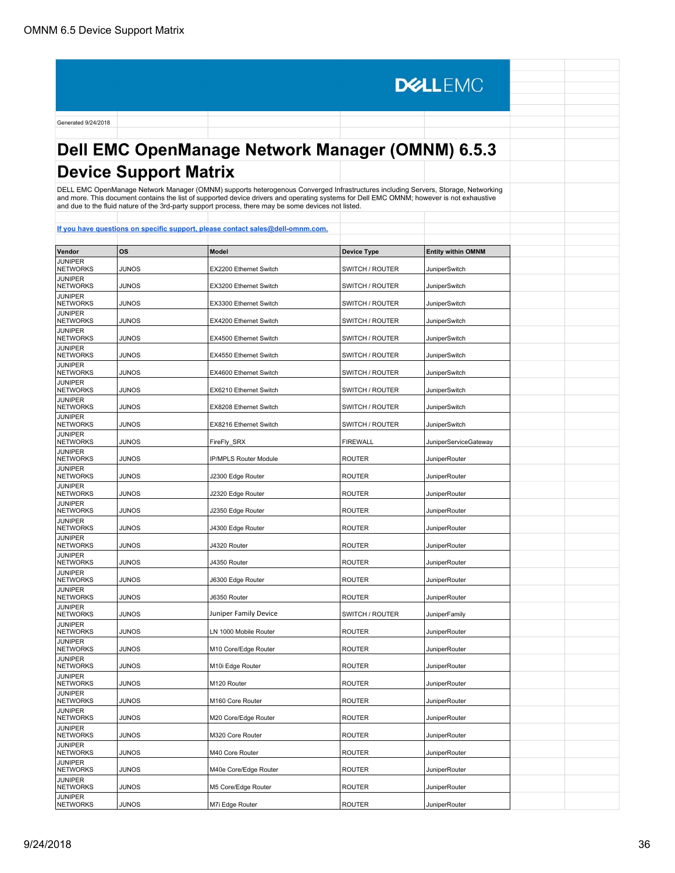**DELLEMC** Generated 9/24/2018 **Dell EMC OpenManage Network Manager (OMNM) 6.5.3 Device Support Matrix** DELL EMC OpenManage Network Manager (OMNM) supports heterogenous Converged Infrastructures including Servers, Storage, Networking and more. This document contains the list of supported device drivers and operating systems for Dell EMC OMNM; however is not exhaustive and due to the fluid nature of the 3rd-party support process, there may be some devices not listed. **[If you have questions on specific support, please contact sales@dell-omnm.com.](mailto:SALES@DELL-OMNM.COM) Vendor OS Model Device Type Entity within OMNM JUNIPER**<br>NETWORKS NETWORKS JUNOS EX2200 Ethernet Switch SWITCH / ROUTER JuniperSwitch JUNIPER<br>NETWORKS NETWORKS JUNOS EX3200 Ethernet Switch SWITCH / ROUTER JuniperSwitch JUNIPER<br>NETWORKS JUNIPER<br>NETWORKS JUNOS EX3300 Ethernet Switch SWITCH / ROUTER JuniperSwitch JUNIPER<br>NETWORKS JUNOS **EX4200** Ethernet Switch SWITCH / ROUTER SWITCH JuniperSwitch **JUNIPER<br>NETWORKS** NETWORKS JUNOS EX4500 Ethernet Switch SWITCH / ROUTER JuniperSwitch JUNIPER<br>NETWORKS JUNOS **EX4550 Ethernet Switch** SWITCH / ROUTER **JuniperSwitch** JUNIPER<br>NETWORKS JUNOS **EX4600** Ethernet Switch SWITCH / ROUTER Switch JUNIPER<br>NETWORKS JUNOS **EX6210** EX6210 Ethernet Switch SWITCH / ROUTER JuniperSwitch JUNIPER<br>NETWORKS JUNOS **EXALUS** EX8208 Ethernet Switch SWITCH / ROUTER JuniperSwitch JUNIPER<br>NETWORKS JUNOS **EX8216** Ethernet Switch SWITCH / ROUTER SWITCH JuniperSwitch JUNIPER<br>NETWORKS JUNOS **FireFly\_SRX** FIREWALL JUNOS **FIREWALL** JUNIPER<br>NETWORKS JUNIPER<br>NETWORKS JUNOS PIP/MPLS Router Module ROUTER NOUTER JuniperRouter JUNIPER<br>NETWORKS JUNIPER<br>NETWORKS JUNOS J2300 Edge Router ROUTER ROUTER JuniperRouter JUNIPER<br>NETWORKS JUNIPER<br>NETWORKS JUNOS J2320 Edge Router ROUTER ROUTER JuniperRouter JUNIPER<br>NETWORKS JUNIPER<br>NETWORKS JUNOS J2350 Edge Router ROUTER ROUTER JuniperRouter JUNIPER<br>NETWORKS JUNIPER<br>NETWORKS JUNOS J4300 Edge Router ROUTER ROUTER JuniperRouter JUNIPER<br>NETWORKS JUNIPER<br>NETWORKS JUNOS J4320 Router ROUTER ROUTER JuniperRouter JUNIPER<br>NETWORKS JUNIPER<br>NETWORKS JUNOS J4350 Router ROUTER ROUTER JuniperRouter JUNIPER<br>NETWORKS JUNIPER<br>NETWORKS JUNOS J6300 Edge Router ROUTER ROUTER JuniperRouter JUNIPER<br>NETWORKS NETWORKS JUNOS 350 Router ROUTER ROUTER JuniperRouter JUNIPER<br>NETWORKS JUNOS Juniper Family Device SWITCH / ROUTER 3UNOS JUNIPER<br>NETWORKS JUNOS LN 1000 Mobile Router ROUTER ROUTER JuniperRouter JUNIPER<br>NETWORKS JUNOS M10 Core/Edge Router ROUTER ROUTER JuniperRouter **JUNIPER<br>NETWORKS** JUNIPER<br>NETWORKS JUNOS M10i Edge Router ROUTER ROUTER JuniperRouter **JUNIPER<br>NETWORKS** JUNIPER<br>NETWORKS JUNOS M120 Router ROUTER ROUTER JuniperRouter **JUNIPER<br>NETWORKS** JUNIPER<br>NETWORKS JUNOS M160 Core Router ROUTER ROUTER JuniperRouter **JUNIPER**<br>NETWORKS JUNOS M20 Core/Edge Router ROUTER ROUTER JuniperRouter **JUNIPER**<br>NETWORKS JUNIPER<br>NETWORKS JUNOS M320 Core Router ROUTER ROUTER JuniperRouter JUNIPER<br>NETWORKS JUNIPER<br>NETWORKS JUNOS M40 Core Router ROUTER ROUTER JuniperRouter **JUNIPER**<br>NETWORKS JUNOS M40e Core/Edge Router ROUTER And AluniperRouter and A **JUNIPER**<br>NETWORKS JUNOS M5 Core/Edge Router ROUTER ROUTER JuniperRouter

JUNIPER<br>NETWORKS JUNOS M7i Edge Router ROUTER ROUTER JuniperRouter

**JUNIPER**<br>NETWORKS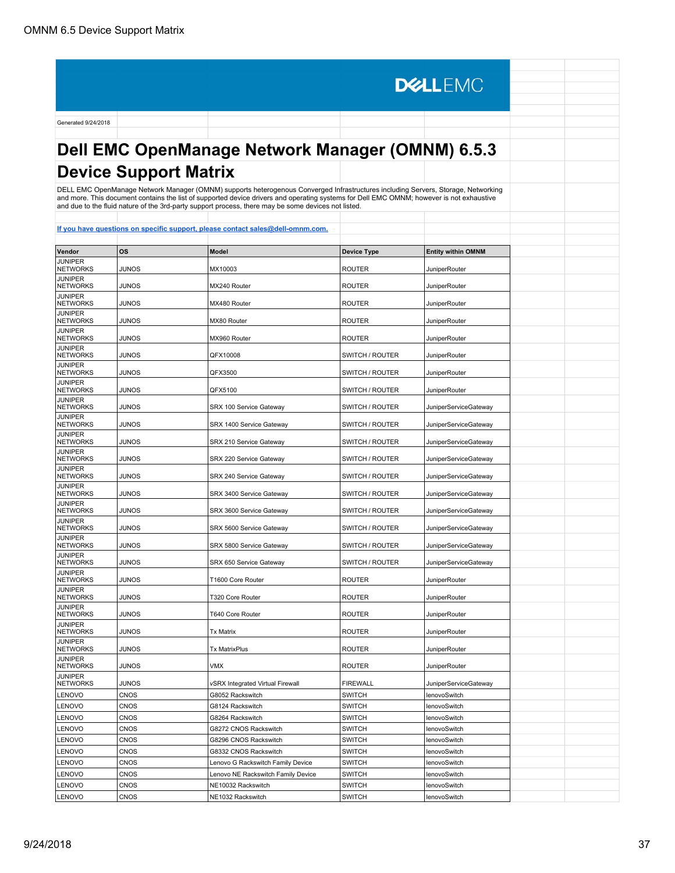**DELLEMC** Generated 9/24/2018 **Dell EMC OpenManage Network Manager (OMNM) 6.5.3 Device Support Matrix** DELL EMC OpenManage Network Manager (OMNM) supports heterogenous Converged Infrastructures including Servers, Storage, Networking and more. This document contains the list of supported device drivers and operating systems for Dell EMC OMNM; however is not exhaustive and due to the fluid nature of the 3rd-party support process, there may be some devices not listed. **[If you have questions on specific support, please contact sales@dell-omnm.com.](mailto:SALES@DELL-OMNM.COM) Vendor OS Model Device Type Entity within OMNM JUNIPER**<br>NETWORKS NETWORKS JUNOS MX10003 ROUTER JuniperRouter JUNIPER<br>NETWORKS NETWORKS JUNOS MX240 Router ROUTER ROUTER JuniperRouter JUNIPER<br>NETWORKS JUNIPER<br>NETWORKS JUNOS MX480 Router ROUTER ROUTER JuniperRouter JUNIPER<br>NETWORKS JUNIPER<br>NETWORKS JUNOS MX80 Router ROUTER ROUTER JuniperRouter **JUNIPER<br>NETWORKS** JUNIPER<br>NETWORKS JUNOS MX960 Router ROUTER ROUTER JuniperRouter **JUNIPER<br>NETWORKS** JUNIPER<br>NETWORKS JUNOS QFX10008 SWITCH / ROUTER JuniperRouter JUNIPER<br>NETWORKS JUNIPER<br>NETWORKS JUNOS QFX3500 SWITCH / ROUTER JuniperRouter JUNIPER<br>NETWORKS JUNIPER<br>NETWORKS JUNOS QFX5100 SWITCH / ROUTER JuniperRouter JUNIPER<br>NETWORKS JUNOS SAN SERX 100 Service Gateway SWITCH / ROUTER JuniperServiceGateway JUNIPER<br>NETWORKS JUNOS SRX 1400 Service Gateway SWITCH / ROUTER JuniperServiceGateway JUNIPER<br>NETWORKS JUNOS SALLANET SARX 210 Service Gateway SWITCH / ROUTER JuniperServiceGateway JUNIPER<br>NETWORKS NETWORKS JUNOS SRX 220 Service Gateway SWITCH / ROUTER JuniperServiceGateway JUNIPER<br>NETWORKS NETWORKS JUNOS SRX 240 Service Gateway SWITCH / ROUTER JuniperServiceGateway JUNIPER<br>NETWORKS JUNOS SRX 3400 Service Gateway SWITCH / ROUTER JuniperServiceGateway JUNIPER<br>NETWORKS JUNOS SRX 3600 Service Gateway SWITCH / ROUTER JuniperServiceGateway JUNIPER<br>NETWORKS JUNOS SRX 5600 Service Gateway SWITCH / ROUTER JuniperServiceGateway JUNIPER<br>NETWORKS JUNIPER<br>NETWORKS JUNOS SRX 5800 Service Gateway SWITCH / ROUTER JuniperServiceGateway JUNIPER<br>NETWORKS NETWORKS JUNOS SRX 650 Service Gateway SWITCH / ROUTER JuniperServiceGateway JUNIPER<br>NETWORKS JUNIPER<br>NETWORKS JUNOS T1600 Core Router ROUTER ROUTER JuniperRouter JUNIPER<br>NETWORKS NETWORKS JUNOS T320 Core Router ROUTER ROUTER JuniperRouter **JUNIPER<br>NETWORKS** NETWORKS JUNOS T640 Core Router ROUTER ROUTER JuniperRouter JUNIPER<br>NETWORKS JUNIPER<br>NETWORKS JUNOS Tx Matrix ROUTER ROUTER JuniperRouter JUNIPER<br>NETWORKS NETWORKS JUNOS Tx MatrixPlus ROUTER ROUTER JuniperRouter **JUNIPER<br>NETWORKS** NETWORKS JUNOS VMX ROUTER NOUTER JuniperRouter **JUNIPER<br>NETWORKS** JUNOS vSRX Integrated Virtual Firewall FIREWALL JuniperServiceGateway LENOVO CNOS G8052 Rackswitch SWITCH lenovoSwitch LENOVO | CNOS | G8124 Rackswitch | SWITCH | IenovoSwitch LENOVO | CNOS | G8264 Rackswitch | SWITCH | IenovoSwitch LENOVO | CNOS | G8272 CNOS Rackswitch | SWITCH | lenovoSwitch LENOVO CNOS G8296 CNOS Rackswitch SWITCH lenovoSwitch LENOVO CNOS COS G8332 CNOS Rackswitch SWITCH lenovoSwitch LENOVO CNOS CONSIDERED LENOVO G Rackswitch Family Device SWITCH RENOVO LENOVOSwitch LENOVO CNOS CONSIDERT CONSIDER LENOVO NE Rackswitch Family Device SWITCH REGISTER LENOVOSwitch LENOVO CNOS NE10032 Rackswitch SWITCH SWITCH LENOVO CNOS CONTENT

LENOVO CNOS NE1032 Rackswitch SWITCH LENOVO CNOS CONSTRUCTED RACKSWITCH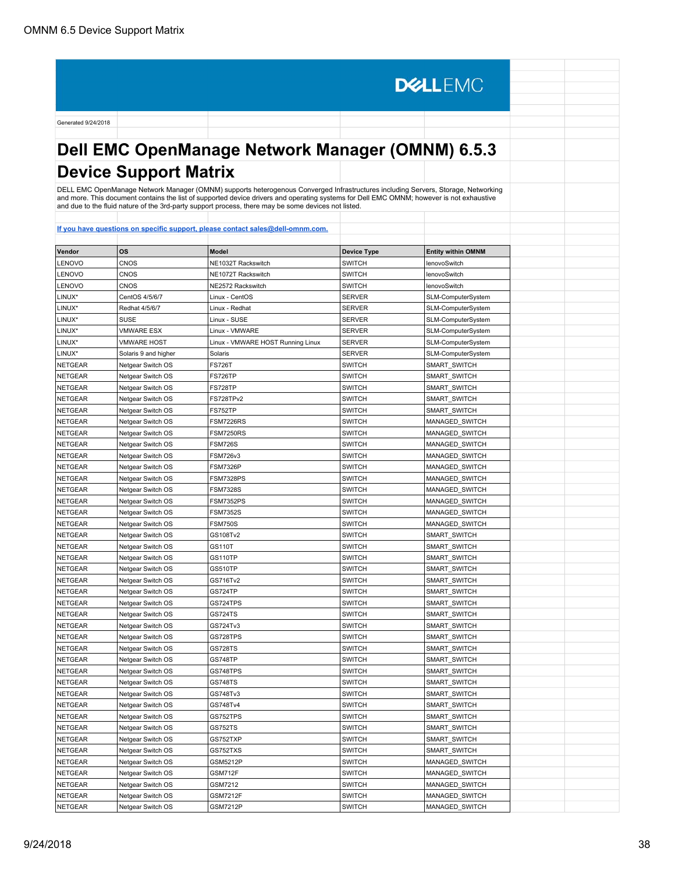# **Dell EMC OpenManage Network Manager (OMNM) 6.5.3 Device Support Matrix**

**DELLEMC** 

DELL EMC OpenManage Network Manager (OMNM) supports heterogenous Converged Infrastructures including Servers, Storage, Networking<br>and more. This document contains the list of supported device drivers and operating systems

| Vendor         | OS                   | Model                             | <b>Device Type</b> | <b>Entity within OMNM</b> |  |
|----------------|----------------------|-----------------------------------|--------------------|---------------------------|--|
| LENOVO         | <b>CNOS</b>          | NE1032T Rackswitch                | <b>SWITCH</b>      | lenovoSwitch              |  |
| LENOVO         | CNOS                 | NE1072T Rackswitch                | <b>SWITCH</b>      | lenovoSwitch              |  |
| LENOVO         | CNOS                 | NE2572 Rackswitch                 | <b>SWITCH</b>      | lenovoSwitch              |  |
| LINUX*         | CentOS 4/5/6/7       | Linux - CentOS                    | <b>SERVER</b>      | SLM-ComputerSystem        |  |
| LINUX*         | Redhat 4/5/6/7       | Linux - Redhat                    | <b>SERVER</b>      | SLM-ComputerSystem        |  |
| LINUX*         | SUSE                 | Linux - SUSE                      | <b>SERVER</b>      | SLM-ComputerSystem        |  |
| LINUX*         | <b>VMWARE ESX</b>    | Linux - VMWARE                    | <b>SERVER</b>      | SLM-ComputerSystem        |  |
| LINUX*         | <b>VMWARE HOST</b>   | Linux - VMWARE HOST Running Linux | <b>SERVER</b>      | SLM-ComputerSystem        |  |
| LINUX*         | Solaris 9 and higher | Solaris                           | <b>SERVER</b>      | SLM-ComputerSystem        |  |
| <b>NETGEAR</b> | Netgear Switch OS    | <b>FS726T</b>                     | <b>SWITCH</b>      | SMART SWITCH              |  |
| <b>NETGEAR</b> | Netgear Switch OS    | FS726TP                           | <b>SWITCH</b>      | SMART SWITCH              |  |
| <b>NETGEAR</b> | Netgear Switch OS    | FS728TP                           | <b>SWITCH</b>      | SMART_SWITCH              |  |
| NETGEAR        | Netgear Switch OS    | FS728TPv2                         | <b>SWITCH</b>      | SMART_SWITCH              |  |
| <b>NETGEAR</b> | Netgear Switch OS    | FS752TP                           | <b>SWITCH</b>      | SMART_SWITCH              |  |
| <b>NETGEAR</b> | Netgear Switch OS    | <b>FSM7226RS</b>                  | <b>SWITCH</b>      | MANAGED_SWITCH            |  |
| <b>NETGEAR</b> | Netgear Switch OS    | <b>FSM7250RS</b>                  | <b>SWITCH</b>      | MANAGED SWITCH            |  |
| <b>NETGEAR</b> | Netgear Switch OS    | <b>FSM726S</b>                    | <b>SWITCH</b>      | MANAGED SWITCH            |  |
| <b>NETGEAR</b> | Netgear Switch OS    | <b>FSM726v3</b>                   | <b>SWITCH</b>      | MANAGED SWITCH            |  |
| <b>NETGEAR</b> | Netgear Switch OS    | <b>FSM7326P</b>                   | <b>SWITCH</b>      | MANAGED SWITCH            |  |
| <b>NETGEAR</b> | Netgear Switch OS    | FSM7328PS                         | <b>SWITCH</b>      | MANAGED SWITCH            |  |
| <b>NETGEAR</b> | Netgear Switch OS    | <b>FSM7328S</b>                   | <b>SWITCH</b>      | MANAGED SWITCH            |  |
| <b>NETGEAR</b> | Netgear Switch OS    | <b>FSM7352PS</b>                  | <b>SWITCH</b>      | MANAGED_SWITCH            |  |
| <b>NETGEAR</b> | Netgear Switch OS    | <b>FSM7352S</b>                   | <b>SWITCH</b>      | MANAGED SWITCH            |  |
| <b>NETGEAR</b> | Netgear Switch OS    | <b>FSM750S</b>                    | <b>SWITCH</b>      | MANAGED SWITCH            |  |
| <b>NETGEAR</b> | Netgear Switch OS    | GS108Tv2                          | <b>SWITCH</b>      | SMART SWITCH              |  |
| <b>NETGEAR</b> | Netgear Switch OS    | GS110T                            | <b>SWITCH</b>      | SMART SWITCH              |  |
| <b>NETGEAR</b> | Netgear Switch OS    | GS110TP                           | <b>SWITCH</b>      | SMART_SWITCH              |  |
| <b>NETGEAR</b> | Netgear Switch OS    | GS510TP                           | <b>SWITCH</b>      | SMART_SWITCH              |  |
| <b>NETGEAR</b> | Netgear Switch OS    | GS716Tv2                          | <b>SWITCH</b>      | SMART_SWITCH              |  |
| <b>NETGEAR</b> | Netgear Switch OS    | GS724TP                           | <b>SWITCH</b>      | SMART SWITCH              |  |
| <b>NETGEAR</b> | Netgear Switch OS    | GS724TPS                          | <b>SWITCH</b>      | SMART SWITCH              |  |
| <b>NETGEAR</b> | Netgear Switch OS    | <b>GS724TS</b>                    | <b>SWITCH</b>      | SMART SWITCH              |  |
| <b>NETGEAR</b> | Netgear Switch OS    | GS724Tv3                          | <b>SWITCH</b>      | SMART_SWITCH              |  |
| <b>NETGEAR</b> | Netgear Switch OS    | GS728TPS                          | <b>SWITCH</b>      | SMART_SWITCH              |  |
| <b>NETGEAR</b> | Netgear Switch OS    | <b>GS728TS</b>                    | <b>SWITCH</b>      | SMART_SWITCH              |  |
| <b>NETGEAR</b> | Netgear Switch OS    | <b>GS748TP</b>                    | <b>SWITCH</b>      | SMART_SWITCH              |  |
| <b>NETGEAR</b> | Netgear Switch OS    | GS748TPS                          | <b>SWITCH</b>      | SMART_SWITCH              |  |
| <b>NETGEAR</b> | Netgear Switch OS    | GS748TS                           | <b>SWITCH</b>      | SMART SWITCH              |  |
| <b>NETGEAR</b> | Netgear Switch OS    | GS748Tv3                          | <b>SWITCH</b>      | SMART SWITCH              |  |
| <b>NETGEAR</b> | Netgear Switch OS    | GS748Tv4                          | <b>SWITCH</b>      | SMART_SWITCH              |  |
| <b>NETGEAR</b> | Netgear Switch OS    | GS752TPS                          | <b>SWITCH</b>      | SMART SWITCH              |  |
| NETGEAR        | Netgear Switch OS    | <b>GS752TS</b>                    | <b>SWITCH</b>      | SMART SWITCH              |  |
| <b>NETGEAR</b> | Netgear Switch OS    | GS752TXP                          | <b>SWITCH</b>      | SMART SWITCH              |  |
| <b>NETGEAR</b> | Netgear Switch OS    | GS752TXS                          | <b>SWITCH</b>      | SMART_SWITCH              |  |
| <b>NETGEAR</b> | Netgear Switch OS    | GSM5212P                          | <b>SWITCH</b>      | MANAGED SWITCH            |  |
| <b>NETGEAR</b> | Netgear Switch OS    | GSM712F                           | <b>SWITCH</b>      | MANAGED SWITCH            |  |
| <b>NETGEAR</b> | Netgear Switch OS    | GSM7212                           | <b>SWITCH</b>      | MANAGED_SWITCH            |  |
| <b>NETGEAR</b> | Netgear Switch OS    | <b>GSM7212F</b>                   | <b>SWITCH</b>      | MANAGED SWITCH            |  |
| NETGEAR        | Netgear Switch OS    | <b>GSM7212P</b>                   | <b>SWITCH</b>      | MANAGED SWITCH            |  |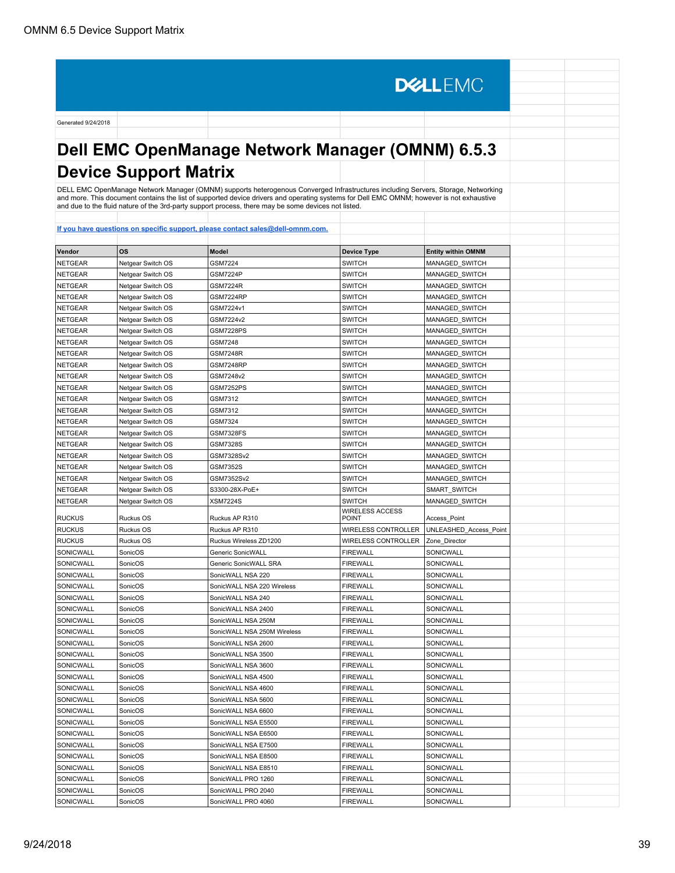# **Dell EMC OpenManage Network Manager (OMNM) 6.5.3 Device Support Matrix**

**DELLEMC** 

DELL EMC OpenManage Network Manager (OMNM) supports heterogenous Converged Infrastructures including Servers, Storage, Networking<br>and more. This document contains the list of supported device drivers and operating systems

| <b>OS</b><br><b>Model</b><br><b>Device Type</b><br><b>Entity within OMNM</b><br><b>SWITCH</b><br><b>NETGEAR</b><br>Netgear Switch OS<br><b>GSM7224</b><br>MANAGED SWITCH<br><b>NETGEAR</b><br><b>SWITCH</b><br>MANAGED SWITCH<br>Netgear Switch OS<br><b>GSM7224P</b><br><b>NETGEAR</b><br><b>SWITCH</b><br>Netgear Switch OS<br><b>GSM7224R</b><br>MANAGED_SWITCH<br><b>NETGEAR</b><br>Netgear Switch OS<br>GSM7224RP<br><b>SWITCH</b><br>MANAGED_SWITCH<br><b>NETGEAR</b><br>Netgear Switch OS<br>GSM7224v1<br><b>SWITCH</b><br>MANAGED SWITCH<br><b>NETGEAR</b><br><b>SWITCH</b><br>Netgear Switch OS<br>GSM7224v2<br>MANAGED_SWITCH<br><b>SWITCH</b><br><b>NETGEAR</b><br>Netgear Switch OS<br><b>GSM7228PS</b><br>MANAGED_SWITCH<br><b>NETGEAR</b><br><b>GSM7248</b><br><b>SWITCH</b><br>MANAGED SWITCH<br>Netgear Switch OS<br><b>NETGEAR</b><br><b>GSM7248R</b><br><b>SWITCH</b><br>MANAGED_SWITCH<br>Netgear Switch OS<br><b>NETGEAR</b><br>Netgear Switch OS<br>GSM7248RP<br><b>SWITCH</b><br>MANAGED_SWITCH<br><b>NETGEAR</b><br>Netgear Switch OS<br>GSM7248v2<br><b>SWITCH</b><br>MANAGED SWITCH<br><b>NETGEAR</b><br>Netgear Switch OS<br><b>GSM7252PS</b><br><b>SWITCH</b><br>MANAGED SWITCH<br>NETGEAR<br>GSM7312<br><b>SWITCH</b><br>MANAGED SWITCH<br>Netgear Switch OS<br><b>NETGEAR</b><br>MANAGED_SWITCH<br>Netgear Switch OS<br>GSM7312<br>SWITCH<br><b>NETGEAR</b><br>Netgear Switch OS<br>GSM7324<br><b>SWITCH</b><br>MANAGED SWITCH<br><b>NETGEAR</b><br><b>GSM7328FS</b><br><b>SWITCH</b><br>MANAGED SWITCH<br>Netgear Switch OS<br>NETGEAR<br><b>GSM7328S</b><br><b>SWITCH</b><br>MANAGED SWITCH<br>Netgear Switch OS<br><b>NETGEAR</b><br>GSM7328Sv2<br><b>SWITCH</b><br>MANAGED SWITCH<br>Netgear Switch OS<br><b>NETGEAR</b><br>Netgear Switch OS<br><b>GSM7352S</b><br><b>SWITCH</b><br>MANAGED SWITCH<br><b>NETGEAR</b><br><b>SWITCH</b><br>Netgear Switch OS<br>GSM7352Sv2<br>MANAGED_SWITCH<br><b>SWITCH</b><br>NETGEAR<br>Netgear Switch OS<br>S3300-28X-PoE+<br>SMART SWITCH<br><b>NETGEAR</b><br><b>XSM7224S</b><br><b>SWITCH</b><br>MANAGED SWITCH<br>Netgear Switch OS<br><b>WIRELESS ACCESS</b><br><b>RUCKUS</b><br>Ruckus OS<br>Ruckus AP R310<br><b>POINT</b><br>Access_Point<br><b>RUCKUS</b><br>Ruckus OS<br>Ruckus AP R310<br>WIRELESS CONTROLLER<br>UNLEASHED Access Point<br><b>RUCKUS</b><br>Ruckus OS<br><b>WIRELESS CONTROLLER</b><br>Ruckus Wireless ZD1200<br>Zone_Director<br>SONICWALL<br>SonicOS<br>Generic SonicWALL<br><b>FIREWALL</b><br>SONICWALL<br>SONICWALL<br>SonicOS<br>Generic SonicWALL SRA<br><b>FIREWALL</b><br>SONICWALL<br>SONICWALL<br>SonicOS<br>SonicWALL NSA 220<br><b>FIREWALL</b><br>SONICWALL<br>SONICWALL<br>SonicOS<br>SonicWALL NSA 220 Wireless<br><b>FIREWALL</b><br>SONICWALL<br>SONICWALL<br>SonicOS<br><b>FIREWALL</b><br>SONICWALL<br>SonicWALL NSA 240<br>SONICWALL<br>SonicOS<br><b>FIREWALL</b><br>SONICWALL<br>SonicWALL NSA 2400<br>SONICWALL<br>SONICWALL<br>SonicOS<br><b>FIREWALL</b><br>SonicWALL NSA 250M<br>SONICWALL<br>SONICWALL<br>SonicOS<br>SonicWALL NSA 250M Wireless<br><b>FIREWALL</b><br>SONICWALL<br>SONICWALL<br>SonicOS<br><b>FIREWALL</b><br>SonicWALL NSA 2600<br>SONICWALL<br>SonicOS<br>SonicWALL NSA 3500<br><b>FIREWALL</b><br>SONICWALL<br>SONICWALL<br>SonicOS<br><b>FIREWALL</b><br>SONICWALL<br>SonicWALL NSA 3600<br>SONICWALL<br>SonicOS<br>SonicWALL NSA 4500<br><b>FIREWALL</b><br>SONICWALL<br>SONICWALL<br>SonicOS<br>SonicWALL NSA 4600<br><b>FIREWALL</b><br>SONICWALL<br>SONICWALL<br>SonicOS<br><b>FIREWALL</b><br>SONICWALL<br>SonicWALL NSA 5600<br>SONICWALL<br>SonicOS<br>SonicWALL NSA 6600<br><b>FIREWALL</b><br>SONICWALL<br>SONICWALL<br><b>FIREWALL</b><br>SONICWALL<br>SonicOS<br>SonicWALL NSA E5500<br>SONICWALL<br>SONICWALL<br>SonicOS<br>SonicWALL NSA E6500<br><b>FIREWALL</b><br>SONICWALL<br>SonicOS<br><b>FIREWALL</b><br>SONICWALL<br>SonicWALL NSA E7500<br>SONICWALL<br><b>FIREWALL</b><br>SONICWALL<br>SonicOS<br>SonicWALL NSA E8500<br>SONICWALL<br><b>FIREWALL</b><br>SONICWALL<br>SonicOS<br>SonicWALL NSA E8510<br>SONICWALL<br>SONICWALL<br>SonicOS<br>SonicWALL PRO 1260<br><b>FIREWALL</b> |        |  |  |
|------------------------------------------------------------------------------------------------------------------------------------------------------------------------------------------------------------------------------------------------------------------------------------------------------------------------------------------------------------------------------------------------------------------------------------------------------------------------------------------------------------------------------------------------------------------------------------------------------------------------------------------------------------------------------------------------------------------------------------------------------------------------------------------------------------------------------------------------------------------------------------------------------------------------------------------------------------------------------------------------------------------------------------------------------------------------------------------------------------------------------------------------------------------------------------------------------------------------------------------------------------------------------------------------------------------------------------------------------------------------------------------------------------------------------------------------------------------------------------------------------------------------------------------------------------------------------------------------------------------------------------------------------------------------------------------------------------------------------------------------------------------------------------------------------------------------------------------------------------------------------------------------------------------------------------------------------------------------------------------------------------------------------------------------------------------------------------------------------------------------------------------------------------------------------------------------------------------------------------------------------------------------------------------------------------------------------------------------------------------------------------------------------------------------------------------------------------------------------------------------------------------------------------------------------------------------------------------------------------------------------------------------------------------------------------------------------------------------------------------------------------------------------------------------------------------------------------------------------------------------------------------------------------------------------------------------------------------------------------------------------------------------------------------------------------------------------------------------------------------------------------------------------------------------------------------------------------------------------------------------------------------------------------------------------------------------------------------------------------------------------------------------------------------------------------------------------------------------------------------------------------------------------------------------------------------------------------------------------------------------------------------------------------------------------------------------------------------------------------------------------------------------------------------------------------------------------------------------------------------------------------------------------------------------------------------------------------------------------------------------------------------------------------------------------------------------------------------------------------------------------------------------------------|--------|--|--|
|                                                                                                                                                                                                                                                                                                                                                                                                                                                                                                                                                                                                                                                                                                                                                                                                                                                                                                                                                                                                                                                                                                                                                                                                                                                                                                                                                                                                                                                                                                                                                                                                                                                                                                                                                                                                                                                                                                                                                                                                                                                                                                                                                                                                                                                                                                                                                                                                                                                                                                                                                                                                                                                                                                                                                                                                                                                                                                                                                                                                                                                                                                                                                                                                                                                                                                                                                                                                                                                                                                                                                                                                                                                                                                                                                                                                                                                                                                                                                                                                                                                                                                                                                            | Vendor |  |  |
|                                                                                                                                                                                                                                                                                                                                                                                                                                                                                                                                                                                                                                                                                                                                                                                                                                                                                                                                                                                                                                                                                                                                                                                                                                                                                                                                                                                                                                                                                                                                                                                                                                                                                                                                                                                                                                                                                                                                                                                                                                                                                                                                                                                                                                                                                                                                                                                                                                                                                                                                                                                                                                                                                                                                                                                                                                                                                                                                                                                                                                                                                                                                                                                                                                                                                                                                                                                                                                                                                                                                                                                                                                                                                                                                                                                                                                                                                                                                                                                                                                                                                                                                                            |        |  |  |
|                                                                                                                                                                                                                                                                                                                                                                                                                                                                                                                                                                                                                                                                                                                                                                                                                                                                                                                                                                                                                                                                                                                                                                                                                                                                                                                                                                                                                                                                                                                                                                                                                                                                                                                                                                                                                                                                                                                                                                                                                                                                                                                                                                                                                                                                                                                                                                                                                                                                                                                                                                                                                                                                                                                                                                                                                                                                                                                                                                                                                                                                                                                                                                                                                                                                                                                                                                                                                                                                                                                                                                                                                                                                                                                                                                                                                                                                                                                                                                                                                                                                                                                                                            |        |  |  |
|                                                                                                                                                                                                                                                                                                                                                                                                                                                                                                                                                                                                                                                                                                                                                                                                                                                                                                                                                                                                                                                                                                                                                                                                                                                                                                                                                                                                                                                                                                                                                                                                                                                                                                                                                                                                                                                                                                                                                                                                                                                                                                                                                                                                                                                                                                                                                                                                                                                                                                                                                                                                                                                                                                                                                                                                                                                                                                                                                                                                                                                                                                                                                                                                                                                                                                                                                                                                                                                                                                                                                                                                                                                                                                                                                                                                                                                                                                                                                                                                                                                                                                                                                            |        |  |  |
|                                                                                                                                                                                                                                                                                                                                                                                                                                                                                                                                                                                                                                                                                                                                                                                                                                                                                                                                                                                                                                                                                                                                                                                                                                                                                                                                                                                                                                                                                                                                                                                                                                                                                                                                                                                                                                                                                                                                                                                                                                                                                                                                                                                                                                                                                                                                                                                                                                                                                                                                                                                                                                                                                                                                                                                                                                                                                                                                                                                                                                                                                                                                                                                                                                                                                                                                                                                                                                                                                                                                                                                                                                                                                                                                                                                                                                                                                                                                                                                                                                                                                                                                                            |        |  |  |
|                                                                                                                                                                                                                                                                                                                                                                                                                                                                                                                                                                                                                                                                                                                                                                                                                                                                                                                                                                                                                                                                                                                                                                                                                                                                                                                                                                                                                                                                                                                                                                                                                                                                                                                                                                                                                                                                                                                                                                                                                                                                                                                                                                                                                                                                                                                                                                                                                                                                                                                                                                                                                                                                                                                                                                                                                                                                                                                                                                                                                                                                                                                                                                                                                                                                                                                                                                                                                                                                                                                                                                                                                                                                                                                                                                                                                                                                                                                                                                                                                                                                                                                                                            |        |  |  |
|                                                                                                                                                                                                                                                                                                                                                                                                                                                                                                                                                                                                                                                                                                                                                                                                                                                                                                                                                                                                                                                                                                                                                                                                                                                                                                                                                                                                                                                                                                                                                                                                                                                                                                                                                                                                                                                                                                                                                                                                                                                                                                                                                                                                                                                                                                                                                                                                                                                                                                                                                                                                                                                                                                                                                                                                                                                                                                                                                                                                                                                                                                                                                                                                                                                                                                                                                                                                                                                                                                                                                                                                                                                                                                                                                                                                                                                                                                                                                                                                                                                                                                                                                            |        |  |  |
|                                                                                                                                                                                                                                                                                                                                                                                                                                                                                                                                                                                                                                                                                                                                                                                                                                                                                                                                                                                                                                                                                                                                                                                                                                                                                                                                                                                                                                                                                                                                                                                                                                                                                                                                                                                                                                                                                                                                                                                                                                                                                                                                                                                                                                                                                                                                                                                                                                                                                                                                                                                                                                                                                                                                                                                                                                                                                                                                                                                                                                                                                                                                                                                                                                                                                                                                                                                                                                                                                                                                                                                                                                                                                                                                                                                                                                                                                                                                                                                                                                                                                                                                                            |        |  |  |
|                                                                                                                                                                                                                                                                                                                                                                                                                                                                                                                                                                                                                                                                                                                                                                                                                                                                                                                                                                                                                                                                                                                                                                                                                                                                                                                                                                                                                                                                                                                                                                                                                                                                                                                                                                                                                                                                                                                                                                                                                                                                                                                                                                                                                                                                                                                                                                                                                                                                                                                                                                                                                                                                                                                                                                                                                                                                                                                                                                                                                                                                                                                                                                                                                                                                                                                                                                                                                                                                                                                                                                                                                                                                                                                                                                                                                                                                                                                                                                                                                                                                                                                                                            |        |  |  |
|                                                                                                                                                                                                                                                                                                                                                                                                                                                                                                                                                                                                                                                                                                                                                                                                                                                                                                                                                                                                                                                                                                                                                                                                                                                                                                                                                                                                                                                                                                                                                                                                                                                                                                                                                                                                                                                                                                                                                                                                                                                                                                                                                                                                                                                                                                                                                                                                                                                                                                                                                                                                                                                                                                                                                                                                                                                                                                                                                                                                                                                                                                                                                                                                                                                                                                                                                                                                                                                                                                                                                                                                                                                                                                                                                                                                                                                                                                                                                                                                                                                                                                                                                            |        |  |  |
|                                                                                                                                                                                                                                                                                                                                                                                                                                                                                                                                                                                                                                                                                                                                                                                                                                                                                                                                                                                                                                                                                                                                                                                                                                                                                                                                                                                                                                                                                                                                                                                                                                                                                                                                                                                                                                                                                                                                                                                                                                                                                                                                                                                                                                                                                                                                                                                                                                                                                                                                                                                                                                                                                                                                                                                                                                                                                                                                                                                                                                                                                                                                                                                                                                                                                                                                                                                                                                                                                                                                                                                                                                                                                                                                                                                                                                                                                                                                                                                                                                                                                                                                                            |        |  |  |
|                                                                                                                                                                                                                                                                                                                                                                                                                                                                                                                                                                                                                                                                                                                                                                                                                                                                                                                                                                                                                                                                                                                                                                                                                                                                                                                                                                                                                                                                                                                                                                                                                                                                                                                                                                                                                                                                                                                                                                                                                                                                                                                                                                                                                                                                                                                                                                                                                                                                                                                                                                                                                                                                                                                                                                                                                                                                                                                                                                                                                                                                                                                                                                                                                                                                                                                                                                                                                                                                                                                                                                                                                                                                                                                                                                                                                                                                                                                                                                                                                                                                                                                                                            |        |  |  |
|                                                                                                                                                                                                                                                                                                                                                                                                                                                                                                                                                                                                                                                                                                                                                                                                                                                                                                                                                                                                                                                                                                                                                                                                                                                                                                                                                                                                                                                                                                                                                                                                                                                                                                                                                                                                                                                                                                                                                                                                                                                                                                                                                                                                                                                                                                                                                                                                                                                                                                                                                                                                                                                                                                                                                                                                                                                                                                                                                                                                                                                                                                                                                                                                                                                                                                                                                                                                                                                                                                                                                                                                                                                                                                                                                                                                                                                                                                                                                                                                                                                                                                                                                            |        |  |  |
|                                                                                                                                                                                                                                                                                                                                                                                                                                                                                                                                                                                                                                                                                                                                                                                                                                                                                                                                                                                                                                                                                                                                                                                                                                                                                                                                                                                                                                                                                                                                                                                                                                                                                                                                                                                                                                                                                                                                                                                                                                                                                                                                                                                                                                                                                                                                                                                                                                                                                                                                                                                                                                                                                                                                                                                                                                                                                                                                                                                                                                                                                                                                                                                                                                                                                                                                                                                                                                                                                                                                                                                                                                                                                                                                                                                                                                                                                                                                                                                                                                                                                                                                                            |        |  |  |
|                                                                                                                                                                                                                                                                                                                                                                                                                                                                                                                                                                                                                                                                                                                                                                                                                                                                                                                                                                                                                                                                                                                                                                                                                                                                                                                                                                                                                                                                                                                                                                                                                                                                                                                                                                                                                                                                                                                                                                                                                                                                                                                                                                                                                                                                                                                                                                                                                                                                                                                                                                                                                                                                                                                                                                                                                                                                                                                                                                                                                                                                                                                                                                                                                                                                                                                                                                                                                                                                                                                                                                                                                                                                                                                                                                                                                                                                                                                                                                                                                                                                                                                                                            |        |  |  |
|                                                                                                                                                                                                                                                                                                                                                                                                                                                                                                                                                                                                                                                                                                                                                                                                                                                                                                                                                                                                                                                                                                                                                                                                                                                                                                                                                                                                                                                                                                                                                                                                                                                                                                                                                                                                                                                                                                                                                                                                                                                                                                                                                                                                                                                                                                                                                                                                                                                                                                                                                                                                                                                                                                                                                                                                                                                                                                                                                                                                                                                                                                                                                                                                                                                                                                                                                                                                                                                                                                                                                                                                                                                                                                                                                                                                                                                                                                                                                                                                                                                                                                                                                            |        |  |  |
|                                                                                                                                                                                                                                                                                                                                                                                                                                                                                                                                                                                                                                                                                                                                                                                                                                                                                                                                                                                                                                                                                                                                                                                                                                                                                                                                                                                                                                                                                                                                                                                                                                                                                                                                                                                                                                                                                                                                                                                                                                                                                                                                                                                                                                                                                                                                                                                                                                                                                                                                                                                                                                                                                                                                                                                                                                                                                                                                                                                                                                                                                                                                                                                                                                                                                                                                                                                                                                                                                                                                                                                                                                                                                                                                                                                                                                                                                                                                                                                                                                                                                                                                                            |        |  |  |
|                                                                                                                                                                                                                                                                                                                                                                                                                                                                                                                                                                                                                                                                                                                                                                                                                                                                                                                                                                                                                                                                                                                                                                                                                                                                                                                                                                                                                                                                                                                                                                                                                                                                                                                                                                                                                                                                                                                                                                                                                                                                                                                                                                                                                                                                                                                                                                                                                                                                                                                                                                                                                                                                                                                                                                                                                                                                                                                                                                                                                                                                                                                                                                                                                                                                                                                                                                                                                                                                                                                                                                                                                                                                                                                                                                                                                                                                                                                                                                                                                                                                                                                                                            |        |  |  |
|                                                                                                                                                                                                                                                                                                                                                                                                                                                                                                                                                                                                                                                                                                                                                                                                                                                                                                                                                                                                                                                                                                                                                                                                                                                                                                                                                                                                                                                                                                                                                                                                                                                                                                                                                                                                                                                                                                                                                                                                                                                                                                                                                                                                                                                                                                                                                                                                                                                                                                                                                                                                                                                                                                                                                                                                                                                                                                                                                                                                                                                                                                                                                                                                                                                                                                                                                                                                                                                                                                                                                                                                                                                                                                                                                                                                                                                                                                                                                                                                                                                                                                                                                            |        |  |  |
|                                                                                                                                                                                                                                                                                                                                                                                                                                                                                                                                                                                                                                                                                                                                                                                                                                                                                                                                                                                                                                                                                                                                                                                                                                                                                                                                                                                                                                                                                                                                                                                                                                                                                                                                                                                                                                                                                                                                                                                                                                                                                                                                                                                                                                                                                                                                                                                                                                                                                                                                                                                                                                                                                                                                                                                                                                                                                                                                                                                                                                                                                                                                                                                                                                                                                                                                                                                                                                                                                                                                                                                                                                                                                                                                                                                                                                                                                                                                                                                                                                                                                                                                                            |        |  |  |
|                                                                                                                                                                                                                                                                                                                                                                                                                                                                                                                                                                                                                                                                                                                                                                                                                                                                                                                                                                                                                                                                                                                                                                                                                                                                                                                                                                                                                                                                                                                                                                                                                                                                                                                                                                                                                                                                                                                                                                                                                                                                                                                                                                                                                                                                                                                                                                                                                                                                                                                                                                                                                                                                                                                                                                                                                                                                                                                                                                                                                                                                                                                                                                                                                                                                                                                                                                                                                                                                                                                                                                                                                                                                                                                                                                                                                                                                                                                                                                                                                                                                                                                                                            |        |  |  |
|                                                                                                                                                                                                                                                                                                                                                                                                                                                                                                                                                                                                                                                                                                                                                                                                                                                                                                                                                                                                                                                                                                                                                                                                                                                                                                                                                                                                                                                                                                                                                                                                                                                                                                                                                                                                                                                                                                                                                                                                                                                                                                                                                                                                                                                                                                                                                                                                                                                                                                                                                                                                                                                                                                                                                                                                                                                                                                                                                                                                                                                                                                                                                                                                                                                                                                                                                                                                                                                                                                                                                                                                                                                                                                                                                                                                                                                                                                                                                                                                                                                                                                                                                            |        |  |  |
|                                                                                                                                                                                                                                                                                                                                                                                                                                                                                                                                                                                                                                                                                                                                                                                                                                                                                                                                                                                                                                                                                                                                                                                                                                                                                                                                                                                                                                                                                                                                                                                                                                                                                                                                                                                                                                                                                                                                                                                                                                                                                                                                                                                                                                                                                                                                                                                                                                                                                                                                                                                                                                                                                                                                                                                                                                                                                                                                                                                                                                                                                                                                                                                                                                                                                                                                                                                                                                                                                                                                                                                                                                                                                                                                                                                                                                                                                                                                                                                                                                                                                                                                                            |        |  |  |
|                                                                                                                                                                                                                                                                                                                                                                                                                                                                                                                                                                                                                                                                                                                                                                                                                                                                                                                                                                                                                                                                                                                                                                                                                                                                                                                                                                                                                                                                                                                                                                                                                                                                                                                                                                                                                                                                                                                                                                                                                                                                                                                                                                                                                                                                                                                                                                                                                                                                                                                                                                                                                                                                                                                                                                                                                                                                                                                                                                                                                                                                                                                                                                                                                                                                                                                                                                                                                                                                                                                                                                                                                                                                                                                                                                                                                                                                                                                                                                                                                                                                                                                                                            |        |  |  |
|                                                                                                                                                                                                                                                                                                                                                                                                                                                                                                                                                                                                                                                                                                                                                                                                                                                                                                                                                                                                                                                                                                                                                                                                                                                                                                                                                                                                                                                                                                                                                                                                                                                                                                                                                                                                                                                                                                                                                                                                                                                                                                                                                                                                                                                                                                                                                                                                                                                                                                                                                                                                                                                                                                                                                                                                                                                                                                                                                                                                                                                                                                                                                                                                                                                                                                                                                                                                                                                                                                                                                                                                                                                                                                                                                                                                                                                                                                                                                                                                                                                                                                                                                            |        |  |  |
|                                                                                                                                                                                                                                                                                                                                                                                                                                                                                                                                                                                                                                                                                                                                                                                                                                                                                                                                                                                                                                                                                                                                                                                                                                                                                                                                                                                                                                                                                                                                                                                                                                                                                                                                                                                                                                                                                                                                                                                                                                                                                                                                                                                                                                                                                                                                                                                                                                                                                                                                                                                                                                                                                                                                                                                                                                                                                                                                                                                                                                                                                                                                                                                                                                                                                                                                                                                                                                                                                                                                                                                                                                                                                                                                                                                                                                                                                                                                                                                                                                                                                                                                                            |        |  |  |
|                                                                                                                                                                                                                                                                                                                                                                                                                                                                                                                                                                                                                                                                                                                                                                                                                                                                                                                                                                                                                                                                                                                                                                                                                                                                                                                                                                                                                                                                                                                                                                                                                                                                                                                                                                                                                                                                                                                                                                                                                                                                                                                                                                                                                                                                                                                                                                                                                                                                                                                                                                                                                                                                                                                                                                                                                                                                                                                                                                                                                                                                                                                                                                                                                                                                                                                                                                                                                                                                                                                                                                                                                                                                                                                                                                                                                                                                                                                                                                                                                                                                                                                                                            |        |  |  |
|                                                                                                                                                                                                                                                                                                                                                                                                                                                                                                                                                                                                                                                                                                                                                                                                                                                                                                                                                                                                                                                                                                                                                                                                                                                                                                                                                                                                                                                                                                                                                                                                                                                                                                                                                                                                                                                                                                                                                                                                                                                                                                                                                                                                                                                                                                                                                                                                                                                                                                                                                                                                                                                                                                                                                                                                                                                                                                                                                                                                                                                                                                                                                                                                                                                                                                                                                                                                                                                                                                                                                                                                                                                                                                                                                                                                                                                                                                                                                                                                                                                                                                                                                            |        |  |  |
|                                                                                                                                                                                                                                                                                                                                                                                                                                                                                                                                                                                                                                                                                                                                                                                                                                                                                                                                                                                                                                                                                                                                                                                                                                                                                                                                                                                                                                                                                                                                                                                                                                                                                                                                                                                                                                                                                                                                                                                                                                                                                                                                                                                                                                                                                                                                                                                                                                                                                                                                                                                                                                                                                                                                                                                                                                                                                                                                                                                                                                                                                                                                                                                                                                                                                                                                                                                                                                                                                                                                                                                                                                                                                                                                                                                                                                                                                                                                                                                                                                                                                                                                                            |        |  |  |
|                                                                                                                                                                                                                                                                                                                                                                                                                                                                                                                                                                                                                                                                                                                                                                                                                                                                                                                                                                                                                                                                                                                                                                                                                                                                                                                                                                                                                                                                                                                                                                                                                                                                                                                                                                                                                                                                                                                                                                                                                                                                                                                                                                                                                                                                                                                                                                                                                                                                                                                                                                                                                                                                                                                                                                                                                                                                                                                                                                                                                                                                                                                                                                                                                                                                                                                                                                                                                                                                                                                                                                                                                                                                                                                                                                                                                                                                                                                                                                                                                                                                                                                                                            |        |  |  |
|                                                                                                                                                                                                                                                                                                                                                                                                                                                                                                                                                                                                                                                                                                                                                                                                                                                                                                                                                                                                                                                                                                                                                                                                                                                                                                                                                                                                                                                                                                                                                                                                                                                                                                                                                                                                                                                                                                                                                                                                                                                                                                                                                                                                                                                                                                                                                                                                                                                                                                                                                                                                                                                                                                                                                                                                                                                                                                                                                                                                                                                                                                                                                                                                                                                                                                                                                                                                                                                                                                                                                                                                                                                                                                                                                                                                                                                                                                                                                                                                                                                                                                                                                            |        |  |  |
|                                                                                                                                                                                                                                                                                                                                                                                                                                                                                                                                                                                                                                                                                                                                                                                                                                                                                                                                                                                                                                                                                                                                                                                                                                                                                                                                                                                                                                                                                                                                                                                                                                                                                                                                                                                                                                                                                                                                                                                                                                                                                                                                                                                                                                                                                                                                                                                                                                                                                                                                                                                                                                                                                                                                                                                                                                                                                                                                                                                                                                                                                                                                                                                                                                                                                                                                                                                                                                                                                                                                                                                                                                                                                                                                                                                                                                                                                                                                                                                                                                                                                                                                                            |        |  |  |
|                                                                                                                                                                                                                                                                                                                                                                                                                                                                                                                                                                                                                                                                                                                                                                                                                                                                                                                                                                                                                                                                                                                                                                                                                                                                                                                                                                                                                                                                                                                                                                                                                                                                                                                                                                                                                                                                                                                                                                                                                                                                                                                                                                                                                                                                                                                                                                                                                                                                                                                                                                                                                                                                                                                                                                                                                                                                                                                                                                                                                                                                                                                                                                                                                                                                                                                                                                                                                                                                                                                                                                                                                                                                                                                                                                                                                                                                                                                                                                                                                                                                                                                                                            |        |  |  |
|                                                                                                                                                                                                                                                                                                                                                                                                                                                                                                                                                                                                                                                                                                                                                                                                                                                                                                                                                                                                                                                                                                                                                                                                                                                                                                                                                                                                                                                                                                                                                                                                                                                                                                                                                                                                                                                                                                                                                                                                                                                                                                                                                                                                                                                                                                                                                                                                                                                                                                                                                                                                                                                                                                                                                                                                                                                                                                                                                                                                                                                                                                                                                                                                                                                                                                                                                                                                                                                                                                                                                                                                                                                                                                                                                                                                                                                                                                                                                                                                                                                                                                                                                            |        |  |  |
|                                                                                                                                                                                                                                                                                                                                                                                                                                                                                                                                                                                                                                                                                                                                                                                                                                                                                                                                                                                                                                                                                                                                                                                                                                                                                                                                                                                                                                                                                                                                                                                                                                                                                                                                                                                                                                                                                                                                                                                                                                                                                                                                                                                                                                                                                                                                                                                                                                                                                                                                                                                                                                                                                                                                                                                                                                                                                                                                                                                                                                                                                                                                                                                                                                                                                                                                                                                                                                                                                                                                                                                                                                                                                                                                                                                                                                                                                                                                                                                                                                                                                                                                                            |        |  |  |
|                                                                                                                                                                                                                                                                                                                                                                                                                                                                                                                                                                                                                                                                                                                                                                                                                                                                                                                                                                                                                                                                                                                                                                                                                                                                                                                                                                                                                                                                                                                                                                                                                                                                                                                                                                                                                                                                                                                                                                                                                                                                                                                                                                                                                                                                                                                                                                                                                                                                                                                                                                                                                                                                                                                                                                                                                                                                                                                                                                                                                                                                                                                                                                                                                                                                                                                                                                                                                                                                                                                                                                                                                                                                                                                                                                                                                                                                                                                                                                                                                                                                                                                                                            |        |  |  |
|                                                                                                                                                                                                                                                                                                                                                                                                                                                                                                                                                                                                                                                                                                                                                                                                                                                                                                                                                                                                                                                                                                                                                                                                                                                                                                                                                                                                                                                                                                                                                                                                                                                                                                                                                                                                                                                                                                                                                                                                                                                                                                                                                                                                                                                                                                                                                                                                                                                                                                                                                                                                                                                                                                                                                                                                                                                                                                                                                                                                                                                                                                                                                                                                                                                                                                                                                                                                                                                                                                                                                                                                                                                                                                                                                                                                                                                                                                                                                                                                                                                                                                                                                            |        |  |  |
|                                                                                                                                                                                                                                                                                                                                                                                                                                                                                                                                                                                                                                                                                                                                                                                                                                                                                                                                                                                                                                                                                                                                                                                                                                                                                                                                                                                                                                                                                                                                                                                                                                                                                                                                                                                                                                                                                                                                                                                                                                                                                                                                                                                                                                                                                                                                                                                                                                                                                                                                                                                                                                                                                                                                                                                                                                                                                                                                                                                                                                                                                                                                                                                                                                                                                                                                                                                                                                                                                                                                                                                                                                                                                                                                                                                                                                                                                                                                                                                                                                                                                                                                                            |        |  |  |
|                                                                                                                                                                                                                                                                                                                                                                                                                                                                                                                                                                                                                                                                                                                                                                                                                                                                                                                                                                                                                                                                                                                                                                                                                                                                                                                                                                                                                                                                                                                                                                                                                                                                                                                                                                                                                                                                                                                                                                                                                                                                                                                                                                                                                                                                                                                                                                                                                                                                                                                                                                                                                                                                                                                                                                                                                                                                                                                                                                                                                                                                                                                                                                                                                                                                                                                                                                                                                                                                                                                                                                                                                                                                                                                                                                                                                                                                                                                                                                                                                                                                                                                                                            |        |  |  |
|                                                                                                                                                                                                                                                                                                                                                                                                                                                                                                                                                                                                                                                                                                                                                                                                                                                                                                                                                                                                                                                                                                                                                                                                                                                                                                                                                                                                                                                                                                                                                                                                                                                                                                                                                                                                                                                                                                                                                                                                                                                                                                                                                                                                                                                                                                                                                                                                                                                                                                                                                                                                                                                                                                                                                                                                                                                                                                                                                                                                                                                                                                                                                                                                                                                                                                                                                                                                                                                                                                                                                                                                                                                                                                                                                                                                                                                                                                                                                                                                                                                                                                                                                            |        |  |  |
|                                                                                                                                                                                                                                                                                                                                                                                                                                                                                                                                                                                                                                                                                                                                                                                                                                                                                                                                                                                                                                                                                                                                                                                                                                                                                                                                                                                                                                                                                                                                                                                                                                                                                                                                                                                                                                                                                                                                                                                                                                                                                                                                                                                                                                                                                                                                                                                                                                                                                                                                                                                                                                                                                                                                                                                                                                                                                                                                                                                                                                                                                                                                                                                                                                                                                                                                                                                                                                                                                                                                                                                                                                                                                                                                                                                                                                                                                                                                                                                                                                                                                                                                                            |        |  |  |
|                                                                                                                                                                                                                                                                                                                                                                                                                                                                                                                                                                                                                                                                                                                                                                                                                                                                                                                                                                                                                                                                                                                                                                                                                                                                                                                                                                                                                                                                                                                                                                                                                                                                                                                                                                                                                                                                                                                                                                                                                                                                                                                                                                                                                                                                                                                                                                                                                                                                                                                                                                                                                                                                                                                                                                                                                                                                                                                                                                                                                                                                                                                                                                                                                                                                                                                                                                                                                                                                                                                                                                                                                                                                                                                                                                                                                                                                                                                                                                                                                                                                                                                                                            |        |  |  |
|                                                                                                                                                                                                                                                                                                                                                                                                                                                                                                                                                                                                                                                                                                                                                                                                                                                                                                                                                                                                                                                                                                                                                                                                                                                                                                                                                                                                                                                                                                                                                                                                                                                                                                                                                                                                                                                                                                                                                                                                                                                                                                                                                                                                                                                                                                                                                                                                                                                                                                                                                                                                                                                                                                                                                                                                                                                                                                                                                                                                                                                                                                                                                                                                                                                                                                                                                                                                                                                                                                                                                                                                                                                                                                                                                                                                                                                                                                                                                                                                                                                                                                                                                            |        |  |  |
|                                                                                                                                                                                                                                                                                                                                                                                                                                                                                                                                                                                                                                                                                                                                                                                                                                                                                                                                                                                                                                                                                                                                                                                                                                                                                                                                                                                                                                                                                                                                                                                                                                                                                                                                                                                                                                                                                                                                                                                                                                                                                                                                                                                                                                                                                                                                                                                                                                                                                                                                                                                                                                                                                                                                                                                                                                                                                                                                                                                                                                                                                                                                                                                                                                                                                                                                                                                                                                                                                                                                                                                                                                                                                                                                                                                                                                                                                                                                                                                                                                                                                                                                                            |        |  |  |
|                                                                                                                                                                                                                                                                                                                                                                                                                                                                                                                                                                                                                                                                                                                                                                                                                                                                                                                                                                                                                                                                                                                                                                                                                                                                                                                                                                                                                                                                                                                                                                                                                                                                                                                                                                                                                                                                                                                                                                                                                                                                                                                                                                                                                                                                                                                                                                                                                                                                                                                                                                                                                                                                                                                                                                                                                                                                                                                                                                                                                                                                                                                                                                                                                                                                                                                                                                                                                                                                                                                                                                                                                                                                                                                                                                                                                                                                                                                                                                                                                                                                                                                                                            |        |  |  |
|                                                                                                                                                                                                                                                                                                                                                                                                                                                                                                                                                                                                                                                                                                                                                                                                                                                                                                                                                                                                                                                                                                                                                                                                                                                                                                                                                                                                                                                                                                                                                                                                                                                                                                                                                                                                                                                                                                                                                                                                                                                                                                                                                                                                                                                                                                                                                                                                                                                                                                                                                                                                                                                                                                                                                                                                                                                                                                                                                                                                                                                                                                                                                                                                                                                                                                                                                                                                                                                                                                                                                                                                                                                                                                                                                                                                                                                                                                                                                                                                                                                                                                                                                            |        |  |  |
|                                                                                                                                                                                                                                                                                                                                                                                                                                                                                                                                                                                                                                                                                                                                                                                                                                                                                                                                                                                                                                                                                                                                                                                                                                                                                                                                                                                                                                                                                                                                                                                                                                                                                                                                                                                                                                                                                                                                                                                                                                                                                                                                                                                                                                                                                                                                                                                                                                                                                                                                                                                                                                                                                                                                                                                                                                                                                                                                                                                                                                                                                                                                                                                                                                                                                                                                                                                                                                                                                                                                                                                                                                                                                                                                                                                                                                                                                                                                                                                                                                                                                                                                                            |        |  |  |
| SONICWALL<br>SonicOS<br>SonicWALL PRO 2040<br><b>FIREWALL</b><br>SONICWALL                                                                                                                                                                                                                                                                                                                                                                                                                                                                                                                                                                                                                                                                                                                                                                                                                                                                                                                                                                                                                                                                                                                                                                                                                                                                                                                                                                                                                                                                                                                                                                                                                                                                                                                                                                                                                                                                                                                                                                                                                                                                                                                                                                                                                                                                                                                                                                                                                                                                                                                                                                                                                                                                                                                                                                                                                                                                                                                                                                                                                                                                                                                                                                                                                                                                                                                                                                                                                                                                                                                                                                                                                                                                                                                                                                                                                                                                                                                                                                                                                                                                                 |        |  |  |
| SONICWALL<br>SonicOS<br>SonicWALL PRO 4060<br><b>FIREWALL</b><br>SONICWALL                                                                                                                                                                                                                                                                                                                                                                                                                                                                                                                                                                                                                                                                                                                                                                                                                                                                                                                                                                                                                                                                                                                                                                                                                                                                                                                                                                                                                                                                                                                                                                                                                                                                                                                                                                                                                                                                                                                                                                                                                                                                                                                                                                                                                                                                                                                                                                                                                                                                                                                                                                                                                                                                                                                                                                                                                                                                                                                                                                                                                                                                                                                                                                                                                                                                                                                                                                                                                                                                                                                                                                                                                                                                                                                                                                                                                                                                                                                                                                                                                                                                                 |        |  |  |